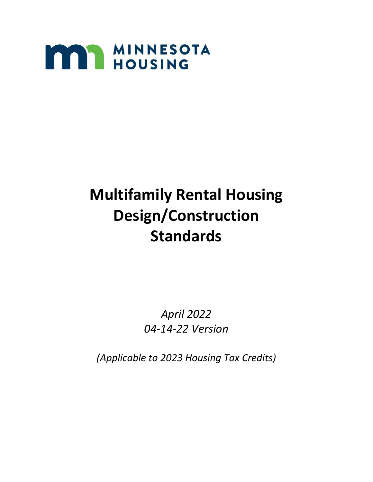

# **Multifamily Rental Housing Design/Construction Standards**

*April 2022 04-14-22 Version*

*(Applicable to 2023 Housing Tax Credits)*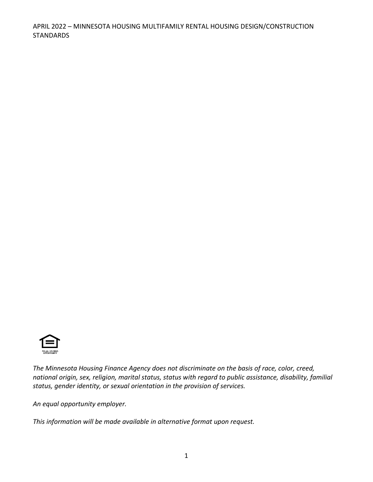

*The Minnesota Housing Finance Agency does not discriminate on the basis of race, color, creed, national origin, sex, religion, marital status, status with regard to public assistance, disability, familial status, gender identity, or sexual orientation in the provision of services.*

*An equal opportunity employer.*

*This information will be made available in alternative format upon request.*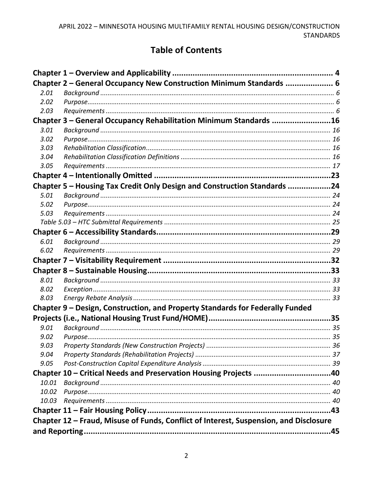# **Table of Contents**

|       | Chapter 2 - General Occupancy New Construction Minimum Standards  6                   |  |
|-------|---------------------------------------------------------------------------------------|--|
| 2.01  |                                                                                       |  |
| 2.02  |                                                                                       |  |
| 2.03  |                                                                                       |  |
|       | Chapter 3 - General Occupancy Rehabilitation Minimum Standards 16                     |  |
| 3.01  |                                                                                       |  |
| 3.02  |                                                                                       |  |
| 3.03  |                                                                                       |  |
| 3.04  |                                                                                       |  |
| 3.05  |                                                                                       |  |
|       |                                                                                       |  |
|       | Chapter 5 - Housing Tax Credit Only Design and Construction Standards 24              |  |
| 5.01  |                                                                                       |  |
| 5.02  |                                                                                       |  |
| 5.03  |                                                                                       |  |
|       |                                                                                       |  |
|       |                                                                                       |  |
| 6.01  |                                                                                       |  |
| 6.02  |                                                                                       |  |
|       |                                                                                       |  |
|       |                                                                                       |  |
| 8.01  |                                                                                       |  |
| 8.02  |                                                                                       |  |
| 8.03  |                                                                                       |  |
|       | Chapter 9 - Design, Construction, and Property Standards for Federally Funded         |  |
|       |                                                                                       |  |
| 9.01  |                                                                                       |  |
| 9.02  |                                                                                       |  |
| 9.03  |                                                                                       |  |
| 9.04  |                                                                                       |  |
| 9.05  |                                                                                       |  |
|       | Chapter 10 - Critical Needs and Preservation Housing Projects 40                      |  |
| 10.01 |                                                                                       |  |
| 10.02 |                                                                                       |  |
| 10.03 |                                                                                       |  |
|       |                                                                                       |  |
|       | Chapter 12 - Fraud, Misuse of Funds, Conflict of Interest, Suspension, and Disclosure |  |
|       |                                                                                       |  |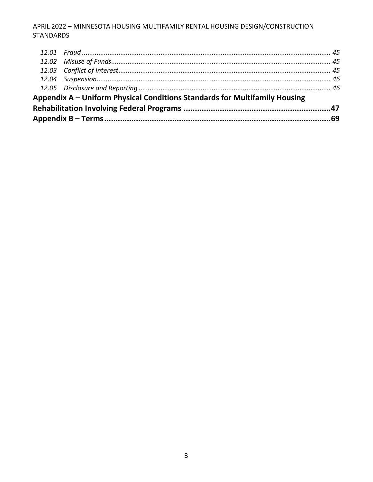| Appendix A – Uniform Physical Conditions Standards for Multifamily Housing |  |
|----------------------------------------------------------------------------|--|
|                                                                            |  |
|                                                                            |  |
|                                                                            |  |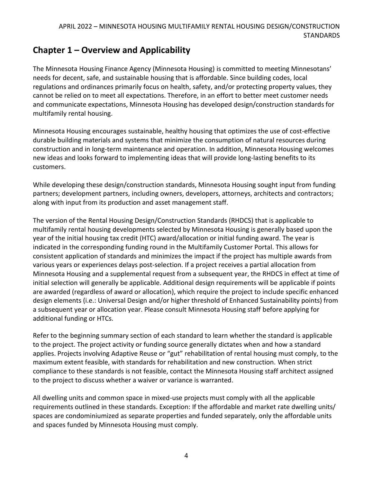# <span id="page-4-0"></span>**Chapter 1 – Overview and Applicability**

The Minnesota Housing Finance Agency (Minnesota Housing) is committed to meeting Minnesotans' needs for decent, safe, and sustainable housing that is affordable. Since building codes, local regulations and ordinances primarily focus on health, safety, and/or protecting property values, they cannot be relied on to meet all expectations. Therefore, in an effort to better meet customer needs and communicate expectations, Minnesota Housing has developed design/construction standards for multifamily rental housing.

Minnesota Housing encourages sustainable, healthy housing that optimizes the use of cost-effective durable building materials and systems that minimize the consumption of natural resources during construction and in long-term maintenance and operation. In addition, Minnesota Housing welcomes new ideas and looks forward to implementing ideas that will provide long-lasting benefits to its customers.

While developing these design/construction standards, Minnesota Housing sought input from funding partners; development partners, including owners, developers, attorneys, architects and contractors; along with input from its production and asset management staff.

The version of the Rental Housing Design/Construction Standards (RHDCS) that is applicable to multifamily rental housing developments selected by Minnesota Housing is generally based upon the year of the initial housing tax credit (HTC) award/allocation or initial funding award. The year is indicated in the corresponding funding round in the Multifamily Customer Portal. This allows for consistent application of standards and minimizes the impact if the project has multiple awards from various years or experiences delays post-selection. If a project receives a partial allocation from Minnesota Housing and a supplemental request from a subsequent year, the RHDCS in effect at time of initial selection will generally be applicable. Additional design requirements will be applicable if points are awarded (regardless of award or allocation), which require the project to include specific enhanced design elements (i.e.: Universal Design and/or higher threshold of Enhanced Sustainability points) from a subsequent year or allocation year. Please consult Minnesota Housing staff before applying for additional funding or HTCs.

Refer to the beginning summary section of each standard to learn whether the standard is applicable to the project. The project activity or funding source generally dictates when and how a standard applies. Projects involving Adaptive Reuse or "gut" rehabilitation of rental housing must comply, to the maximum extent feasible, with standards for rehabilitation and new construction. When strict compliance to these standards is not feasible, contact the Minnesota Housing staff architect assigned to the project to discuss whether a waiver or variance is warranted.

All dwelling units and common space in mixed-use projects must comply with all the applicable requirements outlined in these standards. Exception: If the affordable and market rate dwelling units/ spaces are condominiumized as separate properties and funded separately, only the affordable units and spaces funded by Minnesota Housing must comply.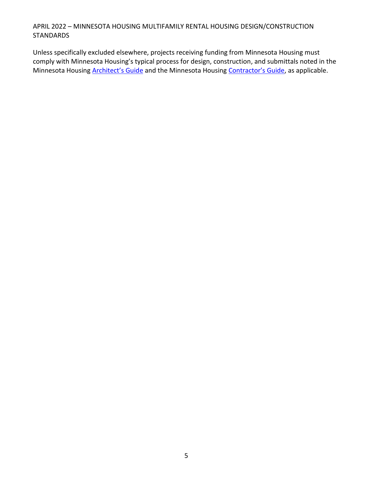Unless specifically excluded elsewhere, projects receiving funding from Minnesota Housing must comply with Minnesota Housing's typical process for design, construction, and submittals noted in the Minnesota Housing **[Architect's Guide](https://www.mnhousing.gov/sites/multifamily/buildingstandards)** and the Minnesota Housing [Contractor's Guide](https://www.mnhousing.gov/sites/multifamily/buildingstandards), as applicable.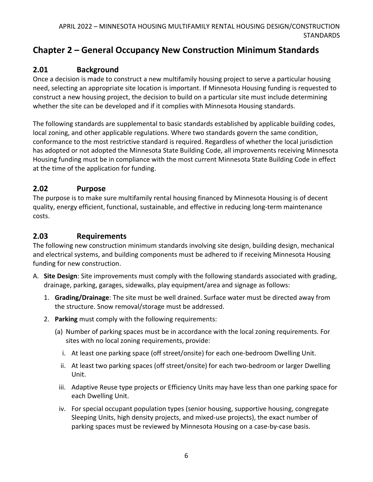# <span id="page-6-0"></span>**Chapter 2 – General Occupancy New Construction Minimum Standards**

# <span id="page-6-1"></span>**2.01 Background**

Once a decision is made to construct a new multifamily housing project to serve a particular housing need, selecting an appropriate site location is important. If Minnesota Housing funding is requested to construct a new housing project, the decision to build on a particular site must include determining whether the site can be developed and if it complies with Minnesota Housing standards.

The following standards are supplemental to basic standards established by applicable building codes, local zoning, and other applicable regulations. Where two standards govern the same condition, conformance to the most restrictive standard is required. Regardless of whether the local jurisdiction has adopted or not adopted the Minnesota State Building Code, all improvements receiving Minnesota Housing funding must be in compliance with the most current Minnesota State Building Code in effect at the time of the application for funding.

### <span id="page-6-2"></span>**2.02 Purpose**

The purpose is to make sure multifamily rental housing financed by Minnesota Housing is of decent quality, energy efficient, functional, sustainable, and effective in reducing long-term maintenance costs.

### <span id="page-6-3"></span>**2.03 Requirements**

The following new construction minimum standards involving site design, building design, mechanical and electrical systems, and building components must be adhered to if receiving Minnesota Housing funding for new construction.

- A. **Site Design**: Site improvements must comply with the following standards associated with grading, drainage, parking, garages, sidewalks, play equipment/area and signage as follows:
	- 1. **Grading/Drainage**: The site must be well drained. Surface water must be directed away from the structure. Snow removal/storage must be addressed.
	- 2. **Parking** must comply with the following requirements:
		- (a) Number of parking spaces must be in accordance with the local zoning requirements. For sites with no local zoning requirements, provide:
			- i. At least one parking space (off street/onsite) for each one-bedroom Dwelling Unit.
			- ii. At least two parking spaces (off street/onsite) for each two-bedroom or larger Dwelling Unit.
		- iii. Adaptive Reuse type projects or Efficiency Units may have less than one parking space for each Dwelling Unit.
		- iv. For special occupant population types (senior housing, supportive housing, congregate Sleeping Units, high density projects, and mixed-use projects), the exact number of parking spaces must be reviewed by Minnesota Housing on a case-by-case basis.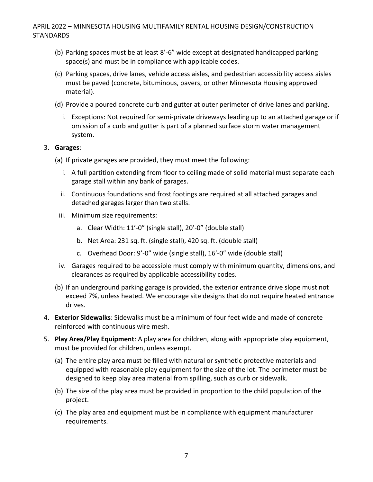- (b) Parking spaces must be at least 8'-6" wide except at designated handicapped parking space(s) and must be in compliance with applicable codes.
- (c) Parking spaces, drive lanes, vehicle access aisles, and pedestrian accessibility access aisles must be paved (concrete, bituminous, pavers, or other Minnesota Housing approved material).
- (d) Provide a poured concrete curb and gutter at outer perimeter of drive lanes and parking.
	- i. Exceptions: Not required for semi-private driveways leading up to an attached garage or if omission of a curb and gutter is part of a planned surface storm water management system.

#### 3. **Garages**:

- (a) If private garages are provided, they must meet the following:
	- i. A full partition extending from floor to ceiling made of solid material must separate each garage stall within any bank of garages.
	- ii. Continuous foundations and frost footings are required at all attached garages and detached garages larger than two stalls.
- iii. Minimum size requirements:
	- a. Clear Width: 11'-0" (single stall), 20'-0" (double stall)
	- b. Net Area: 231 sq. ft. (single stall), 420 sq. ft. (double stall)
	- c. Overhead Door: 9'-0" wide (single stall), 16'-0" wide (double stall)
- iv. Garages required to be accessible must comply with minimum quantity, dimensions, and clearances as required by applicable accessibility codes.
- (b) If an underground parking garage is provided, the exterior entrance drive slope must not exceed 7%, unless heated. We encourage site designs that do not require heated entrance drives.
- 4. **Exterior Sidewalks**: Sidewalks must be a minimum of four feet wide and made of concrete reinforced with continuous wire mesh.
- 5. **Play Area/Play Equipment**: A play area for children, along with appropriate play equipment, must be provided for children, unless exempt.
	- (a) The entire play area must be filled with natural or synthetic protective materials and equipped with reasonable play equipment for the size of the lot. The perimeter must be designed to keep play area material from spilling, such as curb or sidewalk.
	- (b) The size of the play area must be provided in proportion to the child population of the project.
	- (c) The play area and equipment must be in compliance with equipment manufacturer requirements.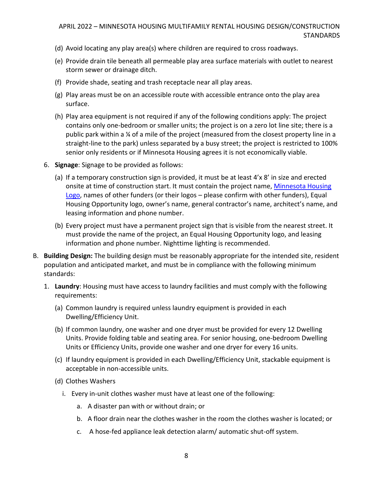- (d) Avoid locating any play area(s) where children are required to cross roadways.
- (e) Provide drain tile beneath all permeable play area surface materials with outlet to nearest storm sewer or drainage ditch.
- (f) Provide shade, seating and trash receptacle near all play areas.
- (g) Play areas must be on an accessible route with accessible entrance onto the play area surface.
- (h) Play area equipment is not required if any of the following conditions apply: The project contains only one-bedroom or smaller units; the project is on a zero lot line site; there is a public park within a ¼ of a mile of the project (measured from the closest property line in a straight-line to the park) unless separated by a busy street; the project is restricted to 100% senior only residents or if Minnesota Housing agrees it is not economically viable.
- 6. **Signage**: Signage to be provided as follows:
	- (a) If a temporary construction sign is provided, it must be at least 4'x 8' in size and erected onsite at time of construction start. It must contain the project name[, Minnesota Housing](https://www.mnhousing.gov/sites/multifamily/buildingstandards)  [Logo,](https://www.mnhousing.gov/sites/multifamily/buildingstandards) names of other funders (or their logos – please confirm with other funders), Equal Housing Opportunity logo, owner's name, general contractor's name, architect's name, and leasing information and phone number.
	- (b) Every project must have a permanent project sign that is visible from the nearest street. It must provide the name of the project, an Equal Housing Opportunity logo, and leasing information and phone number. Nighttime lighting is recommended.
- B. **Building Design:** The building design must be reasonably appropriate for the intended site, resident population and anticipated market, and must be in compliance with the following minimum standards:
	- 1. **Laundry**: Housing must have access to laundry facilities and must comply with the following requirements:
		- (a) Common laundry is required unless laundry equipment is provided in each Dwelling/Efficiency Unit.
		- (b) If common laundry, one washer and one dryer must be provided for every 12 Dwelling Units. Provide folding table and seating area. For senior housing, one-bedroom Dwelling Units or Efficiency Units, provide one washer and one dryer for every 16 units.
		- (c) If laundry equipment is provided in each Dwelling/Efficiency Unit, stackable equipment is acceptable in non-accessible units.
		- (d) Clothes Washers
			- i. Every in-unit clothes washer must have at least one of the following:
				- a. A disaster pan with or without drain; or
				- b. A floor drain near the clothes washer in the room the clothes washer is located; or
				- c. A hose-fed appliance leak detection alarm/ automatic shut-off system.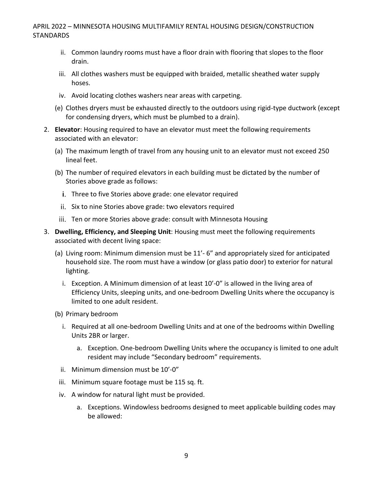- ii. Common laundry rooms must have a floor drain with flooring that slopes to the floor drain.
- iii. All clothes washers must be equipped with braided, metallic sheathed water supply hoses.
- iv. Avoid locating clothes washers near areas with carpeting.
- (e) Clothes dryers must be exhausted directly to the outdoors using rigid-type ductwork (except for condensing dryers, which must be plumbed to a drain).
- 2. **Elevator**: Housing required to have an elevator must meet the following requirements associated with an elevator:
	- (a) The maximum length of travel from any housing unit to an elevator must not exceed 250 lineal feet.
	- (b) The number of required elevators in each building must be dictated by the number of Stories above grade as follows:
		- i. Three to five Stories above grade: one elevator required
		- ii. Six to nine Stories above grade: two elevators required
	- jij. Ten or more Stories above grade: consult with Minnesota Housing
- 3. **Dwelling, Efficiency, and Sleeping Unit**: Housing must meet the following requirements associated with decent living space:
	- (a) Living room: Minimum dimension must be 11'- 6" and appropriately sized for anticipated household size. The room must have a window (or glass patio door) to exterior for natural lighting.
		- i. Exception. A Minimum dimension of at least 10'-0" is allowed in the living area of Efficiency Units, sleeping units, and one-bedroom Dwelling Units where the occupancy is limited to one adult resident.
	- (b) Primary bedroom
		- i. Required at all one-bedroom Dwelling Units and at one of the bedrooms within Dwelling Units 2BR or larger.
			- a. Exception. One-bedroom Dwelling Units where the occupancy is limited to one adult resident may include "Secondary bedroom" requirements.
		- ii. Minimum dimension must be 10'-0"
	- iii. Minimum square footage must be 115 sq. ft.
	- iv. A window for natural light must be provided.
		- a. Exceptions. Windowless bedrooms designed to meet applicable building codes may be allowed: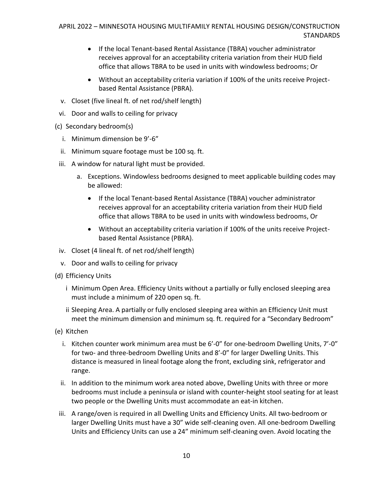- If the local Tenant-based Rental Assistance (TBRA) voucher administrator receives approval for an acceptability criteria variation from their HUD field office that allows TBRA to be used in units with windowless bedrooms; Or
- Without an acceptability criteria variation if 100% of the units receive Projectbased Rental Assistance (PBRA).
- v. Closet (five lineal ft. of net rod/shelf length)
- vi. Door and walls to ceiling for privacy
- (c) Secondary bedroom(s)
	- i. Minimum dimension be 9'-6"
	- ii. Minimum square footage must be 100 sq. ft.
- iii. A window for natural light must be provided.
	- a. Exceptions. Windowless bedrooms designed to meet applicable building codes may be allowed:
		- If the local Tenant-based Rental Assistance (TBRA) voucher administrator receives approval for an acceptability criteria variation from their HUD field office that allows TBRA to be used in units with windowless bedrooms, Or
		- Without an acceptability criteria variation if 100% of the units receive Projectbased Rental Assistance (PBRA).
- iv. Closet (4 lineal ft. of net rod/shelf length)
- v. Door and walls to ceiling for privacy
- (d) Efficiency Units
	- i Minimum Open Area. Efficiency Units without a partially or fully enclosed sleeping area must include a minimum of 220 open sq. ft.
	- ii Sleeping Area. A partially or fully enclosed sleeping area within an Efficiency Unit must meet the minimum dimension and minimum sq. ft. required for a "Secondary Bedroom"
- (e) Kitchen
	- i. Kitchen counter work minimum area must be 6'-0" for one-bedroom Dwelling Units, 7'-0" for two- and three-bedroom Dwelling Units and 8'-0" for larger Dwelling Units. This distance is measured in lineal footage along the front, excluding sink, refrigerator and range.
	- ii. In addition to the minimum work area noted above, Dwelling Units with three or more bedrooms must include a peninsula or island with counter-height stool seating for at least two people or the Dwelling Units must accommodate an eat-in kitchen.
- iii. A range/oven is required in all Dwelling Units and Efficiency Units. All two-bedroom or larger Dwelling Units must have a 30" wide self-cleaning oven. All one-bedroom Dwelling Units and Efficiency Units can use a 24" minimum self-cleaning oven. Avoid locating the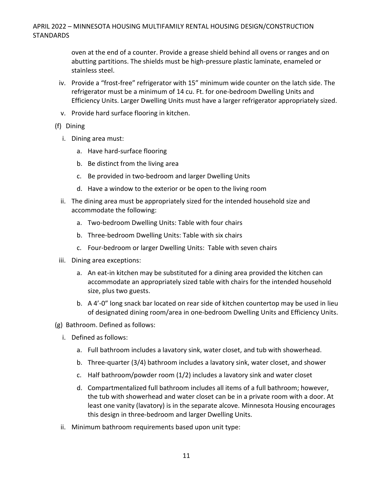oven at the end of a counter. Provide a grease shield behind all ovens or ranges and on abutting partitions. The shields must be high-pressure plastic laminate, enameled or stainless steel.

- iv. Provide a "frost-free" refrigerator with 15" minimum wide counter on the latch side. The refrigerator must be a minimum of 14 cu. Ft. for one-bedroom Dwelling Units and Efficiency Units. Larger Dwelling Units must have a larger refrigerator appropriately sized.
- v. Provide hard surface flooring in kitchen.

#### (f) Dining

- i. Dining area must:
	- a. Have hard-surface flooring
	- b. Be distinct from the living area
	- c. Be provided in two-bedroom and larger Dwelling Units
	- d. Have a window to the exterior or be open to the living room
- ii. The dining area must be appropriately sized for the intended household size and accommodate the following:
	- a. Two-bedroom Dwelling Units: Table with four chairs
	- b. Three-bedroom Dwelling Units: Table with six chairs
	- c. Four-bedroom or larger Dwelling Units: Table with seven chairs
- iii. Dining area exceptions:
	- a. An eat-in kitchen may be substituted for a dining area provided the kitchen can accommodate an appropriately sized table with chairs for the intended household size, plus two guests.
	- b. A 4'-0" long snack bar located on rear side of kitchen countertop may be used in lieu of designated dining room/area in one-bedroom Dwelling Units and Efficiency Units.
- (g) Bathroom. Defined as follows:
	- i. Defined as follows:
		- a. Full bathroom includes a lavatory sink, water closet, and tub with showerhead.
		- b. Three-quarter (3/4) bathroom includes a lavatory sink, water closet, and shower
		- c. Half bathroom/powder room (1/2) includes a lavatory sink and water closet
		- d. Compartmentalized full bathroom includes all items of a full bathroom; however, the tub with showerhead and water closet can be in a private room with a door. At least one vanity (lavatory) is in the separate alcove. Minnesota Housing encourages this design in three-bedroom and larger Dwelling Units.
	- ii. Minimum bathroom requirements based upon unit type: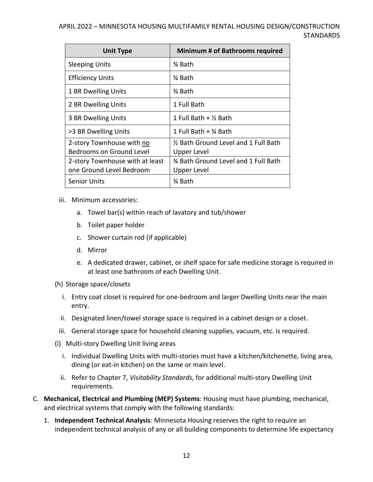| <b>Unit Type</b>                | <b>Minimum # of Bathrooms required</b> |
|---------------------------------|----------------------------------------|
| <b>Sleeping Units</b>           | ¾ Bath                                 |
| <b>Efficiency Units</b>         | ¾ Bath                                 |
| 1 BR Dwelling Units             | ¾ Bath                                 |
| 2 BR Dwelling Units             | 1 Full Bath                            |
| 3 BR Dwelling Units             | 1 Full Bath + $\frac{1}{2}$ Bath       |
| >3 BR Dwelling Units            | 1 Full Bath $+$ $\%$ Bath              |
| 2-story Townhouse with no       | 1/2 Bath Ground Level and 1 Full Bath  |
| Bedrooms on Ground Level        | Upper Level                            |
| 2-story Townhouse with at least | % Bath Ground Level and 1 Full Bath    |
| one Ground Level Bedroom        | Upper Level                            |
| Senior Units                    | ¾ Bath                                 |

- iii. Minimum accessories:
	- a. Towel bar(s) within reach of lavatory and tub/shower
	- b. Toilet paper holder
	- c. Shower curtain rod (if applicable)
	- d. Mirror
	- e. A dedicated drawer, cabinet, or shelf space for safe medicine storage is required in at least one bathroom of each Dwelling Unit.
- (h) Storage space/closets
	- i. Entry coat closet is required for one-bedroom and larger Dwelling Units near the main entry.
	- ii. Designated linen/towel storage space is required in a cabinet design or a closet.
- iii. General storage space for household cleaning supplies, vacuum, etc. is required.
- (i) Multi-story Dwelling Unit living areas
	- i. Individual Dwelling Units with multi-stories must have a kitchen/kitchenette, living area, dining (or eat-in kitchen) on the same or main level.
	- ii. Refer to Chapter 7, *Visitability Standards*, for additional multi-story Dwelling Unit requirements.
- C. **Mechanical, Electrical and Plumbing (MEP) Systems**: Housing must have plumbing, mechanical, and electrical systems that comply with the following standards:
	- 1. **Independent Technical Analysis**: Minnesota Housing reserves the right to require an independent technical analysis of any or all building components to determine life expectancy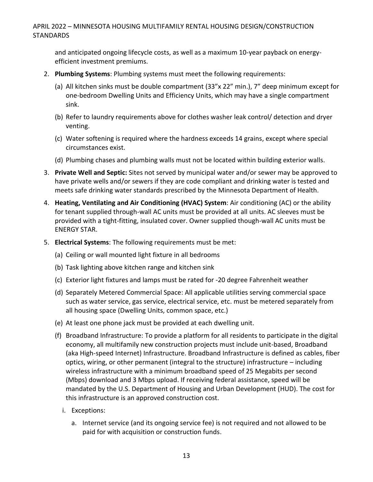and anticipated ongoing lifecycle costs, as well as a maximum 10-year payback on energyefficient investment premiums.

- 2. **Plumbing Systems**: Plumbing systems must meet the following requirements:
	- (a) All kitchen sinks must be double compartment (33"x 22" min.), 7" deep minimum except for one-bedroom Dwelling Units and Efficiency Units, which may have a single compartment sink.
	- (b) Refer to laundry requirements above for clothes washer leak control/ detection and dryer venting.
	- (c) Water softening is required where the hardness exceeds 14 grains, except where special circumstances exist.
	- (d) Plumbing chases and plumbing walls must not be located within building exterior walls.
- 3. **Private Well and Septic:** Sites not served by municipal water and/or sewer may be approved to have private wells and/or sewers if they are code compliant and drinking water is tested and meets safe drinking water standards prescribed by the Minnesota Department of Health.
- 4. **Heating, Ventilating and Air Conditioning (HVAC) System**: Air conditioning (AC) or the ability for tenant supplied through-wall AC units must be provided at all units. AC sleeves must be provided with a tight-fitting, insulated cover. Owner supplied though-wall AC units must be ENERGY STAR.
- 5. **Electrical Systems**: The following requirements must be met:
	- (a) Ceiling or wall mounted light fixture in all bedrooms
	- (b) Task lighting above kitchen range and kitchen sink
	- (c) Exterior light fixtures and lamps must be rated for -20 degree Fahrenheit weather
	- (d) Separately Metered Commercial Space: All applicable utilities serving commercial space such as water service, gas service, electrical service, etc. must be metered separately from all housing space (Dwelling Units, common space, etc.)
	- (e) At least one phone jack must be provided at each dwelling unit.
	- (f) Broadband Infrastructure: To provide a platform for all residents to participate in the digital economy, all multifamily new construction projects must include unit-based, Broadband (aka High-speed Internet) Infrastructure. Broadband Infrastructure is defined as cables, fiber optics, wiring, or other permanent (integral to the structure) infrastructure – including wireless infrastructure with a minimum broadband speed of 25 Megabits per second (Mbps) download and 3 Mbps upload. If receiving federal assistance, speed will be mandated by the U.S. Department of Housing and Urban Development (HUD). The cost for this infrastructure is an approved construction cost.
		- i. Exceptions:
			- a. Internet service (and its ongoing service fee) is not required and not allowed to be paid for with acquisition or construction funds.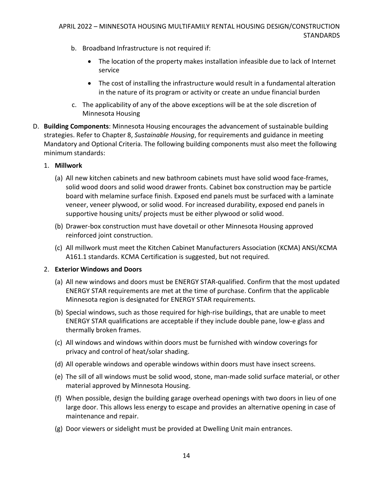- b. Broadband Infrastructure is not required if:
	- The location of the property makes installation infeasible due to lack of Internet service
	- The cost of installing the infrastructure would result in a fundamental alteration in the nature of its program or activity or create an undue financial burden
- c. The applicability of any of the above exceptions will be at the sole discretion of Minnesota Housing
- D. **Building Components**: Minnesota Housing encourages the advancement of sustainable building strategies. Refer to Chapter 8, *Sustainable Housing*, for requirements and guidance in meeting Mandatory and Optional Criteria. The following building components must also meet the following minimum standards:

#### 1. **Millwork**

- (a) All new kitchen cabinets and new bathroom cabinets must have solid wood face-frames, solid wood doors and solid wood drawer fronts. Cabinet box construction may be particle board with melamine surface finish. Exposed end panels must be surfaced with a laminate veneer, veneer plywood, or solid wood. For increased durability, exposed end panels in supportive housing units/ projects must be either plywood or solid wood.
- (b) Drawer-box construction must have dovetail or other Minnesota Housing approved reinforced joint construction.
- (c) All millwork must meet the Kitchen Cabinet Manufacturers Association (KCMA) ANSI/KCMA A161.1 standards. KCMA Certification is suggested, but not required*.*

#### 2. **Exterior Windows and Doors**

- (a) All new windows and doors must be ENERGY STAR-qualified. Confirm that the most updated ENERGY STAR requirements are met at the time of purchase. Confirm that the applicable Minnesota region is designated for ENERGY STAR requirements.
- (b) Special windows, such as those required for high-rise buildings, that are unable to meet ENERGY STAR qualifications are acceptable if they include double pane, low-e glass and thermally broken frames.
- (c) All windows and windows within doors must be furnished with window coverings for privacy and control of heat/solar shading.
- (d) All operable windows and operable windows within doors must have insect screens.
- (e) The sill of all windows must be solid wood, stone, man-made solid surface material, or other material approved by Minnesota Housing.
- (f) When possible, design the building garage overhead openings with two doors in lieu of one large door. This allows less energy to escape and provides an alternative opening in case of maintenance and repair.
- (g) Door viewers or sidelight must be provided at Dwelling Unit main entrances.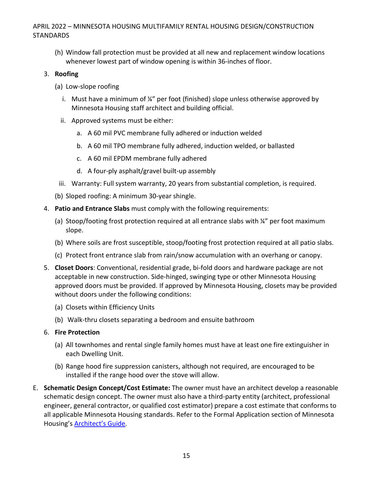(h) Window fall protection must be provided at all new and replacement window locations whenever lowest part of window opening is within 36-inches of floor.

#### 3. **Roofing**

- (a) Low-slope roofing
	- i. Must have a minimum of  $\frac{1}{4}$ " per foot (finished) slope unless otherwise approved by Minnesota Housing staff architect and building official.
	- ii. Approved systems must be either:
		- a. A 60 mil PVC membrane fully adhered or induction welded
		- b. A 60 mil TPO membrane fully adhered, induction welded, or ballasted
		- c. A 60 mil EPDM membrane fully adhered
		- d. A four-ply asphalt/gravel built-up assembly
- iii. Warranty: Full system warranty, 20 years from substantial completion, is required.
- (b) Sloped roofing: A minimum 30-year shingle.
- 4. **Patio and Entrance Slabs** must comply with the following requirements:
	- (a) Stoop/footing frost protection required at all entrance slabs with  $\frac{1}{4}$ " per foot maximum slope.
	- (b) Where soils are frost susceptible, stoop/footing frost protection required at all patio slabs.
	- (c) Protect front entrance slab from rain/snow accumulation with an overhang or canopy.
- 5. **Closet Doors**: Conventional, residential grade, bi-fold doors and hardware package are not acceptable in new construction. Side-hinged, swinging type or other Minnesota Housing approved doors must be provided. If approved by Minnesota Housing, closets may be provided without doors under the following conditions:
	- (a) Closets within Efficiency Units
	- (b) Walk-thru closets separating a bedroom and ensuite bathroom
- 6. **Fire Protection**
	- (a) All townhomes and rental single family homes must have at least one fire extinguisher in each Dwelling Unit.
	- (b) Range hood fire suppression canisters, although not required, are encouraged to be installed if the range hood over the stove will allow.
- E. **Schematic Design Concept/Cost Estimate:** The owner must have an architect develop a reasonable schematic design concept. The owner must also have a third-party entity (architect, professional engineer, general contractor, or qualified cost estimator) prepare a cost estimate that conforms to all applicable Minnesota Housing standards. Refer to the Formal Application section of Minnesota Housing's [Architect's Guide](http://www.mnhousing.gov/get/MHFA_250612).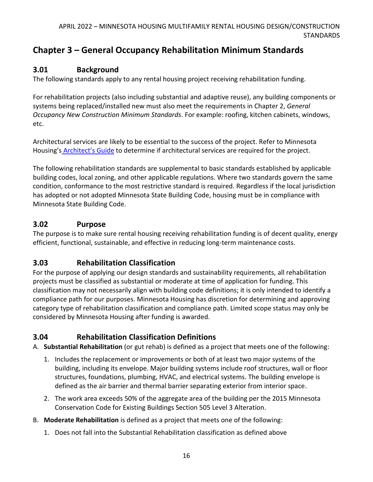# <span id="page-16-0"></span>**Chapter 3 – General Occupancy Rehabilitation Minimum Standards**

# <span id="page-16-1"></span>**3.01 Background**

The following standards apply to any rental housing project receiving rehabilitation funding.

For rehabilitation projects (also including substantial and adaptive reuse), any building components or systems being replaced/installed new must also meet the requirements in Chapter 2, *General Occupancy New Construction Minimum Standards*. For example: roofing, kitchen cabinets, windows, etc.

Architectural services are likely to be essential to the success of the project. Refer to Minnesota Housing's **[Architect's Guide](http://www.mnhousing.gov/get/MHFA_250612)** to determine if architectural services are required for the project.

The following rehabilitation standards are supplemental to basic standards established by applicable building codes, local zoning, and other applicable regulations. Where two standards govern the same condition, conformance to the most restrictive standard is required. Regardless if the local jurisdiction has adopted or not adopted Minnesota State Building Code, housing must be in compliance with Minnesota State Building Code.

## <span id="page-16-2"></span>**3.02 Purpose**

The purpose is to make sure rental housing receiving rehabilitation funding is of decent quality, energy efficient, functional, sustainable, and effective in reducing long-term maintenance costs.

### <span id="page-16-3"></span>**3.03 Rehabilitation Classification**

For the purpose of applying our design standards and sustainability requirements, all rehabilitation projects must be classified as substantial or moderate at time of application for funding. This classification may not necessarily align with building code definitions; it is only intended to identify a compliance path for our purposes. Minnesota Housing has discretion for determining and approving category type of rehabilitation classification and compliance path. Limited scope status may only be considered by Minnesota Housing after funding is awarded.

# <span id="page-16-4"></span>**3.04 Rehabilitation Classification Definitions**

A. **Substantial Rehabilitation** (or gut rehab) is defined as a project that meets one of the following:

- 1. Includes the replacement or improvements or both of at least two major systems of the building, including its envelope. Major building systems include roof structures, wall or floor structures, foundations, plumbing, HVAC, and electrical systems. The building envelope is defined as the air barrier and thermal barrier separating exterior from interior space.
- 2. The work area exceeds 50% of the aggregate area of the building per the 2015 Minnesota Conservation Code for Existing Buildings Section 505 Level 3 Alteration.
- B. **Moderate Rehabilitation** is defined as a project that meets one of the following:
	- 1. Does not fall into the Substantial Rehabilitation classification as defined above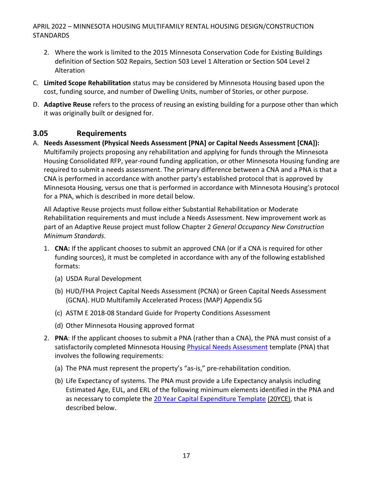- 2. Where the work is limited to the 2015 Minnesota Conservation Code for Existing Buildings definition of Section 502 Repairs, Section 503 Level 1 Alteration or Section 504 Level 2 Alteration
- C. **Limited Scope Rehabilitation** status may be considered by Minnesota Housing based upon the cost, funding source, and number of Dwelling Units, number of Stories, or other purpose.
- D. **Adaptive Reuse** refers to the process of reusing an existing building for a purpose other than which it was originally built or designed for.

### <span id="page-17-0"></span>**3.05 Requirements**

A. **Needs Assessment (Physical Needs Assessment [PNA] or Capital Needs Assessment [CNA]):** Multifamily projects proposing any rehabilitation and applying for funds through the Minnesota Housing Consolidated RFP, year-round funding application, or other Minnesota Housing funding are required to submit a needs assessment. The primary difference between a CNA and a PNA is that a CNA is performed in accordance with another party's established protocol that is approved by Minnesota Housing, versus one that is performed in accordance with Minnesota Housing's protocol for a PNA, which is described in more detail below.

All Adaptive Reuse projects must follow either Substantial Rehabilitation or Moderate Rehabilitation requirements and must include a Needs Assessment. New improvement work as part of an Adaptive Reuse project must follow Chapter 2 *General Occupancy New Construction Minimum Standards*.

- 1. **CNA:** If the applicant chooses to submit an approved CNA (or if a CNA is required for other funding sources), it must be completed in accordance with any of the following established formats:
	- (a) USDA Rural Development
	- (b) HUD/FHA Project Capital Needs Assessment (PCNA) or Green Capital Needs Assessment (GCNA). HUD Multifamily Accelerated Process (MAP) Appendix 5G
	- (c) ASTM E 2018-08 Standard Guide for Property Conditions Assessment
	- (d) Other Minnesota Housing approved format
- 2. **PNA**: If the applicant chooses to submit a PNA (rather than a CNA), the PNA must consist of a satisfactorily completed Minnesota Housing [Physical Needs Assessment](http://www.mnhousing.gov/download/MHFA_250617) template (PNA) that involves the following requirements:
	- (a) The PNA must represent the property's "as-is," pre-rehabilitation condition.
	- (b) Life Expectancy of systems. The PNA must provide a Life Expectancy analysis including Estimated Age, EUL, and ERL of the following minimum elements identified in the PNA and as necessary to complete the [20 Year Capital Expenditure Template](http://www.mnhousing.gov/download/MHFA_250615) (20YCE), that is described below.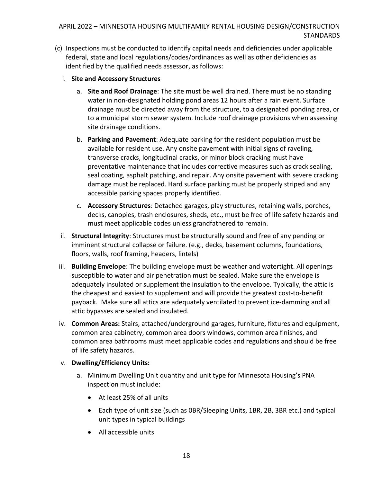- (c) Inspections must be conducted to identify capital needs and deficiencies under applicable federal, state and local regulations/codes/ordinances as well as other deficiencies as identified by the qualified needs assessor, as follows:
	- i. **Site and Accessory Structures**
		- a. **Site and Roof Drainage**: The site must be well drained. There must be no standing water in non-designated holding pond areas 12 hours after a rain event. Surface drainage must be directed away from the structure, to a designated ponding area, or to a municipal storm sewer system. Include roof drainage provisions when assessing site drainage conditions.
		- b. **Parking and Pavement**: Adequate parking for the resident population must be available for resident use. Any onsite pavement with initial signs of raveling, transverse cracks, longitudinal cracks, or minor block cracking must have preventative maintenance that includes corrective measures such as crack sealing, seal coating, asphalt patching, and repair. Any onsite pavement with severe cracking damage must be replaced. Hard surface parking must be properly striped and any accessible parking spaces properly identified.
		- c. **Accessory Structures**: Detached garages, play structures, retaining walls, porches, decks, canopies, trash enclosures, sheds, etc., must be free of life safety hazards and must meet applicable codes unless grandfathered to remain.
	- ii. **Structural Integrity**: Structures must be structurally sound and free of any pending or imminent structural collapse or failure. (e.g., decks, basement columns, foundations, floors, walls, roof framing, headers, lintels)
	- iii. **Building Envelope**: The building envelope must be weather and watertight. All openings susceptible to water and air penetration must be sealed. Make sure the envelope is adequately insulated or supplement the insulation to the envelope. Typically, the attic is the cheapest and easiest to supplement and will provide the greatest cost-to-benefit payback. Make sure all attics are adequately ventilated to prevent ice-damming and all attic bypasses are sealed and insulated.
	- iv. **Common Areas:** Stairs, attached/underground garages, furniture, fixtures and equipment, common area cabinetry, common area doors windows, common area finishes, and common area bathrooms must meet applicable codes and regulations and should be free of life safety hazards.
	- v. **Dwelling/Efficiency Units:** 
		- a. Minimum Dwelling Unit quantity and unit type for Minnesota Housing's PNA inspection must include:
			- At least 25% of all units
			- Each type of unit size (such as 0BR/Sleeping Units, 1BR, 2B, 3BR etc.) and typical unit types in typical buildings
			- All accessible units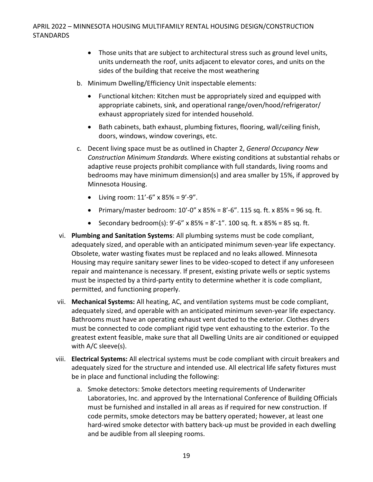- Those units that are subject to architectural stress such as ground level units, units underneath the roof, units adjacent to elevator cores, and units on the sides of the building that receive the most weathering
- b. Minimum Dwelling/Efficiency Unit inspectable elements:
	- Functional kitchen: Kitchen must be appropriately sized and equipped with appropriate cabinets, sink, and operational range/oven/hood/refrigerator/ exhaust appropriately sized for intended household.
	- Bath cabinets, bath exhaust, plumbing fixtures, flooring, wall/ceiling finish, doors, windows, window coverings, etc.
- c. Decent living space must be as outlined in Chapter 2, *General Occupancy New Construction Minimum Standards.* Where existing conditions at substantial rehabs or adaptive reuse projects prohibit compliance with full standards, living rooms and bedrooms may have minimum dimension(s) and area smaller by 15%, if approved by Minnesota Housing.
	- Living room:  $11'-6''$  x  $85% = 9'-9''.$
	- Primary/master bedroom:  $10' 0''$  x  $85\% = 8' 6''$ . 115 sq. ft. x  $85\% = 96$  sq. ft.
	- Secondary bedroom(s):  $9'-6''$  x  $85% = 8'-1''$ . 100 sq. ft. x  $85% = 85$  sq. ft.
- vi. **Plumbing and Sanitation Systems**: All plumbing systems must be code compliant, adequately sized, and operable with an anticipated minimum seven-year life expectancy. Obsolete, water wasting fixates must be replaced and no leaks allowed. Minnesota Housing may require sanitary sewer lines to be video-scoped to detect if any unforeseen repair and maintenance is necessary. If present, existing private wells or septic systems must be inspected by a third-party entity to determine whether it is code compliant, permitted, and functioning properly.
- vii. **Mechanical Systems:** All heating, AC, and ventilation systems must be code compliant, adequately sized, and operable with an anticipated minimum seven-year life expectancy. Bathrooms must have an operating exhaust vent ducted to the exterior. Clothes dryers must be connected to code compliant rigid type vent exhausting to the exterior. To the greatest extent feasible, make sure that all Dwelling Units are air conditioned or equipped with A/C sleeve(s).
- viii. **Electrical Systems:** All electrical systems must be code compliant with circuit breakers and adequately sized for the structure and intended use. All electrical life safety fixtures must be in place and functional including the following:
	- a. Smoke detectors: Smoke detectors meeting requirements of Underwriter Laboratories, Inc. and approved by the International Conference of Building Officials must be furnished and installed in all areas as if required for new construction. If code permits, smoke detectors may be battery operated; however, at least one hard-wired smoke detector with battery back-up must be provided in each dwelling and be audible from all sleeping rooms.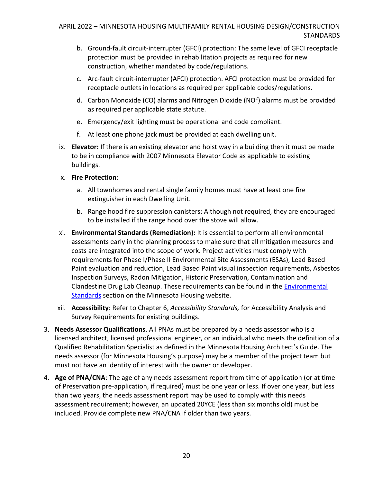- b. Ground-fault circuit-interrupter (GFCI) protection: The same level of GFCI receptacle protection must be provided in rehabilitation projects as required for new construction, whether mandated by code/regulations.
- c. Arc-fault circuit-interrupter (AFCI) protection. AFCI protection must be provided for receptacle outlets in locations as required per applicable codes/regulations.
- d. Carbon Monoxide (CO) alarms and Nitrogen Dioxide (NO<sup>2</sup>) alarms must be provided as required per applicable state statute.
- e. Emergency/exit lighting must be operational and code compliant.
- f. At least one phone jack must be provided at each dwelling unit.
- ix. **Elevator:** If there is an existing elevator and hoist way in a building then it must be made to be in compliance with [2007 Minnesota Elevator Code](http://www.doli.state.mn.us/CCLD/pdf/elev_1307.pdf) as applicable to existing buildings.
- x. **Fire Protection**:
	- a. All townhomes and rental single family homes must have at least one fire extinguisher in each Dwelling Unit.
	- b. Range hood fire suppression canisters: Although not required, they are encouraged to be installed if the range hood over the stove will allow.
- xi. **Environmental Standards (Remediation):** It is essential to perform all environmental assessments early in the planning process to make sure that all mitigation measures and costs are integrated into the scope of work. Project activities must comply with requirements for Phase I/Phase II Environmental Site Assessments (ESAs), Lead Based Paint evaluation and reduction, Lead Based Paint visual inspection requirements, Asbestos Inspection Surveys, Radon Mitigation, Historic Preservation, Contamination and Clandestine Drug Lab Cleanup. These requirements can be found in the [Environmental](https://www.mnhousing.gov/sites/multifamily/environmentalstandards)  [Standards](https://www.mnhousing.gov/sites/multifamily/environmentalstandards) section on the Minnesota Housing website.
- xii. **Accessibility**: Refer to Chapter 6, *Accessibility Standards,* for Accessibility Analysis and Survey Requirements for existing buildings.
- 3. **Needs Assessor Qualifications**. All PNAs must be prepared by a needs assessor who is a licensed architect, licensed professional engineer, or an individual who meets the definition of a Qualified Rehabilitation Specialist as defined in the Minnesota Housing Architect's Guide. The needs assessor (for Minnesota Housing's purpose) may be a member of the project team but must not have an identity of interest with the owner or developer.
- 4. **Age of PNA/CNA**: The age of any needs assessment report from time of application (or at time of Preservation pre-application, if required) must be one year or less. If over one year, but less than two years, the needs assessment report may be used to comply with this needs assessment requirement; however, an updated 20YCE (less than six months old) must be included. Provide complete new PNA/CNA if older than two years.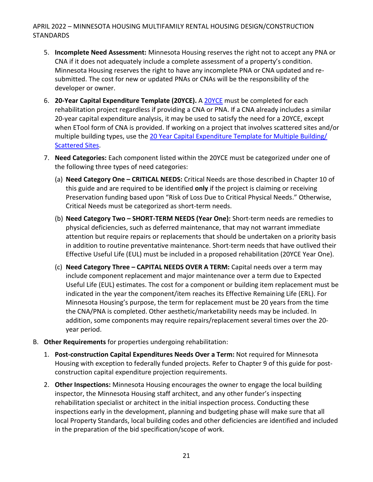- 5. **Incomplete Need Assessment:** Minnesota Housing reserves the right not to accept any PNA or CNA if it does not adequately include a complete assessment of a property's condition. Minnesota Housing reserves the right to have any incomplete PNA or CNA updated and resubmitted. The cost for new or updated PNAs or CNAs will be the responsibility of the developer or owner.
- 6. **20-Year Capital Expenditure Template (20YCE).** A [20YCE](http://www.mnhousing.gov/download/MHFA_250615) must be completed for each rehabilitation project regardless if providing a CNA or PNA. If a CNA already includes a similar 20-year capital expenditure analysis, it may be used to satisfy the need for a 20YCE, except when ETool form of CNA is provided. If working on a project that involves scattered sites and/or multiple building types, use the 20 Year Capital Expenditure Template for Multiple Building/ [Scattered Sites.](http://www.mnhousing.gov/download/MHFA_250614)
- 7. **Need Categories:** Each component listed within the 20YCE must be categorized under one of the following three types of need categories:
	- (a) **Need Category One – CRITICAL NEEDS:** Critical Needs are those described in Chapter 10 of this guide and are required to be identified **only** if the project is claiming or receiving Preservation funding based upon "Risk of Loss Due to Critical Physical Needs." Otherwise, Critical Needs must be categorized as short-term needs.
	- (b) **Need Category Two – SHORT-TERM NEEDS (Year One):** Short-term needs are remedies to physical deficiencies, such as deferred maintenance, that may not warrant immediate attention but require repairs or replacements that should be undertaken on a priority basis in addition to routine preventative maintenance. Short-term needs that have outlived their Effective Useful Life (EUL) must be included in a proposed rehabilitation (20YCE Year One).
	- (c) **Need Category Three – CAPITAL NEEDS OVER A TERM:** Capital needs over a term may include component replacement and major maintenance over a term due to Expected Useful Life (EUL) estimates. The cost for a component or building item replacement must be indicated in the year the component/item reaches its Effective Remaining Life (ERL). For Minnesota Housing's purpose, the term for replacement must be 20 years from the time the CNA/PNA is completed. Other aesthetic/marketability needs may be included. In addition, some components may require repairs/replacement several times over the 20 year period.
- B. **Other Requirements** for properties undergoing rehabilitation:
	- 1. **Post-construction Capital Expenditures Needs Over a Term:** Not required for Minnesota Housing with exception to federally funded projects. Refer to Chapter 9 of this guide for postconstruction capital expenditure projection requirements.
	- 2. **Other Inspections:** Minnesota Housing encourages the owner to engage the local building inspector, the Minnesota Housing staff architect, and any other funder's inspecting rehabilitation specialist or architect in the initial inspection process. Conducting these inspections early in the development, planning and budgeting phase will make sure that all local Property Standards, local building codes and other deficiencies are identified and included in the preparation of the bid specification/scope of work.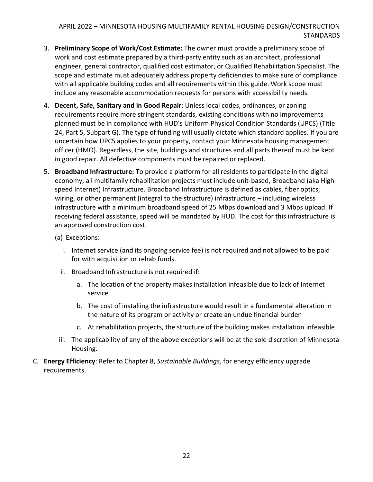- 3. **Preliminary Scope of Work/Cost Estimate:** The owner must provide a preliminary scope of work and cost estimate prepared by a third-party entity such as an architect, professional engineer, general contractor, qualified cost estimator, or Qualified Rehabilitation Specialist. The scope and estimate must adequately address property deficiencies to make sure of compliance with all applicable building codes and all requirements within this guide. Work scope must include any reasonable accommodation requests for persons with accessibility needs.
- 4. **Decent, Safe, Sanitary and in Good Repair**: Unless local codes, ordinances, or zoning requirements require more stringent standards, existing conditions with no improvements planned must be in compliance with HUD's Uniform Physical Condition Standards (UPCS) (Title 24, Part 5, Subpart G). The type of funding will usually dictate which standard applies. If you are uncertain how UPCS applies to your property, contact your Minnesota housing management officer (HMO). Regardless, the site, buildings and structures and all parts thereof must be kept in good repair. All defective components must be repaired or replaced.
- 5. **Broadband Infrastructure:** To provide a platform for all residents to participate in the digital economy, all multifamily rehabilitation projects must include unit-based, Broadband (aka Highspeed Internet) Infrastructure. Broadband Infrastructure is defined as cables, fiber optics, wiring, or other permanent (integral to the structure) infrastructure – including wireless infrastructure with a minimum broadband speed of 25 Mbps download and 3 Mbps upload. If receiving federal assistance, speed will be mandated by HUD. The cost for this infrastructure is an approved construction cost.
	- (a) Exceptions:
		- i. Internet service (and its ongoing service fee) is not required and not allowed to be paid for with acquisition or rehab funds.
		- ii. Broadband Infrastructure is not required if:
			- a. The location of the property makes installation infeasible due to lack of Internet service
			- b. The cost of installing the infrastructure would result in a fundamental alteration in the nature of its program or activity or create an undue financial burden
			- c. At rehabilitation projects, the structure of the building makes installation infeasible
		- iii. The applicability of any of the above exceptions will be at the sole discretion of Minnesota Housing.
- C. **Energy Efficiency**: Refer to Chapter 8, *Sustainable Buildings,* for energy efficiency upgrade requirements.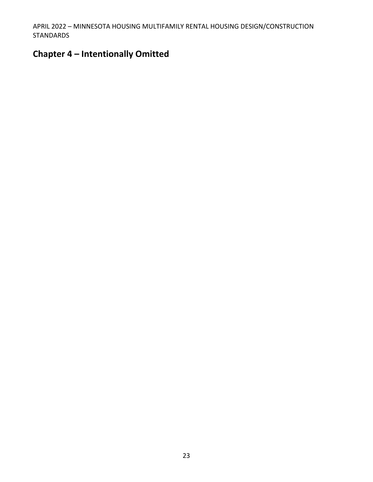# <span id="page-23-0"></span>**Chapter 4 – Intentionally Omitted**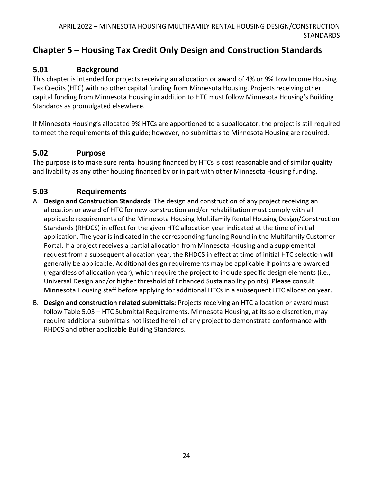# <span id="page-24-0"></span>**Chapter 5 – Housing Tax Credit Only Design and Construction Standards**

# <span id="page-24-1"></span>**5.01 Background**

This chapter is intended for projects receiving an allocation or award of 4% or 9% Low Income Housing Tax Credits (HTC) with no other capital funding from Minnesota Housing. Projects receiving other capital funding from Minnesota Housing in addition to HTC must follow Minnesota Housing's Building Standards as promulgated elsewhere.

If Minnesota Housing's allocated 9% HTCs are apportioned to a suballocator, the project is still required to meet the requirements of this guide; however, no submittals to Minnesota Housing are required.

### <span id="page-24-2"></span>**5.02 Purpose**

The purpose is to make sure rental housing financed by HTCs is cost reasonable and of similar quality and livability as any other housing financed by or in part with other Minnesota Housing funding.

## <span id="page-24-3"></span>**5.03 Requirements**

- A. **Design and Construction Standards**: The design and construction of any project receiving an allocation or award of HTC for new construction and/or rehabilitation must comply with all applicable requirements of the Minnesota Housing Multifamily Rental Housing Design/Construction Standards (RHDCS) in effect for the given HTC allocation year indicated at the time of initial application. The year is indicated in the corresponding funding Round in the Multifamily Customer Portal. If a project receives a partial allocation from Minnesota Housing and a supplemental request from a subsequent allocation year, the RHDCS in effect at time of initial HTC selection will generally be applicable. Additional design requirements may be applicable if points are awarded (regardless of allocation year), which require the project to include specific design elements (i.e., Universal Design and/or higher threshold of Enhanced Sustainability points). Please consult Minnesota Housing staff before applying for additional HTCs in a subsequent HTC allocation year.
- B. **Design and construction related submittals:** Projects receiving an HTC allocation or award must follow Table 5.03 – HTC Submittal Requirements. Minnesota Housing, at its sole discretion, may require additional submittals not listed herein of any project to demonstrate conformance with RHDCS and other applicable Building Standards.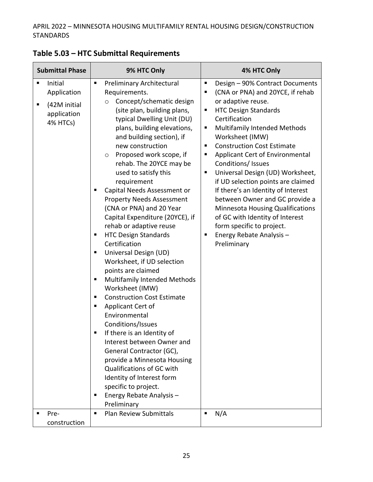| <b>Submittal Phase</b> |                                                                   | 9% HTC Only                                                                                                                                                                                                                                                                                                                                                                                                                                                                                                                                                                                                                                                                                                                                                                                                                                                                                                                                                                                                                                                                     | 4% HTC Only                                                                                                                                                                                                                                                                                                                                                                                                                                                                                                                                                                                                                                            |
|------------------------|-------------------------------------------------------------------|---------------------------------------------------------------------------------------------------------------------------------------------------------------------------------------------------------------------------------------------------------------------------------------------------------------------------------------------------------------------------------------------------------------------------------------------------------------------------------------------------------------------------------------------------------------------------------------------------------------------------------------------------------------------------------------------------------------------------------------------------------------------------------------------------------------------------------------------------------------------------------------------------------------------------------------------------------------------------------------------------------------------------------------------------------------------------------|--------------------------------------------------------------------------------------------------------------------------------------------------------------------------------------------------------------------------------------------------------------------------------------------------------------------------------------------------------------------------------------------------------------------------------------------------------------------------------------------------------------------------------------------------------------------------------------------------------------------------------------------------------|
| ٠<br>п                 | Initial<br>Application<br>(42M initial<br>application<br>4% HTCs) | п<br>Preliminary Architectural<br>Requirements.<br>Concept/schematic design<br>$\circ$<br>(site plan, building plans,<br>typical Dwelling Unit (DU)<br>plans, building elevations,<br>and building section), if<br>new construction<br>Proposed work scope, if<br>$\circ$<br>rehab. The 20YCE may be<br>used to satisfy this<br>requirement<br>Capital Needs Assessment or<br>п<br><b>Property Needs Assessment</b><br>(CNA or PNA) and 20 Year<br>Capital Expenditure (20YCE), if<br>rehab or adaptive reuse<br><b>HTC Design Standards</b><br>п<br>Certification<br>Universal Design (UD)<br>٠<br>Worksheet, if UD selection<br>points are claimed<br>Multifamily Intended Methods<br>п<br>Worksheet (IMW)<br><b>Construction Cost Estimate</b><br>п<br>Applicant Cert of<br>п<br>Environmental<br>Conditions/Issues<br>If there is an Identity of<br>Interest between Owner and<br>General Contractor (GC),<br>provide a Minnesota Housing<br>Qualifications of GC with<br>Identity of Interest form<br>specific to project.<br>Energy Rebate Analysis -<br>п<br>Preliminary | Design - 90% Contract Documents<br>п<br>(CNA or PNA) and 20YCE, if rehab<br>$\blacksquare$<br>or adaptive reuse.<br><b>HTC Design Standards</b><br>п<br>Certification<br>Multifamily Intended Methods<br>п<br>Worksheet (IMW)<br><b>Construction Cost Estimate</b><br>п<br>Applicant Cert of Environmental<br>п<br>Conditions/ Issues<br>Universal Design (UD) Worksheet,<br>п<br>if UD selection points are claimed<br>If there's an Identity of Interest<br>between Owner and GC provide a<br><b>Minnesota Housing Qualifications</b><br>of GC with Identity of Interest<br>form specific to project.<br>Energy Rebate Analysis-<br>п<br>Preliminary |
|                        | Pre-<br>construction                                              | <b>Plan Review Submittals</b><br>П                                                                                                                                                                                                                                                                                                                                                                                                                                                                                                                                                                                                                                                                                                                                                                                                                                                                                                                                                                                                                                              | N/A<br>$\blacksquare$                                                                                                                                                                                                                                                                                                                                                                                                                                                                                                                                                                                                                                  |

# <span id="page-25-0"></span>**Table 5.03 – HTC Submittal Requirements**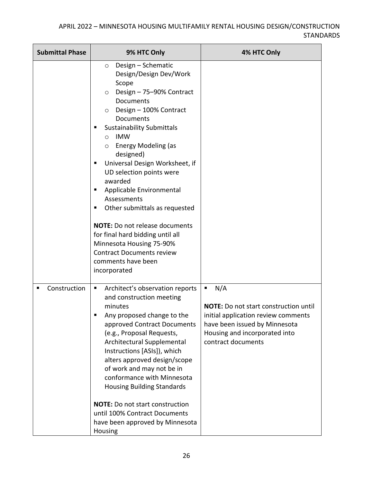| <b>Submittal Phase</b> | 9% HTC Only                                                                                                                                                                                                                                                                                                                                                                                                                                                                                                                                                                                                                                | 4% HTC Only                                                                                                                                                                             |
|------------------------|--------------------------------------------------------------------------------------------------------------------------------------------------------------------------------------------------------------------------------------------------------------------------------------------------------------------------------------------------------------------------------------------------------------------------------------------------------------------------------------------------------------------------------------------------------------------------------------------------------------------------------------------|-----------------------------------------------------------------------------------------------------------------------------------------------------------------------------------------|
|                        | Design - Schematic<br>$\circ$<br>Design/Design Dev/Work<br>Scope<br>Design - 75-90% Contract<br>$\circ$<br>Documents<br>Design - 100% Contract<br>O<br>Documents<br><b>Sustainability Submittals</b><br><b>IMW</b><br>$\circ$<br><b>Energy Modeling (as</b><br>$\circ$<br>designed)<br>Universal Design Worksheet, if<br>п<br>UD selection points were<br>awarded<br>Applicable Environmental<br>п<br>Assessments<br>Other submittals as requested<br>٠<br><b>NOTE:</b> Do not release documents<br>for final hard bidding until all<br>Minnesota Housing 75-90%<br><b>Contract Documents review</b><br>comments have been<br>incorporated |                                                                                                                                                                                         |
| Construction<br>п      | Architect's observation reports<br>and construction meeting<br>minutes<br>Any proposed change to the<br>approved Contract Documents<br>(e.g., Proposal Requests,<br>Architectural Supplemental<br>Instructions [ASIs]), which<br>alters approved design/scope<br>of work and may not be in<br>conformance with Minnesota<br><b>Housing Building Standards</b><br><b>NOTE:</b> Do not start construction<br>until 100% Contract Documents<br>have been approved by Minnesota<br>Housing                                                                                                                                                     | N/A<br>п<br><b>NOTE:</b> Do not start construction until<br>initial application review comments<br>have been issued by Minnesota<br>Housing and incorporated into<br>contract documents |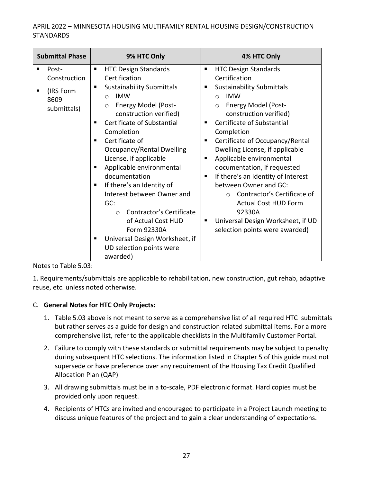|        | <b>Submittal Phase</b>                                    | 9% HTC Only                                                                                                                                                                                                                                                                                                                                                                                                                                                                                                                                                                                                 | 4% HTC Only                                                                                                                                                                                                                                                                                                                                                                                                                                                                                                                                                                                                            |
|--------|-----------------------------------------------------------|-------------------------------------------------------------------------------------------------------------------------------------------------------------------------------------------------------------------------------------------------------------------------------------------------------------------------------------------------------------------------------------------------------------------------------------------------------------------------------------------------------------------------------------------------------------------------------------------------------------|------------------------------------------------------------------------------------------------------------------------------------------------------------------------------------------------------------------------------------------------------------------------------------------------------------------------------------------------------------------------------------------------------------------------------------------------------------------------------------------------------------------------------------------------------------------------------------------------------------------------|
| п<br>٠ | Post-<br>Construction<br>(IRS Form<br>8609<br>submittals) | <b>HTC Design Standards</b><br>$\blacksquare$<br>Certification<br><b>Sustainability Submittals</b><br>٠<br><b>IMW</b><br>◯<br><b>Energy Model (Post-</b><br>$\circ$<br>construction verified)<br>Certificate of Substantial<br>Completion<br>Certificate of<br>٠<br>Occupancy/Rental Dwelling<br>License, if applicable<br>Applicable environmental<br>٠<br>documentation<br>If there's an Identity of<br>п<br>Interest between Owner and<br>GC:<br>Contractor's Certificate<br>$\circ$<br>of Actual Cost HUD<br>Form 92330A<br>Universal Design Worksheet, if<br>٠<br>UD selection points were<br>awarded) | <b>HTC Design Standards</b><br>п<br>Certification<br><b>Sustainability Submittals</b><br>٠<br><b>IMW</b><br>$\Omega$<br><b>Energy Model (Post-</b><br>$\circ$<br>construction verified)<br>Certificate of Substantial<br>٠<br>Completion<br>Certificate of Occupancy/Rental<br>٠<br>Dwelling License, if applicable<br>Applicable environmental<br>٠<br>documentation, if requested<br>If there's an Identity of Interest<br>п<br>between Owner and GC:<br>Contractor's Certificate of<br>$\circ$<br><b>Actual Cost HUD Form</b><br>92330A<br>Universal Design Worksheet, if UD<br>п<br>selection points were awarded) |

Notes to Table 5.03:

1. Requirements/submittals are applicable to rehabilitation, new construction, gut rehab, adaptive reuse, etc. unless noted otherwise.

#### C. **General Notes for HTC Only Projects:**

- 1. Table 5.03 above is not meant to serve as a comprehensive list of all required HTC submittals but rather serves as a guide for design and construction related submittal items. For a more comprehensive list, refer to the applicable checklists in the Multifamily Customer Portal.
- 2. Failure to comply with these standards or submittal requirements may be subject to penalty during subsequent HTC selections. The information listed in Chapter 5 of this guide must not supersede or have preference over any requirement of the Housing Tax Credit Qualified Allocation Plan (QAP)
- 3. All drawing submittals must be in a to-scale, PDF electronic format. Hard copies must be provided only upon request.
- 4. Recipients of HTCs are invited and encouraged to participate in a Project Launch meeting to discuss unique features of the project and to gain a clear understanding of expectations.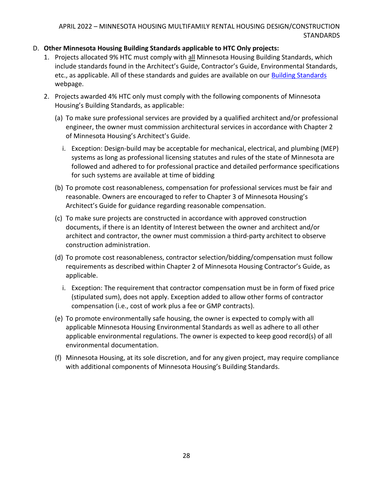#### D. **Other Minnesota Housing Building Standards applicable to HTC Only projects:**

- 1. Projects allocated 9% HTC must comply with all Minnesota Housing Building Standards, which include standards found in the Architect's Guide, Contractor's Guide, Environmental Standards, etc., as applicable. All of these standards and guides are available on our [Building Standards](https://www.mnhousing.gov/sites/multifamily/buildingstandards) webpage.
- 2. Projects awarded 4% HTC only must comply with the following components of Minnesota Housing's Building Standards, as applicable:
	- (a) To make sure professional services are provided by a qualified architect and/or professional engineer, the owner must commission architectural services in accordance with Chapter 2 of Minnesota Housing's Architect's Guide.
		- i. Exception: Design-build may be acceptable for mechanical, electrical, and plumbing (MEP) systems as long as professional licensing statutes and rules of the state of Minnesota are followed and adhered to for professional practice and detailed performance specifications for such systems are available at time of bidding
	- (b) To promote cost reasonableness, compensation for professional services must be fair and reasonable. Owners are encouraged to refer to Chapter 3 of Minnesota Housing's Architect's Guide for guidance regarding reasonable compensation.
	- (c) To make sure projects are constructed in accordance with approved construction documents, if there is an Identity of Interest between the owner and architect and/or architect and contractor, the owner must commission a third-party architect to observe construction administration.
	- (d) To promote cost reasonableness, contractor selection/bidding/compensation must follow requirements as described within Chapter 2 of Minnesota Housing Contractor's Guide, as applicable.
		- i. Exception: The requirement that contractor compensation must be in form of fixed price (stipulated sum), does not apply. Exception added to allow other forms of contractor compensation (i.e., cost of work plus a fee or GMP contracts).
	- (e) To promote environmentally safe housing, the owner is expected to comply with all applicable Minnesota Housing Environmental Standards as well as adhere to all other applicable environmental regulations. The owner is expected to keep good record(s) of all environmental documentation.
	- (f) Minnesota Housing, at its sole discretion, and for any given project, may require compliance with additional components of Minnesota Housing's Building Standards.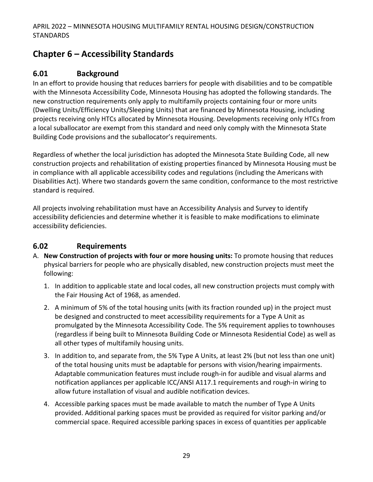# <span id="page-29-0"></span>**Chapter 6 – Accessibility Standards**

### <span id="page-29-1"></span>**6.01 Background**

In an effort to provide housing that reduces barriers for people with disabilities and to be compatible with the Minnesota Accessibility Code, Minnesota Housing has adopted the following standards. The new construction requirements only apply to multifamily projects containing four or more units (Dwelling Units/Efficiency Units/Sleeping Units) that are financed by Minnesota Housing, including projects receiving only HTCs allocated by Minnesota Housing. Developments receiving only HTCs from a local suballocator are exempt from this standard and need only comply with the Minnesota State Building Code provisions and the suballocator's requirements.

Regardless of whether the local jurisdiction has adopted the Minnesota State Building Code, all new construction projects and rehabilitation of existing properties financed by Minnesota Housing must be in compliance with all applicable accessibility codes and regulations (including the Americans with Disabilities Act). Where two standards govern the same condition, conformance to the most restrictive standard is required.

All projects involving rehabilitation must have an Accessibility Analysis and Survey to identify accessibility deficiencies and determine whether it is feasible to make modifications to eliminate accessibility deficiencies.

### <span id="page-29-2"></span>**6.02 Requirements**

- A. **New Construction of projects with four or more housing units:** To promote housing that reduces physical barriers for people who are physically disabled, new construction projects must meet the following:
	- 1. In addition to applicable state and local codes, all new construction projects must comply with the Fair Housing Act of 1968, as amended.
	- 2. A minimum of 5% of the total housing units (with its fraction rounded up) in the project must be designed and constructed to meet accessibility requirements for a Type A Unit as promulgated by the Minnesota Accessibility Code. The 5% requirement applies to townhouses (regardless if being built to Minnesota Building Code or Minnesota Residential Code) as well as all other types of multifamily housing units.
	- 3. In addition to, and separate from, the 5% Type A Units, at least 2% (but not less than one unit) of the total housing units must be adaptable for persons with vision/hearing impairments. Adaptable communication features must include rough-in for audible and visual alarms and notification appliances per applicable ICC/ANSI A117.1 requirements and rough-in wiring to allow future installation of visual and audible notification devices.
	- 4. Accessible parking spaces must be made available to match the number of Type A Units provided. Additional parking spaces must be provided as required for visitor parking and/or commercial space. Required accessible parking spaces in excess of quantities per applicable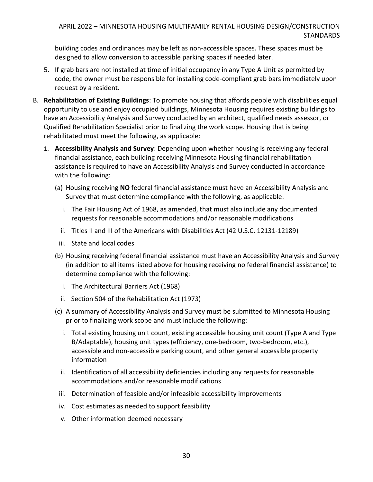building codes and ordinances may be left as non-accessible spaces. These spaces must be designed to allow conversion to accessible parking spaces if needed later.

- 5. If grab bars are not installed at time of initial occupancy in any Type A Unit as permitted by code, the owner must be responsible for installing code-compliant grab bars immediately upon request by a resident.
- B. **Rehabilitation of Existing Buildings**: To promote housing that affords people with disabilities equal opportunity to use and enjoy occupied buildings, Minnesota Housing requires existing buildings to have an Accessibility Analysis and Survey conducted by an architect, qualified needs assessor, or Qualified Rehabilitation Specialist prior to finalizing the work scope. Housing that is being rehabilitated must meet the following, as applicable:
	- 1. **Accessibility Analysis and Survey**: Depending upon whether housing is receiving any federal financial assistance, each building receiving Minnesota Housing financial rehabilitation assistance is required to have an Accessibility Analysis and Survey conducted in accordance with the following:
		- (a) Housing receiving **NO** federal financial assistance must have an Accessibility Analysis and Survey that must determine compliance with the following, as applicable:
			- i. The Fair Housing Act of 1968, as amended, that must also include any documented requests for reasonable accommodations and/or reasonable modifications
			- ii. Titles II and III of the Americans with Disabilities Act (42 U.S.C. 12131-12189)
		- iii. State and local codes
		- (b) Housing receiving federal financial assistance must have an Accessibility Analysis and Survey (in addition to all items listed above for housing receiving no federal financial assistance) to determine compliance with the following:
			- i. The Architectural Barriers Act (1968)
			- ii. Section 504 of the Rehabilitation Act (1973)
		- (c) A summary of Accessibility Analysis and Survey must be submitted to Minnesota Housing prior to finalizing work scope and must include the following:
			- i. Total existing housing unit count, existing accessible housing unit count (Type A and Type B/Adaptable), housing unit types (efficiency, one-bedroom, two-bedroom, etc.), accessible and non-accessible parking count, and other general accessible property information
			- ii. Identification of all accessibility deficiencies including any requests for reasonable accommodations and/or reasonable modifications
		- iii. Determination of feasible and/or infeasible accessibility improvements
		- iv. Cost estimates as needed to support feasibility
		- v. Other information deemed necessary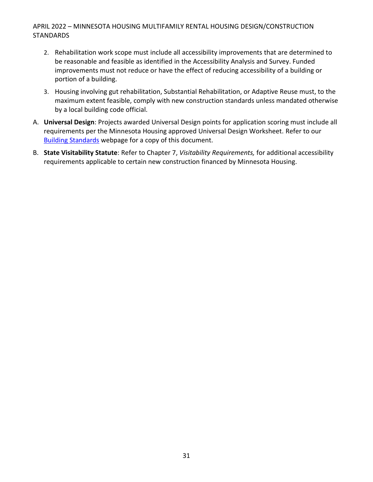- 2. Rehabilitation work scope must include all accessibility improvements that are determined to be reasonable and feasible as identified in the Accessibility Analysis and Survey. Funded improvements must not reduce or have the effect of reducing accessibility of a building or portion of a building.
- 3. Housing involving gut rehabilitation, Substantial Rehabilitation, or Adaptive Reuse must, to the maximum extent feasible, comply with new construction standards unless mandated otherwise by a local building code official.
- A. **Universal Design**: Projects awarded Universal Design points for application scoring must include all requirements per the Minnesota Housing approved Universal Design Worksheet. Refer to our [Building Standards](https://www.mnhousing.gov/sites/multifamily/buildingstandards) webpage for a copy of this document.
- B. **State Visitability Statute**: Refer to Chapter 7, *Visitability Requirements,* for additional accessibility requirements applicable to certain new construction financed by Minnesota Housing.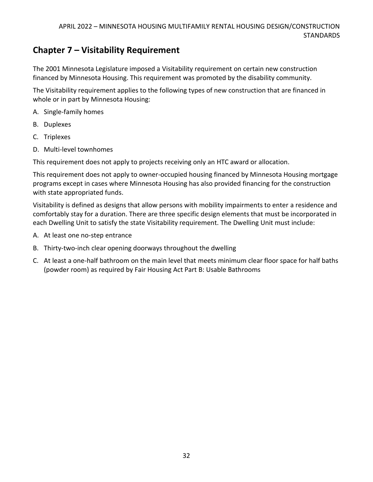# <span id="page-32-0"></span>**Chapter 7 – Visitability Requirement**

The 2001 Minnesota Legislature imposed a Visitability requirement on certain new construction financed by Minnesota Housing. This requirement was promoted by the disability community.

The Visitability requirement applies to the following types of new construction that are financed in whole or in part by Minnesota Housing:

- A. Single-family homes
- B. Duplexes
- C. Triplexes
- D. Multi-level townhomes

This requirement does not apply to projects receiving only an HTC award or allocation.

This requirement does not apply to owner-occupied housing financed by Minnesota Housing mortgage programs except in cases where Minnesota Housing has also provided financing for the construction with state appropriated funds.

Visitability is defined as designs that allow persons with mobility impairments to enter a residence and comfortably stay for a duration. There are three specific design elements that must be incorporated in each Dwelling Unit to satisfy the state Visitability requirement. The Dwelling Unit must include:

- A. At least one no-step entrance
- B. Thirty-two-inch clear opening doorways throughout the dwelling
- C. At least a one-half bathroom on the main level that meets minimum clear floor space for half baths (powder room) as required by Fair Housing Act Part B: Usable Bathrooms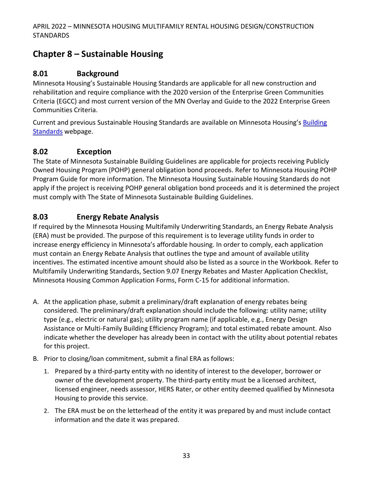# <span id="page-33-0"></span>**Chapter 8 – Sustainable Housing**

### <span id="page-33-1"></span>**8.01 Background**

Minnesota Housing's Sustainable Housing Standards are applicable for all new construction and rehabilitation and require compliance with the 2020 version of the Enterprise Green Communities Criteria (EGCC) and most current version of the MN Overlay and Guide to the 2022 Enterprise Green Communities Criteria.

Current and previous Sustainable Housing Standards are available on Minnesota Housing's Building [Standards](https://www.mnhousing.gov/sites/multifamily/buildingstandards) webpage.

## <span id="page-33-2"></span>**8.02 Exception**

The [State of Minnesota Sustainable Building Guidelines](http://www.msbg.umn.edu/) are applicable for projects receiving Publicly Owned Housing Program (POHP) general obligation bond proceeds. Refer to Minnesota Housing POHP Program Guide for more information. The Minnesota Housing Sustainable Housing Standards do not apply if the project is receiving POHP general obligation bond proceeds and it is determined the project must comply with The State of Minnesota Sustainable Building Guidelines.

# <span id="page-33-3"></span>**8.03 Energy Rebate Analysis**

If required by the Minnesota Housing Multifamily Underwriting Standards, an Energy Rebate Analysis (ERA) must be provided. The purpose of this requirement is to leverage utility funds in order to increase energy efficiency in Minnesota's affordable housing. In order to comply, each application must contain an Energy Rebate Analysis that outlines the type and amount of available utility incentives. The estimated incentive amount should also be listed as a source in the Workbook. Refer to Multifamily Underwriting Standards, Section 9.07 Energy Rebates and Master Application Checklist, Minnesota Housing Common Application Forms, Form C-15 for additional information.

- A. At the application phase, submit a preliminary/draft explanation of energy rebates being considered. The preliminary/draft explanation should include the following: utility name; utility type (e.g., electric or natural gas); utility program name (if applicable, e.g., Energy Design Assistance or Multi-Family Building Efficiency Program); and total estimated rebate amount. Also indicate whether the developer has already been in contact with the utility about potential rebates for this project.
- B. Prior to closing/loan commitment, submit a final ERA as follows:
	- 1. Prepared by a third-party entity with no identity of interest to the developer, borrower or owner of the development property. The third-party entity must be a licensed architect, licensed engineer, needs assessor, HERS Rater, or other entity deemed qualified by Minnesota Housing to provide this service.
	- 2. The ERA must be on the letterhead of the entity it was prepared by and must include contact information and the date it was prepared.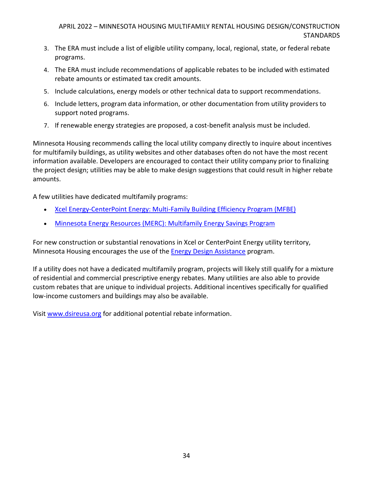- 3. The ERA must include a list of eligible utility company, local, regional, state, or federal rebate programs.
- 4. The ERA must include recommendations of applicable rebates to be included with estimated rebate amounts or estimated tax credit amounts.
- 5. Include calculations, energy models or other technical data to support recommendations.
- 6. Include letters, program data information, or other documentation from utility providers to support noted programs.
- 7. If renewable energy strategies are proposed, a cost-benefit analysis must be included.

Minnesota Housing recommends calling the local utility company directly to inquire about incentives for multifamily buildings, as utility websites and other databases often do not have the most recent information available. Developers are encouraged to contact their utility company prior to finalizing the project design; utilities may be able to make design suggestions that could result in higher rebate amounts.

A few utilities have dedicated multifamily programs:

- [Xcel Energy-CenterPoint Energy: Multi-Family Building Efficiency Program \(MFBE\)](http://www.multifamilyenergysolutions.com/)
- [Minnesota Energy Resources \(MERC\): Multifamily Energy Savings Program](http://www.minnesotaenergyresources.com/business/multifamily_saving_programs.aspx)

For new construction or substantial renovations in Xcel or CenterPoint Energy utility territory, Minnesota Housing encourages the use of th[e Energy Design Assistance](https://www.xcelenergy.com/programs_and_rebates/business_programs_and_rebates/new_construction_and_whole_building/energy_design_assistance) program.

If a utility does not have a dedicated multifamily program, projects will likely still qualify for a mixture of residential and commercial prescriptive energy rebates. Many utilities are also able to provide custom rebates that are unique to individual projects. Additional incentives specifically for qualified low-income customers and buildings may also be available.

Visi[t www.dsireusa.org](http://www.dsireusa.org/) for additional potential rebate informatio[n.](http://www.dsireusa.org/)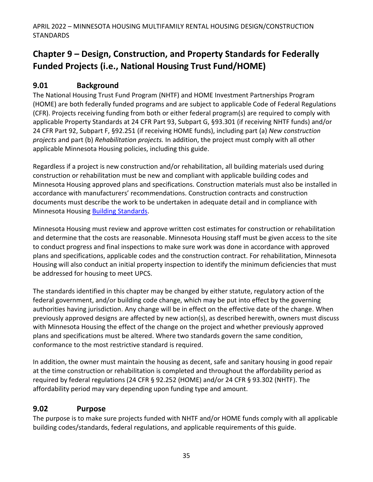# <span id="page-35-0"></span>**Chapter 9 – Design, Construction, and Property Standards for Federally Funded Projects (i.e., National Housing Trust Fund/HOME)**

# <span id="page-35-1"></span>**9.01 Background**

The National Housing Trust Fund Program (NHTF) and HOME Investment Partnerships Program (HOME) are both federally funded programs and are subject to applicable Code of Federal Regulations (CFR). Projects receiving funding from both or either federal program(s) are required to comply with applicable Property Standards at 24 CFR Part 93, Subpart G, §93.301 (if receiving NHTF funds) and/or 24 CFR Part 92, Subpart F, §92.251 (if receiving HOME funds), including part (a) *New construction projects* and part (b) *Rehabilitation projects.* In addition, the project must comply with all other applicable Minnesota Housing policies, including this guide.

Regardless if a project is new construction and/or rehabilitation, all building materials used during construction or rehabilitation must be new and compliant with applicable building codes and Minnesota Housing approved plans and specifications. Construction materials must also be installed in accordance with manufacturers' recommendations. Construction contracts and construction documents must describe the work to be undertaken in adequate detail and in compliance with Minnesota Housing [Building Standards.](https://www.mnhousing.gov/sites/multifamily/buildingstandards)

Minnesota Housing must review and approve written cost estimates for construction or rehabilitation and determine that the costs are reasonable. Minnesota Housing staff must be given access to the site to conduct progress and final inspections to make sure work was done in accordance with approved plans and specifications, applicable codes and the construction contract. For rehabilitation, Minnesota Housing will also conduct an initial property inspection to identify the minimum deficiencies that must be addressed for housing to meet UPCS.

The standards identified in this chapter may be changed by either statute, regulatory action of the federal government, and/or building code change, which may be put into effect by the governing authorities having jurisdiction. Any change will be in effect on the effective date of the change. When previously approved designs are affected by new action(s), as described herewith, owners must discuss with Minnesota Housing the effect of the change on the project and whether previously approved plans and specifications must be altered. Where two standards govern the same condition, conformance to the most restrictive standard is required.

In addition, the owner must maintain the housing as decent, safe and sanitary housing in good repair at the time construction or rehabilitation is completed and throughout the affordability period as required by federal regulations (24 CFR § 92.252 (HOME) and/or 24 CFR § 93.302 (NHTF). The affordability period may vary depending upon funding type and amount.

### <span id="page-35-2"></span>**9.02 Purpose**

The purpose is to make sure projects funded with NHTF and/or HOME funds comply with all applicable building codes/standards, federal regulations, and applicable requirements of this guide.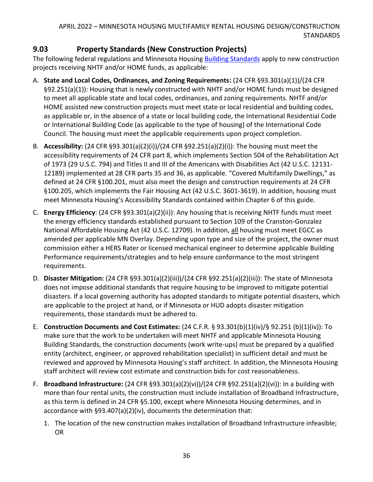# **9.03 Property Standards (New Construction Projects)**

The following federal regulations and Minnesota Housing [Building Standards](https://www.mnhousing.gov/sites/multifamily/buildingstandards) apply to new construction projects receiving NHTF and/or HOME funds, as applicable:

- A. **State and Local Codes, Ordinances, and Zoning Requirements:** (24 CFR §93.301(a)(1))/(24 CFR §92.251(a)(1)): Housing that is newly constructed with NHTF and/or HOME funds must be designed to meet all applicable state and local codes, ordinances, and zoning requirements. NHTF and/or HOME assisted new construction projects must meet state or local residential and building codes, as applicable or, in the absence of a state or local building code, the International Residential Code or International Building Code (as applicable to the type of housing) of the International Code Council. The housing must meet the applicable requirements upon project completion.
- B. **Accessibility:** (24 CFR §93.301(a)(2)(i))/(24 CFR §92.251(a)(2)(i)): The housing must meet the accessibility requirements of 24 CFR part 8, which implements Section 504 of the Rehabilitation Act of 1973 (29 U.S.C. 794) and Titles II and III of the Americans with Disabilities Act (42 U.S.C. 12131- 12189) implemented at 28 CFR parts 35 and 36, as applicable. "Covered Multifamily Dwellings," as defined at 24 CFR §100.201, must also meet the design and construction requirements at 24 CFR §100.205, which implements the Fair Housing Act (42 U.S.C. 3601-3619). In addition, housing must meet Minnesota Housing's Accessibility Standards contained within Chapter 6 of this guide.
- C. **Energy Efficiency**: (24 CFR §93.301(a)(2)(ii)): Any housing that is receiving NHTF funds must meet the energy efficiency standards established pursuant to Section 109 of the Cranston-Gonzalez National Affordable Housing Act (42 U.S.C. 12709). In addition, all housing must meet EGCC as amended per applicable MN Overlay. Depending upon type and size of the project, the owner must commission either a HERS Rater or licensed mechanical engineer to determine applicable Building Performance requirements/strategies and to help ensure conformance to the most stringent requirements.
- D. **Disaster Mitigation:** (24 CFR §93.301(a)(2)(iii))/(24 CFR §92.251(a)(2)(iii)): The state of Minnesota does not impose additional standards that require housing to be improved to mitigate potential disasters. If a local governing authority has adopted standards to mitigate potential disasters, which are applicable to the project at hand, or if Minnesota or HUD adopts disaster mitigation requirements, those standards must be adhered to.
- E. **Construction Documents and Cost Estimates:** (24 C.F.R. § 93.301(b)(1)(iv)/§ 92.251 (b)(1)(iv)): To make sure that the work to be undertaken will meet NHTF and applicable Minnesota Housing Building Standards, the construction documents (work write-ups) must be prepared by a qualified entity (architect, engineer, or approved rehabilitation specialist) in sufficient detail and must be reviewed and approved by Minnesota Housing's staff architect. In addition, the Minnesota Housing staff architect will review cost estimate and construction bids for cost reasonableness.
- F. **Broadband Infrastructure:** (24 CFR §93.301(a)(2)(vi))/(24 CFR §92.251(a)(2)(vi)): In a building with more than four rental units, the construction must include installation of Broadband Infrastructure, as this term is defined in 24 CFR §5.100, except where Minnesota Housing determines, and in accordance with §93.407(a)(2)(iv), documents the determination that:
	- 1. The location of the new construction makes installation of Broadband Infrastructure infeasible; OR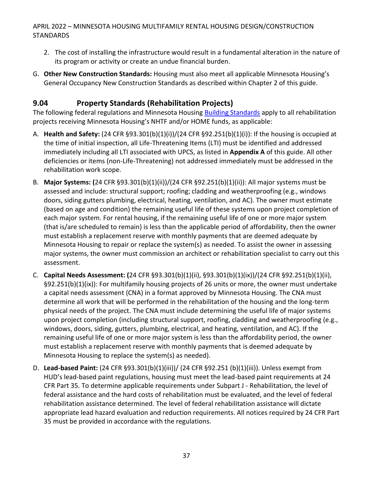- 2. The cost of installing the infrastructure would result in a fundamental alteration in the nature of its program or activity or create an undue financial burden.
- G. **Other New Construction Standards:** Housing must also meet all applicable Minnesota Housing's General Occupancy New Construction Standards as described within Chapter 2 of this guide.

# **9.04 Property Standards (Rehabilitation Projects)**

The following federal regulations and Minnesota Housing [Building Standards](https://www.mnhousing.gov/sites/multifamily/buildingstandards) apply to all rehabilitation projects receiving Minnesota Housing's NHTF and/or HOME funds, as applicable:

- A. **Health and Safety:** (24 CFR §93.301(b)(1)(i))/(24 CFR §92.251(b)(1)(i)): If the housing is occupied at the time of initial inspection, all Life-Threatening Items (LTI) must be identified and addressed immediately including all LTI associated with UPCS, as listed in **Appendix A** of this guide. All other deficiencies or items (non-Life-Threatening) not addressed immediately must be addressed in the rehabilitation work scope.
- B. **Major Systems: (**24 CFR §93.301(b)(1)(ii))/(24 CFR §92.251(b)(1)(ii)): All major systems must be assessed and include: structural support; roofing; cladding and weatherproofing (e.g., windows doors, siding gutters plumbing, electrical, heating, ventilation, and AC). The owner must estimate (based on age and condition) the remaining useful life of these systems upon project completion of each major system. For rental housing, if the remaining useful life of one or more major system (that is/are scheduled to remain) is less than the applicable period of affordability, then the owner must establish a replacement reserve with monthly payments that are deemed adequate by Minnesota Housing to repair or replace the system(s) as needed. To assist the owner in assessing major systems, the owner must commission an architect or rehabilitation specialist to carry out this assessment.
- C. **Capital Needs Assessment: (**24 CFR §93.301(b)(1)(ii), §93.301(b)(1)(ix))/(24 CFR §92.251(b)(1)(ii), §92.251(b)(1)(ix)): For multifamily housing projects of 26 units or more, the owner must undertake a capital needs assessment (CNA) in a format approved by Minnesota Housing. The CNA must determine all work that will be performed in the rehabilitation of the housing and the long-term physical needs of the project. The CNA must include determining the useful life of major systems upon project completion (including structural support, roofing, cladding and weatherproofing (e.g., windows, doors, siding, gutters, plumbing, electrical, and heating, ventilation, and AC). If the remaining useful life of one or more major system is less than the affordability period, the owner must establish a replacement reserve with monthly payments that is deemed adequate by Minnesota Housing to replace the system(s) as needed).
- D. **Lead-based Paint:** (24 CFR §93.301(b)(1)(iii))/ (24 CFR §92.251 (b)(1)(iii)). Unless exempt from HUD's lead-based paint regulations, housing must meet the lead-based paint requirements at 24 CFR Part 35. To determine applicable requirements under Subpart J - Rehabilitation, the level of federal assistance and the hard costs of rehabilitation must be evaluated, and the level of federal rehabilitation assistance determined. The level of federal rehabilitation assistance will dictate appropriate lead hazard evaluation and reduction requirements. All notices required by 24 CFR Part 35 must be provided in accordance with the regulations.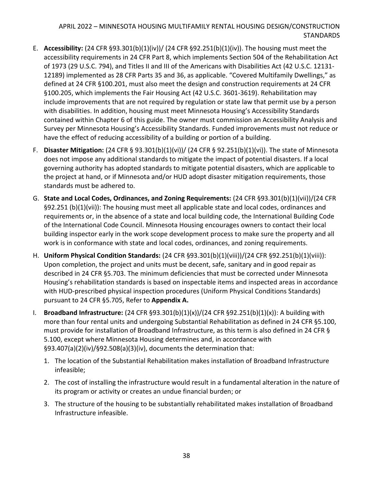- E. **Accessibility:** (24 CFR §93.301(b)(1)(iv))/ (24 CFR §92.251(b)(1)(iv)). The housing must meet the accessibility requirements in 24 CFR Part 8, which implements Section 504 of the Rehabilitation Act of 1973 (29 U.S.C. 794), and Titles II and III of the Americans with Disabilities Act (42 U.S.C. 12131- 12189) implemented as 28 CFR Parts 35 and 36, as applicable. "Covered Multifamily Dwellings," as defined at 24 CFR §100.201, must also meet the design and construction requirements at 24 CFR §100.205, which implements the Fair Housing Act (42 U.S.C. 3601-3619). Rehabilitation may include improvements that are not required by regulation or state law that permit use by a person with disabilities. In addition, housing must meet Minnesota Housing's Accessibility Standards contained within Chapter 6 of this guide. The owner must commission an Accessibility Analysis and Survey per Minnesota Housing's Accessibility Standards. Funded improvements must not reduce or have the effect of reducing accessibility of a building or portion of a building.
- F. **Disaster Mitigation:** (24 CFR § 93.301(b)(1)(vi))/ (24 CFR § 92.251(b)(1)(vi)). The state of Minnesota does not impose any additional standards to mitigate the impact of potential disasters. If a local governing authority has adopted standards to mitigate potential disasters, which are applicable to the project at hand, or if Minnesota and/or HUD adopt disaster mitigation requirements, those standards must be adhered to.
- G. **State and Local Codes, Ordinances, and Zoning Requirements:** (24 CFR §93.301(b)(1)(vii))/(24 CFR §92.251 (b)(1)(vii)): The housing must meet all applicable state and local codes, ordinances and requirements or, in the absence of a state and local building code, the International Building Code of the International Code Council. Minnesota Housing encourages owners to contact their local building inspector early in the work scope development process to make sure the property and all work is in conformance with state and local codes, ordinances, and zoning requirements.
- H. **Uniform Physical Condition Standards:** (24 CFR §93.301(b)(1)(viii))/(24 CFR §92.251(b)(1)(viii)): Upon completion, the project and units must be decent, safe, sanitary and in good repair as described in 24 CFR §5.703. The minimum deficiencies that must be corrected under Minnesota Housing's rehabilitation standards is based on inspectable items and inspected areas in accordance with HUD-prescribed physical inspection procedures (Uniform Physical Conditions Standards) pursuant to 24 CFR §5.705, Refer to **Appendix A.**
- I. **Broadband Infrastructure:** (24 CFR §93.301(b)(1)(x))/(24 CFR §92.251(b)(1)(x)): A building with more than four rental units and undergoing Substantial Rehabilitation as defined in 24 CFR §5.100, must provide for installation of Broadband Infrastructure, as this term is also defined in 24 CFR § 5.100, except where Minnesota Housing determines and, in accordance with §93.407(a)(2)(iv)/§92.508(a)(3)(iv), documents the determination that:
	- 1. The location of the Substantial Rehabilitation makes installation of Broadband Infrastructure infeasible;
	- 2. The cost of installing the infrastructure would result in a fundamental alteration in the nature of its program or activity or creates an undue financial burden; or
	- 3. The structure of the housing to be substantially rehabilitated makes installation of Broadband Infrastructure infeasible.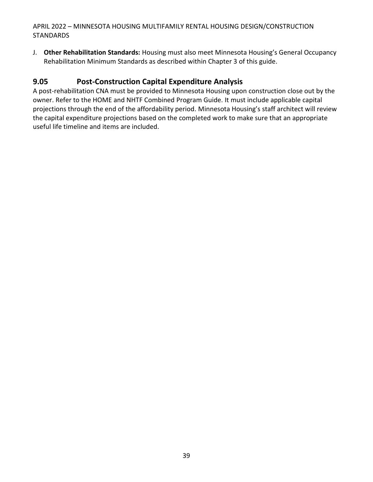J. **Other Rehabilitation Standards:** Housing must also meet Minnesota Housing's General Occupancy Rehabilitation Minimum Standards as described within Chapter 3 of this guide.

# **9.05 Post-Construction Capital Expenditure Analysis**

A post-rehabilitation CNA must be provided to Minnesota Housing upon construction close out by the owner. Refer to the HOME and NHTF Combined Program Guide. It must include applicable capital projections through the end of the affordability period. Minnesota Housing's staff architect will review the capital expenditure projections based on the completed work to make sure that an appropriate useful life timeline and items are included.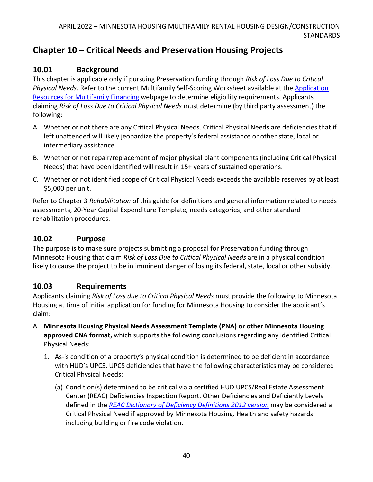# **Chapter 10 – Critical Needs and Preservation Housing Projects**

# **10.01 Background**

This chapter is applicable only if pursuing Preservation funding through *Risk of Loss Due to Critical Physical Needs*. Refer to the current Multifamily Self-Scoring Worksheet available at the [Application](https://www.mnhousing.gov/sites/multifamily/applicationresources)  [Resources for Multifamily Financing](https://www.mnhousing.gov/sites/multifamily/applicationresources) webpage to determine eligibility requirements. Applicants claiming *Risk of Loss Due to Critical Physical Needs* must determine (by third party assessment) the following:

- A. Whether or not there are any Critical Physical Needs. Critical Physical Needs are deficiencies that if left unattended will likely jeopardize the property's federal assistance or other state, local or intermediary assistance.
- B. Whether or not repair/replacement of major physical plant components (including Critical Physical Needs) that have been identified will result in 15+ years of sustained operations.
- C. Whether or not identified scope of Critical Physical Needs exceeds the available reserves by at least \$5,000 per unit.

Refer to Chapter 3 *Rehabilitation* of this guide for definitions and general information related to needs assessments, 20-Year Capital Expenditure Template, needs categories, and other standard rehabilitation procedures.

# **10.02 Purpose**

The purpose is to make sure projects submitting a proposal for Preservation funding through Minnesota Housing that claim *Risk of Loss Due to Critical Physical Needs* are in a physical condition likely to cause the project to be in imminent danger of losing its federal, state, local or other subsidy.

# **10.03 Requirements**

Applicants claiming *Risk of Loss due to Critical Physical Needs* must provide the following to Minnesota Housing at time of initial application for funding for Minnesota Housing to consider the applicant's claim:

- A. **Minnesota Housing Physical Needs Assessment Template (PNA) or other Minnesota Housing approved CNA format,** which supports the following conclusions regarding any identified Critical Physical Needs:
	- 1. As-is condition of a property's physical condition is determined to be deficient in accordance with HUD's UPCS. UPCS deficiencies that have the following characteristics may be considered Critical Physical Needs:
		- (a) Condition(s) determined to be critical via a certified HUD UPCS/Real Estate Assessment Center (REAC) Deficiencies Inspection Report. Other Deficiencies and Deficiently Levels defined in the *[REAC Dictionary of Deficiency Definitions 2012 version](https://www.mnhousing.gov/get/MHFA_1039064)* may be considered a Critical Physical Need if approved by Minnesota Housing. Health and safety hazards including building or fire code violation.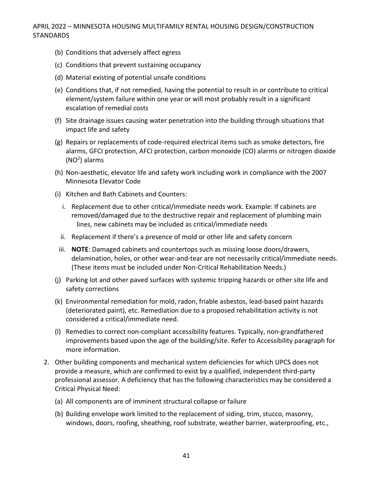- (b) Conditions that adversely affect egress
- (c) Conditions that prevent sustaining occupancy
- (d) Material existing of potential unsafe conditions
- (e) Conditions that, if not remedied, having the potential to result in or contribute to critical element/system failure within one year or will most probably result in a significant escalation of remedial costs
- (f) Site drainage issues causing water penetration into the building through situations that impact life and safety
- (g) Repairs or replacements of code-required electrical items such as smoke detectors, fire alarms, GFCI protection, AFCI protection, carbon monoxide (CO) alarms or nitrogen dioxide (NO<sup>2</sup> ) alarms
- (h) Non-aesthetic, elevator life and safety work including work in compliance with the 2007 Minnesota Elevator Code
- (i) Kitchen and Bath Cabinets and Counters:
	- i. Replacement due to other critical/immediate needs work. Example: If cabinets are removed/damaged due to the destructive repair and replacement of plumbing main lines, new cabinets may be included as critical/immediate needs
	- ii. Replacement if there's a presence of mold or other life and safety concern
- iii. **NOTE**: Damaged cabinets and countertops such as missing loose doors/drawers, delamination, holes, or other wear-and-tear are not necessarily critical/immediate needs. (These items must be included under Non-Critical Rehabilitation Needs.)
- (j) Parking lot and other paved surfaces with systemic tripping hazards or other site life and safety corrections
- (k) Environmental remediation for mold, radon, friable asbestos, lead-based paint hazards (deteriorated paint), etc. Remediation due to a proposed rehabilitation activity is not considered a critical/immediate need.
- (l) Remedies to correct non-compliant accessibility features. Typically, non-grandfathered improvements based upon the age of the building/site. Refer to Accessibility paragraph for more information.
- 2. Other building components and mechanical system deficiencies for which UPCS does not provide a measure, which are confirmed to exist by a qualified, independent third-party professional assessor. A deficiency that has the following characteristics may be considered a Critical Physical Need:
	- (a) All components are of imminent structural collapse or failure
	- (b) Building envelope work limited to the replacement of siding, trim, stucco, masonry, windows, doors, roofing, sheathing, roof substrate, weather barrier, waterproofing, etc.,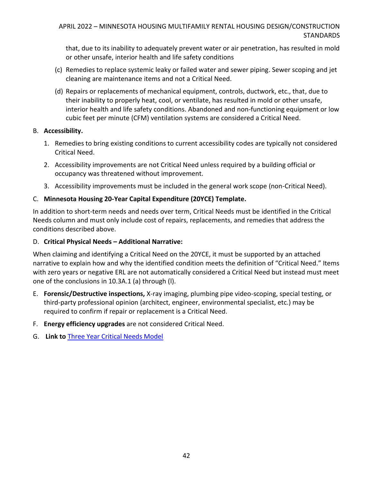that, due to its inability to adequately prevent water or air penetration, has resulted in mold or other unsafe, interior health and life safety conditions

- (c) Remedies to replace systemic leaky or failed water and sewer piping. Sewer scoping and jet cleaning are maintenance items and not a Critical Need.
- (d) Repairs or replacements of mechanical equipment, controls, ductwork, etc., that, due to their inability to properly heat, cool, or ventilate, has resulted in mold or other unsafe, interior health and life safety conditions. Abandoned and non-functioning equipment or low cubic feet per minute (CFM) ventilation systems are considered a Critical Need.

#### B. **Accessibility.**

- 1. Remedies to bring existing conditions to current accessibility codes are typically not considered Critical Need.
- 2. Accessibility improvements are not Critical Need unless required by a building official or occupancy was threatened without improvement.
- 3. Accessibility improvements must be included in the general work scope (non-Critical Need).

## C. **Minnesota Housing 20-Year Capital Expenditure (20YCE) Template.**

In addition to short-term needs and needs over term, Critical Needs must be identified in the Critical Needs column and must only include cost of repairs, replacements, and remedies that address the conditions described above.

### D. **Critical Physical Needs – Additional Narrative:**

When claiming and identifying a Critical Need on the 20YCE, it must be supported by an attached narrative to explain how and why the identified condition meets the definition of "Critical Need." Items with zero years or negative ERL are not automatically considered a Critical Need but instead must meet one of the conclusions in 10.3A.1 (a) through (l).

- E. **Forensic/Destructive inspections,** X-ray imaging, plumbing pipe video-scoping, special testing, or third-party professional opinion (architect, engineer, environmental specialist, etc.) may be required to confirm if repair or replacement is a Critical Need.
- F. **Energy efficiency upgrades** are not considered Critical Need.
- G. **Link to** [Three Year Critical Needs Model](http://www.mnhousing.gov/download/MHFA_250644)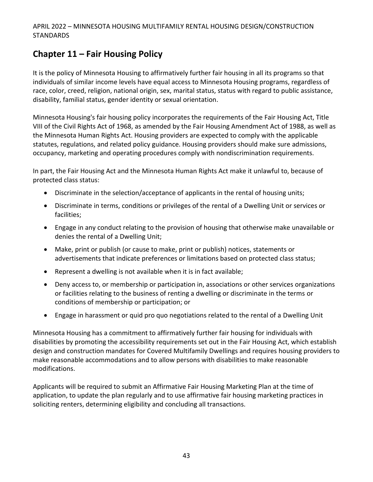# **Chapter 11 – Fair Housing Policy**

It is the policy of Minnesota Housing to affirmatively further fair housing in all its programs so that individuals of similar income levels have equal access to Minnesota Housing programs, regardless of race, color, creed, religion, national origin, sex, marital status, status with regard to public assistance, disability, familial status, gender identity or sexual orientation.

Minnesota Housing's fair housing policy incorporates the requirements of the Fair Housing Act, Title VIII of the Civil Rights Act of 1968, as amended by the Fair Housing Amendment Act of 1988, as well as the Minnesota Human Rights Act. Housing providers are expected to comply with the applicable statutes, regulations, and related policy guidance. Housing providers should make sure admissions, occupancy, marketing and operating procedures comply with nondiscrimination requirements.

In part, the Fair Housing Act and the Minnesota Human Rights Act make it unlawful to, because of protected class status:

- Discriminate in the selection/acceptance of applicants in the rental of housing units;
- Discriminate in terms, conditions or privileges of the rental of a Dwelling Unit or services or facilities;
- Engage in any conduct relating to the provision of housing that otherwise make unavailable or denies the rental of a Dwelling Unit;
- Make, print or publish (or cause to make, print or publish) notices, statements or advertisements that indicate preferences or limitations based on protected class status;
- Represent a dwelling is not available when it is in fact available;
- Deny access to, or membership or participation in, associations or other services organizations or facilities relating to the business of renting a dwelling or discriminate in the terms or conditions of membership or participation; or
- Engage in harassment or quid pro quo negotiations related to the rental of a Dwelling Unit

Minnesota Housing has a commitment to affirmatively further fair housing for individuals with disabilities by promoting the accessibility requirements set out in the Fair Housing Act, which establish design and construction mandates for Covered Multifamily Dwellings and requires housing providers to make reasonable accommodations and to allow persons with disabilities to make reasonable modifications.

Applicants will be required to submit an Affirmative Fair Housing Marketing Plan at the time of application, to update the plan regularly and to use affirmative fair housing marketing practices in soliciting renters, determining eligibility and concluding all transactions.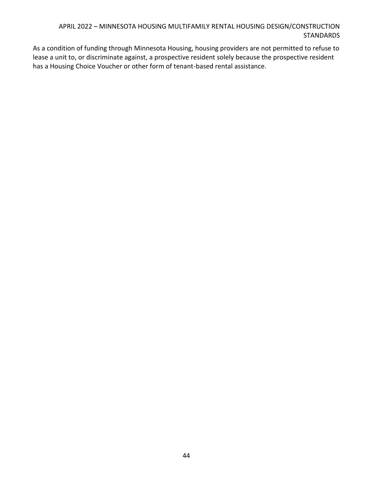As a condition of funding through Minnesota Housing, housing providers are not permitted to refuse to lease a unit to, or discriminate against, a prospective resident solely because the prospective resident has a Housing Choice Voucher or other form of tenant-based rental assistance.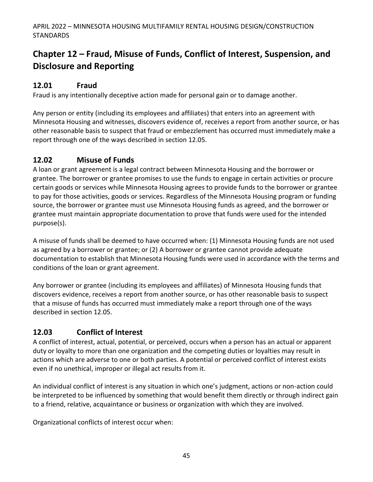# **Chapter 12 – Fraud, Misuse of Funds, Conflict of Interest, Suspension, and Disclosure and Reporting**

# **12.01 Fraud**

Fraud is any intentionally deceptive action made for personal gain or to damage another.

Any person or entity (including its employees and affiliates) that enters into an agreement with Minnesota Housing and witnesses, discovers evidence of, receives a report from another source, or has other reasonable basis to suspect that fraud or embezzlement has occurred must immediately make a report through one of the ways described in section 12.05.

# **12.02 Misuse of Funds**

A loan or grant agreement is a legal contract between Minnesota Housing and the borrower or grantee. The borrower or grantee promises to use the funds to engage in certain activities or procure certain goods or services while Minnesota Housing agrees to provide funds to the borrower or grantee to pay for those activities, goods or services. Regardless of the Minnesota Housing program or funding source, the borrower or grantee must use Minnesota Housing funds as agreed, and the borrower or grantee must maintain appropriate documentation to prove that funds were used for the intended purpose(s).

A misuse of funds shall be deemed to have occurred when: (1) Minnesota Housing funds are not used as agreed by a borrower or grantee; or (2) A borrower or grantee cannot provide adequate documentation to establish that Minnesota Housing funds were used in accordance with the terms and conditions of the loan or grant agreement.

Any borrower or grantee (including its employees and affiliates) of Minnesota Housing funds that discovers evidence, receives a report from another source, or has other reasonable basis to suspect that a misuse of funds has occurred must immediately make a report through one of the ways described in section 12.05.

# **12.03 Conflict of Interest**

A conflict of interest, actual, potential, or perceived, occurs when a person has an actual or apparent duty or loyalty to more than one organization and the competing duties or loyalties may result in actions which are adverse to one or both parties. A potential or perceived conflict of interest exists even if no unethical, improper or illegal act results from it.

An individual conflict of interest is any situation in which one's judgment, actions or non-action could be interpreted to be influenced by something that would benefit them directly or through indirect gain to a friend, relative, acquaintance or business or organization with which they are involved.

Organizational conflicts of interest occur when: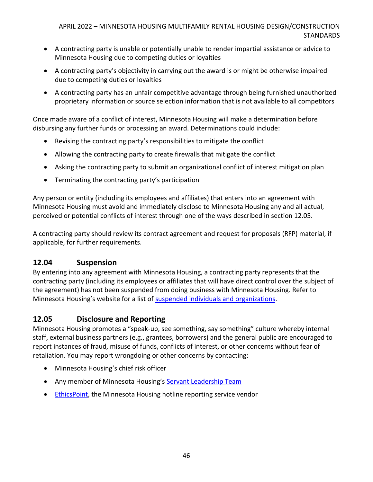- A contracting party is unable or potentially unable to render impartial assistance or advice to Minnesota Housing due to competing duties or loyalties
- A contracting party's objectivity in carrying out the award is or might be otherwise impaired due to competing duties or loyalties
- A contracting party has an unfair competitive advantage through being furnished unauthorized proprietary information or source selection information that is not available to all competitors

Once made aware of a conflict of interest, Minnesota Housing will make a determination before disbursing any further funds or processing an award. Determinations could include:

- Revising the contracting party's responsibilities to mitigate the conflict
- Allowing the contracting party to create firewalls that mitigate the conflict
- Asking the contracting party to submit an organizational conflict of interest mitigation plan
- Terminating the contracting party's participation

Any person or entity (including its employees and affiliates) that enters into an agreement with Minnesota Housing must avoid and immediately disclose to Minnesota Housing any and all actual, perceived or potential conflicts of interest through one of the ways described in section 12.05.

A contracting party should review its contract agreement and request for proposals (RFP) material, if applicable, for further requirements.

# **12.04 Suspension**

By entering into any agreement with Minnesota Housing, a contracting party represents that the contracting party (including its employees or affiliates that will have direct control over the subject of the agreement) has not been suspended from doing business with Minnesota Housing. Refer to Minnesota Housing's website for a list of [suspended individuals and](https://www.mnhousing.gov/sites/np/suspensions) organizations.

# **12.05 Disclosure and Reporting**

Minnesota Housing promotes a "speak-up, see something, say something" culture whereby internal staff, external business partners (e.g., grantees, borrowers) and the general public are encouraged to report instances of fraud, misuse of funds, conflicts of interest, or other concerns without fear of retaliation. You may report wrongdoing or other concerns by contacting:

- Minnesota Housing's chief risk officer
- Any member of Minnesota Housing's [Servant Leadership Team](https://www.mnhousing.gov/sites/np/leadership)
- **[EthicsPoint,](https://secure.ethicspoint.com/domain/media/en/gui/30639/index.html) the Minnesota Housing hotline reporting service vendor**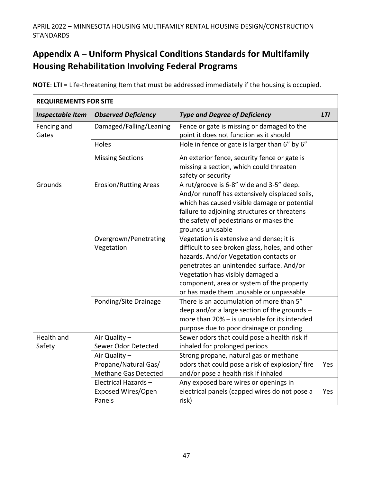# **Appendix A – Uniform Physical Conditions Standards for Multifamily Housing Rehabilitation Involving Federal Programs**

| <b>REQUIREMENTS FOR SITE</b> |                                                               |                                                                                                                                                                                                                                                                                                               |            |  |
|------------------------------|---------------------------------------------------------------|---------------------------------------------------------------------------------------------------------------------------------------------------------------------------------------------------------------------------------------------------------------------------------------------------------------|------------|--|
| <b>Inspectable Item</b>      | <b>Observed Deficiency</b>                                    | <b>Type and Degree of Deficiency</b>                                                                                                                                                                                                                                                                          | <b>LTI</b> |  |
| Fencing and<br>Gates         | Damaged/Falling/Leaning                                       | Fence or gate is missing or damaged to the<br>point it does not function as it should                                                                                                                                                                                                                         |            |  |
|                              | Holes                                                         | Hole in fence or gate is larger than 6" by 6"                                                                                                                                                                                                                                                                 |            |  |
|                              | <b>Missing Sections</b>                                       | An exterior fence, security fence or gate is<br>missing a section, which could threaten<br>safety or security                                                                                                                                                                                                 |            |  |
| Grounds                      | <b>Erosion/Rutting Areas</b>                                  | A rut/groove is 6-8" wide and 3-5" deep.<br>And/or runoff has extensively displaced soils,<br>which has caused visible damage or potential<br>failure to adjoining structures or threatens<br>the safety of pedestrians or makes the<br>grounds unusable                                                      |            |  |
|                              | Overgrown/Penetrating<br>Vegetation                           | Vegetation is extensive and dense; it is<br>difficult to see broken glass, holes, and other<br>hazards. And/or Vegetation contacts or<br>penetrates an unintended surface. And/or<br>Vegetation has visibly damaged a<br>component, area or system of the property<br>or has made them unusable or unpassable |            |  |
|                              | Ponding/Site Drainage                                         | There is an accumulation of more than 5"<br>deep and/or a large section of the grounds -<br>more than 20% - is unusable for its intended<br>purpose due to poor drainage or ponding                                                                                                                           |            |  |
| Health and<br>Safety         | Air Quality -<br>Sewer Odor Detected                          | Sewer odors that could pose a health risk if<br>inhaled for prolonged periods                                                                                                                                                                                                                                 |            |  |
|                              | Air Quality -<br>Propane/Natural Gas/<br>Methane Gas Detected | Strong propane, natural gas or methane<br>odors that could pose a risk of explosion/ fire<br>and/or pose a health risk if inhaled                                                                                                                                                                             | Yes        |  |
|                              | Electrical Hazards-<br>Exposed Wires/Open<br>Panels           | Any exposed bare wires or openings in<br>electrical panels (capped wires do not pose a<br>risk)                                                                                                                                                                                                               | Yes        |  |

**NOTE**: **LTI** = Life-threatening Item that must be addressed immediately if the housing is occupied.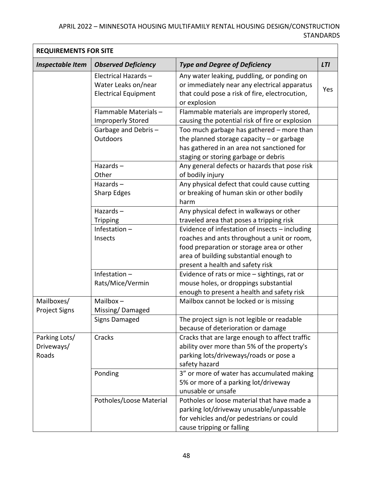| <b>REQUIREMENTS FOR SITE</b>         |                                                                           |                                                                                                                                                                                                                          |            |
|--------------------------------------|---------------------------------------------------------------------------|--------------------------------------------------------------------------------------------------------------------------------------------------------------------------------------------------------------------------|------------|
| <b>Inspectable Item</b>              | <b>Observed Deficiency</b>                                                | <b>Type and Degree of Deficiency</b>                                                                                                                                                                                     | <b>LTI</b> |
|                                      | Electrical Hazards-<br>Water Leaks on/near<br><b>Electrical Equipment</b> | Any water leaking, puddling, or ponding on<br>or immediately near any electrical apparatus<br>that could pose a risk of fire, electrocution,<br>or explosion                                                             | Yes        |
|                                      | Flammable Materials-<br><b>Improperly Stored</b>                          | Flammable materials are improperly stored,<br>causing the potential risk of fire or explosion                                                                                                                            |            |
|                                      | Garbage and Debris-<br><b>Outdoors</b>                                    | Too much garbage has gathered - more than<br>the planned storage capacity - or garbage<br>has gathered in an area not sanctioned for<br>staging or storing garbage or debris                                             |            |
|                                      | Hazards $-$<br>Other                                                      | Any general defects or hazards that pose risk<br>of bodily injury                                                                                                                                                        |            |
|                                      | Hazards $-$<br>Sharp Edges                                                | Any physical defect that could cause cutting<br>or breaking of human skin or other bodily<br>harm                                                                                                                        |            |
|                                      | Hazards $-$<br><b>Tripping</b>                                            | Any physical defect in walkways or other<br>traveled area that poses a tripping risk                                                                                                                                     |            |
|                                      | Infestation $-$<br>Insects                                                | Evidence of infestation of insects - including<br>roaches and ants throughout a unit or room,<br>food preparation or storage area or other<br>area of building substantial enough to<br>present a health and safety risk |            |
|                                      | Infestation $-$<br>Rats/Mice/Vermin                                       | Evidence of rats or mice - sightings, rat or<br>mouse holes, or droppings substantial<br>enough to present a health and safety risk                                                                                      |            |
| Mailboxes/<br><b>Project Signs</b>   | Mailbox $-$<br>Missing/Damaged                                            | Mailbox cannot be locked or is missing                                                                                                                                                                                   |            |
|                                      | <b>Signs Damaged</b>                                                      | The project sign is not legible or readable<br>because of deterioration or damage                                                                                                                                        |            |
| Parking Lots/<br>Driveways/<br>Roads | Cracks                                                                    | Cracks that are large enough to affect traffic<br>ability over more than 5% of the property's<br>parking lots/driveways/roads or pose a<br>safety hazard                                                                 |            |
|                                      | Ponding                                                                   | 3" or more of water has accumulated making<br>5% or more of a parking lot/driveway<br>unusable or unsafe                                                                                                                 |            |
|                                      | Potholes/Loose Material                                                   | Potholes or loose material that have made a<br>parking lot/driveway unusable/unpassable<br>for vehicles and/or pedestrians or could<br>cause tripping or falling                                                         |            |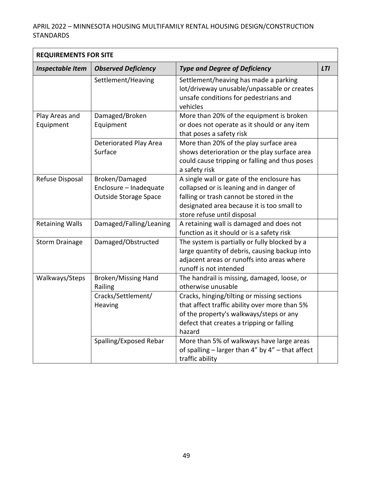| <b>REQUIREMENTS FOR SITE</b> |                                                                   |                                                                                                                                                                                                                 |            |
|------------------------------|-------------------------------------------------------------------|-----------------------------------------------------------------------------------------------------------------------------------------------------------------------------------------------------------------|------------|
| <b>Inspectable Item</b>      | <b>Observed Deficiency</b>                                        | <b>Type and Degree of Deficiency</b>                                                                                                                                                                            | <b>LTI</b> |
|                              | Settlement/Heaving                                                | Settlement/heaving has made a parking<br>lot/driveway unusable/unpassable or creates<br>unsafe conditions for pedestrians and<br>vehicles                                                                       |            |
| Play Areas and<br>Equipment  | Damaged/Broken<br>Equipment                                       | More than 20% of the equipment is broken<br>or does not operate as it should or any item<br>that poses a safety risk                                                                                            |            |
|                              | Deteriorated Play Area<br>Surface                                 | More than 20% of the play surface area<br>shows deterioration or the play surface area<br>could cause tripping or falling and thus poses<br>a safety risk                                                       |            |
| Refuse Disposal              | Broken/Damaged<br>Enclosure - Inadequate<br>Outside Storage Space | A single wall or gate of the enclosure has<br>collapsed or is leaning and in danger of<br>falling or trash cannot be stored in the<br>designated area because it is too small to<br>store refuse until disposal |            |
| <b>Retaining Walls</b>       | Damaged/Falling/Leaning                                           | A retaining wall is damaged and does not<br>function as it should or is a safety risk                                                                                                                           |            |
| <b>Storm Drainage</b>        | Damaged/Obstructed                                                | The system is partially or fully blocked by a<br>large quantity of debris, causing backup into<br>adjacent areas or runoffs into areas where<br>runoff is not intended                                          |            |
| Walkways/Steps               | <b>Broken/Missing Hand</b><br>Railing                             | The handrail is missing, damaged, loose, or<br>otherwise unusable                                                                                                                                               |            |
|                              | Cracks/Settlement/<br>Heaving                                     | Cracks, hinging/tilting or missing sections<br>that affect traffic ability over more than 5%<br>of the property's walkways/steps or any<br>defect that creates a tripping or falling<br>hazard                  |            |
|                              | Spalling/Exposed Rebar                                            | More than 5% of walkways have large areas<br>of spalling $-$ larger than 4" by 4" $-$ that affect<br>traffic ability                                                                                            |            |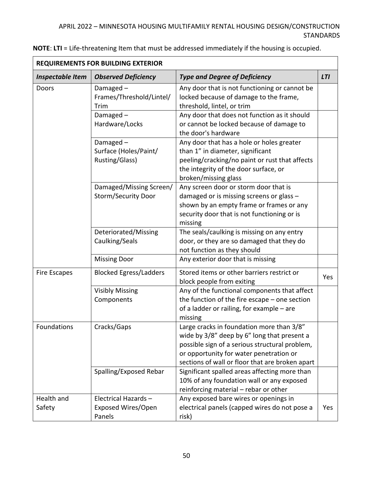| REQUIREMENTS FOR BUILDING EXTERIOR |                                                       |                                                                                                                                                                                                                                          |            |
|------------------------------------|-------------------------------------------------------|------------------------------------------------------------------------------------------------------------------------------------------------------------------------------------------------------------------------------------------|------------|
| <b>Inspectable Item</b>            | <b>Observed Deficiency</b>                            | <b>Type and Degree of Deficiency</b>                                                                                                                                                                                                     | <b>LTI</b> |
| Doors                              | Damaged-<br>Frames/Threshold/Lintel/<br>Trim          | Any door that is not functioning or cannot be<br>locked because of damage to the frame,<br>threshold, lintel, or trim                                                                                                                    |            |
|                                    | Damaged-<br>Hardware/Locks                            | Any door that does not function as it should<br>or cannot be locked because of damage to<br>the door's hardware                                                                                                                          |            |
|                                    | Damaged-<br>Surface (Holes/Paint/<br>Rusting/Glass)   | Any door that has a hole or holes greater<br>than 1" in diameter, significant<br>peeling/cracking/no paint or rust that affects<br>the integrity of the door surface, or<br>broken/missing glass                                         |            |
|                                    | Damaged/Missing Screen/<br><b>Storm/Security Door</b> | Any screen door or storm door that is<br>damaged or is missing screens or glass -<br>shown by an empty frame or frames or any<br>security door that is not functioning or is<br>missing                                                  |            |
|                                    | Deteriorated/Missing<br>Caulking/Seals                | The seals/caulking is missing on any entry<br>door, or they are so damaged that they do<br>not function as they should                                                                                                                   |            |
|                                    | <b>Missing Door</b>                                   | Any exterior door that is missing                                                                                                                                                                                                        |            |
| <b>Fire Escapes</b>                | <b>Blocked Egress/Ladders</b>                         | Stored items or other barriers restrict or<br>block people from exiting                                                                                                                                                                  | Yes        |
|                                    | <b>Visibly Missing</b><br>Components                  | Any of the functional components that affect<br>the function of the fire escape $-$ one section<br>of a ladder or railing, for example - are<br>missing                                                                                  |            |
| Foundations                        | Cracks/Gaps                                           | Large cracks in foundation more than 3/8"<br>wide by 3/8" deep by 6" long that present a<br>possible sign of a serious structural problem,<br>or opportunity for water penetration or<br>sections of wall or floor that are broken apart |            |
|                                    | Spalling/Exposed Rebar                                | Significant spalled areas affecting more than<br>10% of any foundation wall or any exposed<br>reinforcing material - rebar or other                                                                                                      |            |
| Health and<br>Safety               | Electrical Hazards-<br>Exposed Wires/Open<br>Panels   | Any exposed bare wires or openings in<br>electrical panels (capped wires do not pose a<br>risk)                                                                                                                                          | Yes        |

**NOTE**: **LTI** = Life-threatening Item that must be addressed immediately if the housing is occupied.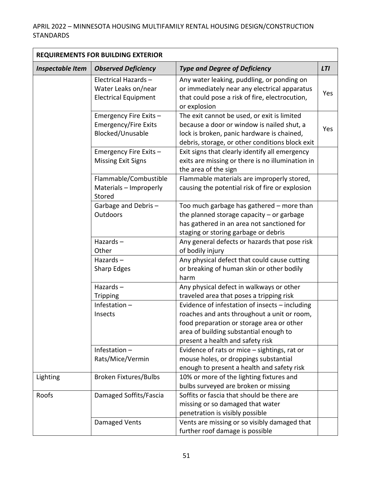| <b>REQUIREMENTS FOR BUILDING EXTERIOR</b> |                                                                           |                                                                                                                                                                                                                          |            |
|-------------------------------------------|---------------------------------------------------------------------------|--------------------------------------------------------------------------------------------------------------------------------------------------------------------------------------------------------------------------|------------|
| <b>Inspectable Item</b>                   | <b>Observed Deficiency</b>                                                | <b>Type and Degree of Deficiency</b>                                                                                                                                                                                     | <b>LTI</b> |
|                                           | Electrical Hazards-<br>Water Leaks on/near<br><b>Electrical Equipment</b> | Any water leaking, puddling, or ponding on<br>or immediately near any electrical apparatus<br>that could pose a risk of fire, electrocution,<br>or explosion                                                             | Yes        |
|                                           | Emergency Fire Exits -<br><b>Emergency/Fire Exits</b><br>Blocked/Unusable | The exit cannot be used, or exit is limited<br>because a door or window is nailed shut, a<br>lock is broken, panic hardware is chained,<br>debris, storage, or other conditions block exit                               | Yes        |
|                                           | Emergency Fire Exits -<br><b>Missing Exit Signs</b>                       | Exit signs that clearly identify all emergency<br>exits are missing or there is no illumination in<br>the area of the sign                                                                                               |            |
|                                           | Flammable/Combustible<br>Materials - Improperly<br>Stored                 | Flammable materials are improperly stored,<br>causing the potential risk of fire or explosion                                                                                                                            |            |
|                                           | Garbage and Debris-<br>Outdoors                                           | Too much garbage has gathered - more than<br>the planned storage capacity $-$ or garbage<br>has gathered in an area not sanctioned for<br>staging or storing garbage or debris                                           |            |
|                                           | Hazards-<br>Other                                                         | Any general defects or hazards that pose risk<br>of bodily injury                                                                                                                                                        |            |
|                                           | Hazards $-$<br>Sharp Edges                                                | Any physical defect that could cause cutting<br>or breaking of human skin or other bodily<br>harm                                                                                                                        |            |
|                                           | Hazards $-$<br><b>Tripping</b>                                            | Any physical defect in walkways or other<br>traveled area that poses a tripping risk                                                                                                                                     |            |
|                                           | Infestation $-$<br>Insects                                                | Evidence of infestation of insects - including<br>roaches and ants throughout a unit or room,<br>food preparation or storage area or other<br>area of building substantial enough to<br>present a health and safety risk |            |
|                                           | Infestation $-$<br>Rats/Mice/Vermin                                       | Evidence of rats or mice - sightings, rat or<br>mouse holes, or droppings substantial<br>enough to present a health and safety risk                                                                                      |            |
| Lighting                                  | <b>Broken Fixtures/Bulbs</b>                                              | 10% or more of the lighting fixtures and<br>bulbs surveyed are broken or missing                                                                                                                                         |            |
| Roofs                                     | Damaged Soffits/Fascia                                                    | Soffits or fascia that should be there are<br>missing or so damaged that water<br>penetration is visibly possible                                                                                                        |            |
|                                           | Damaged Vents                                                             | Vents are missing or so visibly damaged that<br>further roof damage is possible                                                                                                                                          |            |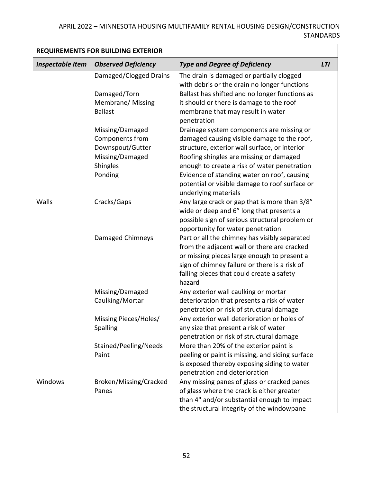| <b>REQUIREMENTS FOR BUILDING EXTERIOR</b> |                                                        |                                                                                                                                                                                                                                                     |            |
|-------------------------------------------|--------------------------------------------------------|-----------------------------------------------------------------------------------------------------------------------------------------------------------------------------------------------------------------------------------------------------|------------|
| <b>Inspectable Item</b>                   | <b>Observed Deficiency</b>                             | <b>Type and Degree of Deficiency</b>                                                                                                                                                                                                                | <b>LTI</b> |
|                                           | Damaged/Clogged Drains                                 | The drain is damaged or partially clogged<br>with debris or the drain no longer functions                                                                                                                                                           |            |
|                                           | Damaged/Torn<br>Membrane/ Missing<br><b>Ballast</b>    | Ballast has shifted and no longer functions as<br>it should or there is damage to the roof<br>membrane that may result in water<br>penetration                                                                                                      |            |
|                                           | Missing/Damaged<br>Components from<br>Downspout/Gutter | Drainage system components are missing or<br>damaged causing visible damage to the roof,<br>structure, exterior wall surface, or interior                                                                                                           |            |
|                                           | Missing/Damaged<br>Shingles                            | Roofing shingles are missing or damaged<br>enough to create a risk of water penetration                                                                                                                                                             |            |
|                                           | Ponding                                                | Evidence of standing water on roof, causing<br>potential or visible damage to roof surface or<br>underlying materials                                                                                                                               |            |
| Walls                                     | Cracks/Gaps                                            | Any large crack or gap that is more than 3/8"<br>wide or deep and 6" long that presents a<br>possible sign of serious structural problem or<br>opportunity for water penetration                                                                    |            |
|                                           | Damaged Chimneys                                       | Part or all the chimney has visibly separated<br>from the adjacent wall or there are cracked<br>or missing pieces large enough to present a<br>sign of chimney failure or there is a risk of<br>falling pieces that could create a safety<br>hazard |            |
|                                           | Missing/Damaged<br>Caulking/Mortar                     | Any exterior wall caulking or mortar<br>deterioration that presents a risk of water<br>penetration or risk of structural damage                                                                                                                     |            |
|                                           | Missing Pieces/Holes/<br>Spalling                      | Any exterior wall deterioration or holes of<br>any size that present a risk of water<br>penetration or risk of structural damage                                                                                                                    |            |
|                                           | Stained/Peeling/Needs<br>Paint                         | More than 20% of the exterior paint is<br>peeling or paint is missing, and siding surface<br>is exposed thereby exposing siding to water<br>penetration and deterioration                                                                           |            |
| Windows                                   | Broken/Missing/Cracked<br>Panes                        | Any missing panes of glass or cracked panes<br>of glass where the crack is either greater<br>than 4" and/or substantial enough to impact<br>the structural integrity of the windowpane                                                              |            |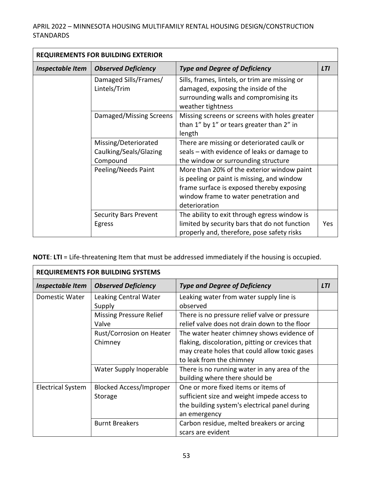| <b>REQUIREMENTS FOR BUILDING EXTERIOR</b> |                                                            |                                                                                                                                                                                                 |            |
|-------------------------------------------|------------------------------------------------------------|-------------------------------------------------------------------------------------------------------------------------------------------------------------------------------------------------|------------|
| <b>Inspectable Item</b>                   | <b>Observed Deficiency</b>                                 | <b>Type and Degree of Deficiency</b>                                                                                                                                                            | <b>LTI</b> |
|                                           | Damaged Sills/Frames/<br>Lintels/Trim                      | Sills, frames, lintels, or trim are missing or<br>damaged, exposing the inside of the<br>surrounding walls and compromising its<br>weather tightness                                            |            |
|                                           | Damaged/Missing Screens                                    | Missing screens or screens with holes greater<br>than 1" by 1" or tears greater than 2" in<br>length                                                                                            |            |
|                                           | Missing/Deteriorated<br>Caulking/Seals/Glazing<br>Compound | There are missing or deteriorated caulk or<br>seals – with evidence of leaks or damage to<br>the window or surrounding structure                                                                |            |
|                                           | Peeling/Needs Paint                                        | More than 20% of the exterior window paint<br>is peeling or paint is missing, and window<br>frame surface is exposed thereby exposing<br>window frame to water penetration and<br>deterioration |            |
|                                           | <b>Security Bars Prevent</b><br>Egress                     | The ability to exit through egress window is<br>limited by security bars that do not function<br>properly and, therefore, pose safety risks                                                     | Yes        |

**NOTE**: **LTI** = Life-threatening Item that must be addressed immediately if the housing is occupied.

| <b>REQUIREMENTS FOR BUILDING SYSTEMS</b> |                                           |                                                                                                                                                                             |            |
|------------------------------------------|-------------------------------------------|-----------------------------------------------------------------------------------------------------------------------------------------------------------------------------|------------|
| Inspectable Item                         | <b>Observed Deficiency</b>                | <b>Type and Degree of Deficiency</b>                                                                                                                                        | <b>LTI</b> |
| Domestic Water                           | Leaking Central Water<br>Supply           | Leaking water from water supply line is<br>observed                                                                                                                         |            |
|                                          | <b>Missing Pressure Relief</b><br>Valve   | There is no pressure relief valve or pressure<br>relief valve does not drain down to the floor                                                                              |            |
|                                          | Rust/Corrosion on Heater<br>Chimney       | The water heater chimney shows evidence of<br>flaking, discoloration, pitting or crevices that<br>may create holes that could allow toxic gases<br>to leak from the chimney |            |
|                                          | Water Supply Inoperable                   | There is no running water in any area of the<br>building where there should be                                                                                              |            |
| <b>Electrical System</b>                 | <b>Blocked Access/Improper</b><br>Storage | One or more fixed items or items of<br>sufficient size and weight impede access to<br>the building system's electrical panel during<br>an emergency                         |            |
|                                          | <b>Burnt Breakers</b>                     | Carbon residue, melted breakers or arcing<br>scars are evident                                                                                                              |            |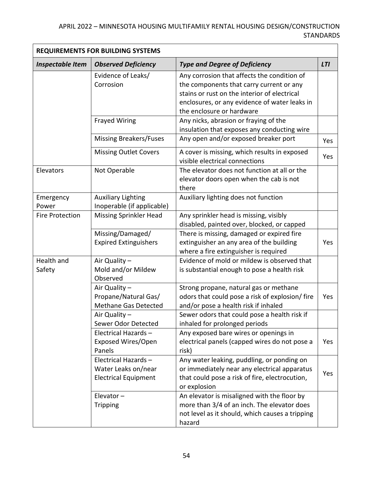| <b>REQUIREMENTS FOR BUILDING SYSTEMS</b> |                                                    |                                                                                                |            |
|------------------------------------------|----------------------------------------------------|------------------------------------------------------------------------------------------------|------------|
| <b>Inspectable Item</b>                  | <b>Observed Deficiency</b>                         | <b>Type and Degree of Deficiency</b>                                                           | <b>LTI</b> |
|                                          | Evidence of Leaks/                                 | Any corrosion that affects the condition of                                                    |            |
|                                          | Corrosion                                          | the components that carry current or any                                                       |            |
|                                          |                                                    | stains or rust on the interior of electrical                                                   |            |
|                                          |                                                    | enclosures, or any evidence of water leaks in                                                  |            |
|                                          |                                                    | the enclosure or hardware                                                                      |            |
|                                          | <b>Frayed Wiring</b>                               | Any nicks, abrasion or fraying of the                                                          |            |
|                                          |                                                    | insulation that exposes any conducting wire                                                    |            |
|                                          | <b>Missing Breakers/Fuses</b>                      | Any open and/or exposed breaker port                                                           | Yes        |
|                                          | <b>Missing Outlet Covers</b>                       | A cover is missing, which results in exposed                                                   | Yes        |
|                                          |                                                    | visible electrical connections                                                                 |            |
| Elevators                                | Not Operable                                       | The elevator does not function at all or the                                                   |            |
|                                          |                                                    | elevator doors open when the cab is not                                                        |            |
|                                          |                                                    | there                                                                                          |            |
| Emergency                                | <b>Auxiliary Lighting</b>                          | Auxiliary lighting does not function                                                           |            |
| Power                                    | Inoperable (if applicable)                         |                                                                                                |            |
| <b>Fire Protection</b>                   | <b>Missing Sprinkler Head</b>                      | Any sprinkler head is missing, visibly                                                         |            |
|                                          |                                                    | disabled, painted over, blocked, or capped                                                     |            |
|                                          | Missing/Damaged/                                   | There is missing, damaged or expired fire                                                      |            |
|                                          | <b>Expired Extinguishers</b>                       | extinguisher an any area of the building                                                       | Yes        |
|                                          |                                                    | where a fire extinguisher is required                                                          |            |
| Health and                               | Air Quality -                                      | Evidence of mold or mildew is observed that                                                    |            |
| Safety                                   | Mold and/or Mildew                                 | is substantial enough to pose a health risk                                                    |            |
|                                          | Observed                                           |                                                                                                |            |
|                                          | Air Quality -                                      | Strong propane, natural gas or methane                                                         |            |
|                                          | Propane/Natural Gas/                               | odors that could pose a risk of explosion/ fire                                                | Yes        |
|                                          | Methane Gas Detected                               | and/or pose a health risk if inhaled                                                           |            |
|                                          | Air Quality -                                      | Sewer odors that could pose a health risk if                                                   |            |
|                                          | Sewer Odor Detected                                | inhaled for prolonged periods                                                                  |            |
|                                          | Electrical Hazards-                                | Any exposed bare wires or openings in                                                          |            |
|                                          | Exposed Wires/Open<br>Panels                       | electrical panels (capped wires do not pose a                                                  | Yes        |
|                                          | Electrical Hazards-                                | risk)                                                                                          |            |
|                                          |                                                    | Any water leaking, puddling, or ponding on                                                     |            |
|                                          | Water Leaks on/near<br><b>Electrical Equipment</b> | or immediately near any electrical apparatus<br>that could pose a risk of fire, electrocution, | Yes        |
|                                          |                                                    | or explosion                                                                                   |            |
|                                          | Elevator $-$                                       | An elevator is misaligned with the floor by                                                    |            |
|                                          | <b>Tripping</b>                                    | more than 3/4 of an inch. The elevator does                                                    |            |
|                                          |                                                    | not level as it should, which causes a tripping                                                |            |
|                                          |                                                    | hazard                                                                                         |            |
|                                          |                                                    |                                                                                                |            |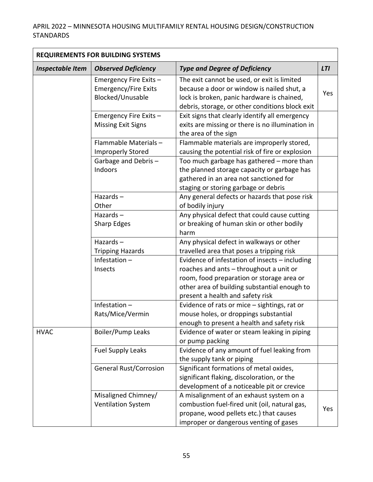| <b>REQUIREMENTS FOR BUILDING SYSTEMS</b> |                                                                           |                                                                                                                                                                                                                            |            |
|------------------------------------------|---------------------------------------------------------------------------|----------------------------------------------------------------------------------------------------------------------------------------------------------------------------------------------------------------------------|------------|
| <b>Inspectable Item</b>                  | <b>Observed Deficiency</b>                                                | <b>Type and Degree of Deficiency</b>                                                                                                                                                                                       | <b>LTI</b> |
|                                          | Emergency Fire Exits -<br><b>Emergency/Fire Exits</b><br>Blocked/Unusable | The exit cannot be used, or exit is limited<br>because a door or window is nailed shut, a<br>lock is broken, panic hardware is chained,<br>debris, storage, or other conditions block exit                                 | Yes        |
|                                          | Emergency Fire Exits -<br><b>Missing Exit Signs</b>                       | Exit signs that clearly identify all emergency<br>exits are missing or there is no illumination in<br>the area of the sign                                                                                                 |            |
|                                          | Flammable Materials-<br><b>Improperly Stored</b>                          | Flammable materials are improperly stored,<br>causing the potential risk of fire or explosion                                                                                                                              |            |
|                                          | Garbage and Debris-<br>Indoors                                            | Too much garbage has gathered - more than<br>the planned storage capacity or garbage has<br>gathered in an area not sanctioned for<br>staging or storing garbage or debris                                                 |            |
|                                          | Hazards-<br>Other                                                         | Any general defects or hazards that pose risk<br>of bodily injury                                                                                                                                                          |            |
|                                          | Hazards $-$<br>Sharp Edges                                                | Any physical defect that could cause cutting<br>or breaking of human skin or other bodily<br>harm                                                                                                                          |            |
|                                          | Hazards $-$<br><b>Tripping Hazards</b>                                    | Any physical defect in walkways or other<br>travelled area that poses a tripping risk                                                                                                                                      |            |
|                                          | Infestation $-$<br>Insects                                                | Evidence of infestation of insects - including<br>roaches and ants - throughout a unit or<br>room, food preparation or storage area or<br>other area of building substantial enough to<br>present a health and safety risk |            |
|                                          | Infestation-<br>Rats/Mice/Vermin                                          | Evidence of rats or mice - sightings, rat or<br>mouse holes, or droppings substantial<br>enough to present a health and safety risk                                                                                        |            |
| <b>HVAC</b>                              | Boiler/Pump Leaks                                                         | Evidence of water or steam leaking in piping<br>or pump packing                                                                                                                                                            |            |
|                                          | <b>Fuel Supply Leaks</b>                                                  | Evidence of any amount of fuel leaking from<br>the supply tank or piping                                                                                                                                                   |            |
|                                          | <b>General Rust/Corrosion</b>                                             | Significant formations of metal oxides,<br>significant flaking, discoloration, or the<br>development of a noticeable pit or crevice                                                                                        |            |
|                                          | Misaligned Chimney/<br><b>Ventilation System</b>                          | A misalignment of an exhaust system on a<br>combustion fuel-fired unit (oil, natural gas,<br>propane, wood pellets etc.) that causes<br>improper or dangerous venting of gases                                             | Yes        |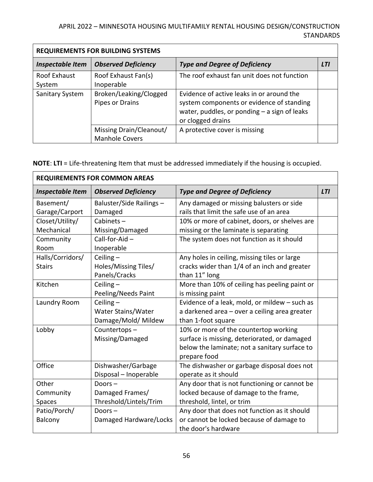| <b>REQUIREMENTS FOR BUILDING SYSTEMS</b> |                                                  |                                                                                                                                                               |            |
|------------------------------------------|--------------------------------------------------|---------------------------------------------------------------------------------------------------------------------------------------------------------------|------------|
| <b>Inspectable Item</b>                  | <b>Observed Deficiency</b>                       | <b>Type and Degree of Deficiency</b>                                                                                                                          | <b>LTI</b> |
| Roof Exhaust<br>System                   | Roof Exhaust Fan(s)<br>Inoperable                | The roof exhaust fan unit does not function                                                                                                                   |            |
| Sanitary System                          | Broken/Leaking/Clogged<br>Pipes or Drains        | Evidence of active leaks in or around the<br>system components or evidence of standing<br>water, puddles, or ponding $-$ a sign of leaks<br>or clogged drains |            |
|                                          | Missing Drain/Cleanout/<br><b>Manhole Covers</b> | A protective cover is missing                                                                                                                                 |            |

**NOTE**: **LTI** = Life-threatening Item that must be addressed immediately if the housing is occupied.

| <b>REQUIREMENTS FOR COMMON AREAS</b> |                            |                                               |            |
|--------------------------------------|----------------------------|-----------------------------------------------|------------|
| <b>Inspectable Item</b>              | <b>Observed Deficiency</b> | <b>Type and Degree of Deficiency</b>          | <b>LTI</b> |
| Basement/                            | Baluster/Side Railings -   | Any damaged or missing balusters or side      |            |
| Garage/Carport                       | Damaged                    | rails that limit the safe use of an area      |            |
| Closet/Utility/                      | Cabinets $-$               | 10% or more of cabinet, doors, or shelves are |            |
| Mechanical                           | Missing/Damaged            | missing or the laminate is separating         |            |
| Community                            | Call-for-Aid $-$           | The system does not function as it should     |            |
| Room                                 | Inoperable                 |                                               |            |
| Halls/Corridors/                     | Ceiling $-$                | Any holes in ceiling, missing tiles or large  |            |
| <b>Stairs</b>                        | Holes/Missing Tiles/       | cracks wider than 1/4 of an inch and greater  |            |
|                                      | Panels/Cracks              | than 11" long                                 |            |
| Kitchen                              | Ceiling $-$                | More than 10% of ceiling has peeling paint or |            |
|                                      | Peeling/Needs Paint        | is missing paint                              |            |
| Laundry Room                         | Ceiling $-$                | Evidence of a leak, mold, or mildew - such as |            |
|                                      | Water Stains/Water         | a darkened area - over a ceiling area greater |            |
|                                      | Damage/Mold/ Mildew        | than 1-foot square                            |            |
| Lobby                                | Countertops-               | 10% or more of the countertop working         |            |
|                                      | Missing/Damaged            | surface is missing, deteriorated, or damaged  |            |
|                                      |                            | below the laminate; not a sanitary surface to |            |
|                                      |                            | prepare food                                  |            |
| Office                               | Dishwasher/Garbage         | The dishwasher or garbage disposal does not   |            |
|                                      | Disposal - Inoperable      | operate as it should                          |            |
| Other                                | Doors $-$                  | Any door that is not functioning or cannot be |            |
| Community                            | Damaged Frames/            | locked because of damage to the frame,        |            |
| Spaces                               | Threshold/Lintels/Trim     | threshold, lintel, or trim                    |            |
| Patio/Porch/                         | Doors $-$                  | Any door that does not function as it should  |            |
| Balcony                              | Damaged Hardware/Locks     | or cannot be locked because of damage to      |            |
|                                      |                            | the door's hardware                           |            |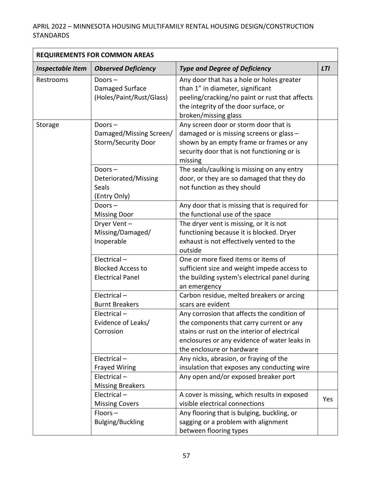| <b>REQUIREMENTS FOR COMMON AREAS</b> |                                                                    |                                                                                                                                                                                                                      |            |
|--------------------------------------|--------------------------------------------------------------------|----------------------------------------------------------------------------------------------------------------------------------------------------------------------------------------------------------------------|------------|
| <b>Inspectable Item</b>              | <b>Observed Deficiency</b>                                         | <b>Type and Degree of Deficiency</b>                                                                                                                                                                                 | <b>LTI</b> |
| Restrooms                            | Doors $-$<br>Damaged Surface<br>(Holes/Paint/Rust/Glass)           | Any door that has a hole or holes greater<br>than 1" in diameter, significant<br>peeling/cracking/no paint or rust that affects<br>the integrity of the door surface, or<br>broken/missing glass                     |            |
| Storage                              | Doors $-$<br>Damaged/Missing Screen/<br><b>Storm/Security Door</b> | Any screen door or storm door that is<br>damaged or is missing screens or glass -<br>shown by an empty frame or frames or any<br>security door that is not functioning or is<br>missing                              |            |
|                                      | Doors $-$<br>Deteriorated/Missing<br>Seals<br>(Entry Only)         | The seals/caulking is missing on any entry<br>door, or they are so damaged that they do<br>not function as they should                                                                                               |            |
|                                      | Doors $-$<br><b>Missing Door</b>                                   | Any door that is missing that is required for<br>the functional use of the space                                                                                                                                     |            |
|                                      | Dryer Vent-<br>Missing/Damaged/<br>Inoperable                      | The dryer vent is missing, or it is not<br>functioning because it is blocked. Dryer<br>exhaust is not effectively vented to the<br>outside                                                                           |            |
|                                      | Electrical-<br><b>Blocked Access to</b><br><b>Electrical Panel</b> | One or more fixed items or items of<br>sufficient size and weight impede access to<br>the building system's electrical panel during<br>an emergency                                                                  |            |
|                                      | Electrical-<br><b>Burnt Breakers</b>                               | Carbon residue, melted breakers or arcing<br>scars are evident                                                                                                                                                       |            |
|                                      | Electrical-<br>Evidence of Leaks/<br>Corrosion                     | Any corrosion that affects the condition of<br>the components that carry current or any<br>stains or rust on the interior of electrical<br>enclosures or any evidence of water leaks in<br>the enclosure or hardware |            |
|                                      | Electrical-<br><b>Frayed Wiring</b>                                | Any nicks, abrasion, or fraying of the<br>insulation that exposes any conducting wire                                                                                                                                |            |
|                                      | Electrical-<br><b>Missing Breakers</b>                             | Any open and/or exposed breaker port                                                                                                                                                                                 |            |
|                                      | Electrical-<br><b>Missing Covers</b>                               | A cover is missing, which results in exposed<br>visible electrical connections                                                                                                                                       | Yes        |
|                                      | $Floors -$<br><b>Bulging/Buckling</b>                              | Any flooring that is bulging, buckling, or<br>sagging or a problem with alignment<br>between flooring types                                                                                                          |            |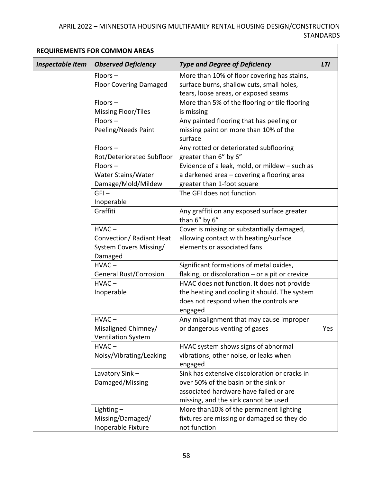| <b>REQUIREMENTS FOR COMMON AREAS</b> |                               |                                                              |            |
|--------------------------------------|-------------------------------|--------------------------------------------------------------|------------|
| <b>Inspectable Item</b>              | <b>Observed Deficiency</b>    | <b>Type and Degree of Deficiency</b>                         | <b>LTI</b> |
|                                      | $Floors -$                    | More than 10% of floor covering has stains,                  |            |
|                                      | <b>Floor Covering Damaged</b> | surface burns, shallow cuts, small holes,                    |            |
|                                      |                               | tears, loose areas, or exposed seams                         |            |
|                                      | $Floors -$                    | More than 5% of the flooring or tile flooring                |            |
|                                      | <b>Missing Floor/Tiles</b>    | is missing                                                   |            |
|                                      | $Floors -$                    | Any painted flooring that has peeling or                     |            |
|                                      | Peeling/Needs Paint           | missing paint on more than 10% of the<br>surface             |            |
|                                      | $Floors -$                    | Any rotted or deteriorated subflooring                       |            |
|                                      | Rot/Deteriorated Subfloor     | greater than 6" by 6"                                        |            |
|                                      | $Floors -$                    | Evidence of a leak, mold, or mildew - such as                |            |
|                                      | Water Stains/Water            | a darkened area - covering a flooring area                   |            |
|                                      | Damage/Mold/Mildew            | greater than 1-foot square                                   |            |
|                                      | $GFI -$                       | The GFI does not function                                    |            |
|                                      | Inoperable                    |                                                              |            |
|                                      | Graffiti                      | Any graffiti on any exposed surface greater<br>than 6" by 6" |            |
|                                      | $HVAC -$                      | Cover is missing or substantially damaged,                   |            |
|                                      | Convection/ Radiant Heat      | allowing contact with heating/surface                        |            |
|                                      | System Covers Missing/        | elements or associated fans                                  |            |
|                                      | Damaged                       |                                                              |            |
|                                      | $HVAC -$                      | Significant formations of metal oxides,                      |            |
|                                      | <b>General Rust/Corrosion</b> | flaking, or discoloration $-$ or a pit or crevice            |            |
|                                      | $HVAC -$                      | HVAC does not function. It does not provide                  |            |
|                                      | Inoperable                    | the heating and cooling it should. The system                |            |
|                                      |                               | does not respond when the controls are                       |            |
|                                      |                               | engaged                                                      |            |
|                                      | $HVAC -$                      | Any misalignment that may cause improper                     |            |
|                                      | Misaligned Chimney/           | or dangerous venting of gases                                | Yes        |
|                                      | <b>Ventilation System</b>     |                                                              |            |
|                                      | $HVAC -$                      | HVAC system shows signs of abnormal                          |            |
|                                      | Noisy/Vibrating/Leaking       | vibrations, other noise, or leaks when                       |            |
|                                      |                               | engaged                                                      |            |
|                                      | Lavatory Sink-                | Sink has extensive discoloration or cracks in                |            |
|                                      | Damaged/Missing               | over 50% of the basin or the sink or                         |            |
|                                      |                               | associated hardware have failed or are                       |            |
|                                      |                               | missing, and the sink cannot be used                         |            |
|                                      | Lighting $-$                  | More than10% of the permanent lighting                       |            |
|                                      | Missing/Damaged/              | fixtures are missing or damaged so they do                   |            |
|                                      | Inoperable Fixture            | not function                                                 |            |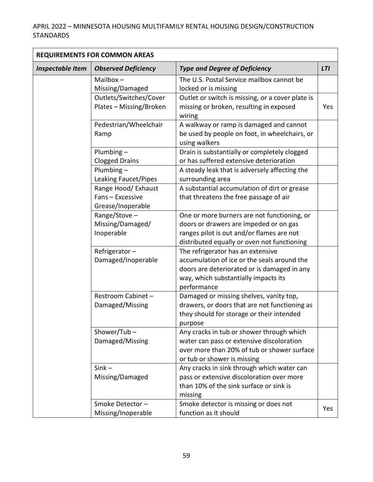| <b>REQUIREMENTS FOR COMMON AREAS</b> |                                                              |                                                                                                                                                                                        |            |
|--------------------------------------|--------------------------------------------------------------|----------------------------------------------------------------------------------------------------------------------------------------------------------------------------------------|------------|
| <b>Inspectable Item</b>              | <b>Observed Deficiency</b>                                   | <b>Type and Degree of Deficiency</b>                                                                                                                                                   | <b>LTI</b> |
|                                      | Mailbox $-$<br>Missing/Damaged                               | The U.S. Postal Service mailbox cannot be<br>locked or is missing                                                                                                                      |            |
|                                      | Outlets/Switches/Cover<br>Plates - Missing/Broken            | Outlet or switch is missing, or a cover plate is<br>missing or broken, resulting in exposed<br>wiring                                                                                  | Yes        |
|                                      | Pedestrian/Wheelchair<br>Ramp                                | A walkway or ramp is damaged and cannot<br>be used by people on foot, in wheelchairs, or<br>using walkers                                                                              |            |
|                                      | Plumbing $-$<br><b>Clogged Drains</b>                        | Drain is substantially or completely clogged<br>or has suffered extensive deterioration                                                                                                |            |
|                                      | Plumbing-<br>Leaking Faucet/Pipes                            | A steady leak that is adversely affecting the<br>surrounding area                                                                                                                      |            |
|                                      | Range Hood/ Exhaust<br>Fans - Excessive<br>Grease/Inoperable | A substantial accumulation of dirt or grease<br>that threatens the free passage of air                                                                                                 |            |
|                                      | Range/Stove-<br>Missing/Damaged/<br>Inoperable               | One or more burners are not functioning, or<br>doors or drawers are impeded or on gas<br>ranges pilot is out and/or flames are not<br>distributed equally or oven not functioning      |            |
|                                      | Refrigerator-<br>Damaged/Inoperable                          | The refrigerator has an extensive<br>accumulation of ice or the seals around the<br>doors are deteriorated or is damaged in any<br>way, which substantially impacts its<br>performance |            |
|                                      | Restroom Cabinet -<br>Damaged/Missing                        | Damaged or missing shelves, vanity top,<br>drawers, or doors that are not functioning as<br>they should for storage or their intended<br>purpose                                       |            |
|                                      | Shower/Tub-<br>Damaged/Missing                               | Any cracks in tub or shower through which<br>water can pass or extensive discoloration<br>over more than 20% of tub or shower surface<br>or tub or shower is missing                   |            |
|                                      | $Sink -$<br>Missing/Damaged                                  | Any cracks in sink through which water can<br>pass or extensive discoloration over more<br>than 10% of the sink surface or sink is<br>missing                                          |            |
|                                      | Smoke Detector-<br>Missing/Inoperable                        | Smoke detector is missing or does not<br>function as it should                                                                                                                         | Yes        |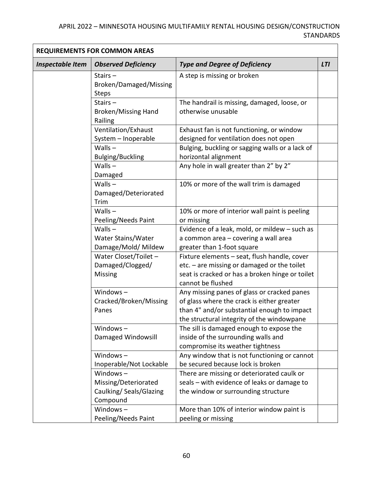| <b>REQUIREMENTS FOR COMMON AREAS</b> |                                                                           |                                                                                                                                                                                        |            |
|--------------------------------------|---------------------------------------------------------------------------|----------------------------------------------------------------------------------------------------------------------------------------------------------------------------------------|------------|
| <b>Inspectable Item</b>              | <b>Observed Deficiency</b>                                                | <b>Type and Degree of Deficiency</b>                                                                                                                                                   | <b>LTI</b> |
|                                      | Stairs $-$<br>Broken/Damaged/Missing<br><b>Steps</b>                      | A step is missing or broken                                                                                                                                                            |            |
|                                      | Stairs $-$<br><b>Broken/Missing Hand</b><br>Railing                       | The handrail is missing, damaged, loose, or<br>otherwise unusable                                                                                                                      |            |
|                                      | Ventilation/Exhaust<br>System - Inoperable                                | Exhaust fan is not functioning, or window<br>designed for ventilation does not open                                                                                                    |            |
|                                      | Walls $-$<br><b>Bulging/Buckling</b>                                      | Bulging, buckling or sagging walls or a lack of<br>horizontal alignment                                                                                                                |            |
|                                      | Walls $-$<br>Damaged                                                      | Any hole in wall greater than 2" by 2"                                                                                                                                                 |            |
|                                      | $Walls -$<br>Damaged/Deteriorated<br>Trim                                 | 10% or more of the wall trim is damaged                                                                                                                                                |            |
|                                      | Walls $-$<br>Peeling/Needs Paint                                          | 10% or more of interior wall paint is peeling<br>or missing                                                                                                                            |            |
|                                      | $Walls -$<br>Water Stains/Water<br>Damage/Mold/ Mildew                    | Evidence of a leak, mold, or mildew - such as<br>a common area - covering a wall area<br>greater than 1-foot square                                                                    |            |
|                                      | Water Closet/Toilet -<br>Damaged/Clogged/<br>Missing                      | Fixture elements - seat, flush handle, cover<br>$etc. - are missing or damaged or the toilet$<br>seat is cracked or has a broken hinge or toilet<br>cannot be flushed                  |            |
|                                      | Windows $-$<br>Cracked/Broken/Missing<br>Panes                            | Any missing panes of glass or cracked panes<br>of glass where the crack is either greater<br>than 4" and/or substantial enough to impact<br>the structural integrity of the windowpane |            |
|                                      | Windows $-$<br>Damaged Windowsill                                         | The sill is damaged enough to expose the<br>inside of the surrounding walls and<br>compromise its weather tightness                                                                    |            |
|                                      | Windows $-$<br>Inoperable/Not Lockable                                    | Any window that is not functioning or cannot<br>be secured because lock is broken                                                                                                      |            |
|                                      | Windows $-$<br>Missing/Deteriorated<br>Caulking/Seals/Glazing<br>Compound | There are missing or deteriorated caulk or<br>seals - with evidence of leaks or damage to<br>the window or surrounding structure                                                       |            |
|                                      | Windows $-$<br>Peeling/Needs Paint                                        | More than 10% of interior window paint is<br>peeling or missing                                                                                                                        |            |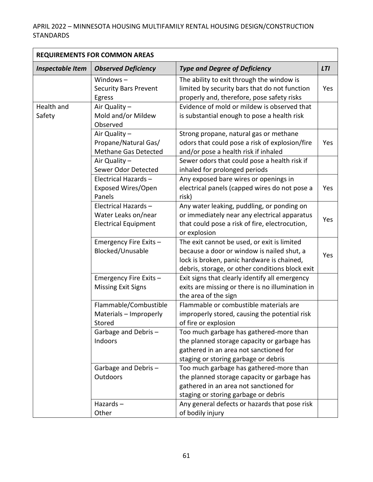| <b>REQUIREMENTS FOR COMMON AREAS</b> |                                                                           |                                                                                                                                                                                            |            |
|--------------------------------------|---------------------------------------------------------------------------|--------------------------------------------------------------------------------------------------------------------------------------------------------------------------------------------|------------|
| <b>Inspectable Item</b>              | <b>Observed Deficiency</b>                                                | <b>Type and Degree of Deficiency</b>                                                                                                                                                       | <b>LTI</b> |
|                                      | Windows $-$<br><b>Security Bars Prevent</b><br>Egress                     | The ability to exit through the window is<br>limited by security bars that do not function<br>properly and, therefore, pose safety risks                                                   | Yes        |
| Health and<br>Safety                 | Air Quality -<br>Mold and/or Mildew<br>Observed                           | Evidence of mold or mildew is observed that<br>is substantial enough to pose a health risk                                                                                                 |            |
|                                      | Air Quality -<br>Propane/Natural Gas/<br><b>Methane Gas Detected</b>      | Strong propane, natural gas or methane<br>odors that could pose a risk of explosion/fire<br>and/or pose a health risk if inhaled                                                           | Yes        |
|                                      | Air Quality -<br>Sewer Odor Detected                                      | Sewer odors that could pose a health risk if<br>inhaled for prolonged periods                                                                                                              |            |
|                                      | Electrical Hazards-<br>Exposed Wires/Open<br>Panels                       | Any exposed bare wires or openings in<br>electrical panels (capped wires do not pose a<br>risk)                                                                                            | Yes        |
|                                      | Electrical Hazards-<br>Water Leaks on/near<br><b>Electrical Equipment</b> | Any water leaking, puddling, or ponding on<br>or immediately near any electrical apparatus<br>that could pose a risk of fire, electrocution,<br>or explosion                               | Yes        |
|                                      | Emergency Fire Exits -<br>Blocked/Unusable                                | The exit cannot be used, or exit is limited<br>because a door or window is nailed shut, a<br>lock is broken, panic hardware is chained,<br>debris, storage, or other conditions block exit | Yes        |
|                                      | Emergency Fire Exits -<br><b>Missing Exit Signs</b>                       | Exit signs that clearly identify all emergency<br>exits are missing or there is no illumination in<br>the area of the sign                                                                 |            |
|                                      | Flammable/Combustible<br>Materials - Improperly<br>Stored                 | Flammable or combustible materials are<br>improperly stored, causing the potential risk<br>of fire or explosion                                                                            |            |
|                                      | Garbage and Debris-<br>Indoors                                            | Too much garbage has gathered-more than<br>the planned storage capacity or garbage has<br>gathered in an area not sanctioned for<br>staging or storing garbage or debris                   |            |
|                                      | Garbage and Debris-<br><b>Outdoors</b>                                    | Too much garbage has gathered-more than<br>the planned storage capacity or garbage has<br>gathered in an area not sanctioned for<br>staging or storing garbage or debris                   |            |
|                                      | Hazards $-$<br>Other                                                      | Any general defects or hazards that pose risk<br>of bodily injury                                                                                                                          |            |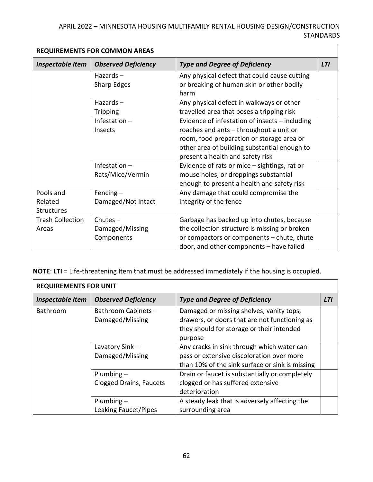| <b>REQUIREMENTS FOR COMMON AREAS</b>      |                                             |                                                                                                                                                                                                                            |            |
|-------------------------------------------|---------------------------------------------|----------------------------------------------------------------------------------------------------------------------------------------------------------------------------------------------------------------------------|------------|
| <b>Inspectable Item</b>                   | <b>Observed Deficiency</b>                  | <b>Type and Degree of Deficiency</b>                                                                                                                                                                                       | <b>LTI</b> |
|                                           | Hazards $-$<br>Sharp Edges                  | Any physical defect that could cause cutting<br>or breaking of human skin or other bodily<br>harm                                                                                                                          |            |
|                                           | Hazards $-$<br><b>Tripping</b>              | Any physical defect in walkways or other<br>travelled area that poses a tripping risk                                                                                                                                      |            |
|                                           | Infestation $-$<br>Insects                  | Evidence of infestation of insects - including<br>roaches and ants - throughout a unit or<br>room, food preparation or storage area or<br>other area of building substantial enough to<br>present a health and safety risk |            |
|                                           | Infestation $-$<br>Rats/Mice/Vermin         | Evidence of rats or mice - sightings, rat or<br>mouse holes, or droppings substantial<br>enough to present a health and safety risk                                                                                        |            |
| Pools and<br>Related<br><b>Structures</b> | Fencing $-$<br>Damaged/Not Intact           | Any damage that could compromise the<br>integrity of the fence                                                                                                                                                             |            |
| <b>Trash Collection</b><br>Areas          | Chutes $-$<br>Damaged/Missing<br>Components | Garbage has backed up into chutes, because<br>the collection structure is missing or broken<br>or compactors or components - chute, chute<br>door, and other components - have failed                                      |            |

**NOTE**: **LTI** = Life-threatening Item that must be addressed immediately if the housing is occupied.

| <b>REQUIREMENTS FOR UNIT</b> |                                                |                                                                                                                                                   |            |
|------------------------------|------------------------------------------------|---------------------------------------------------------------------------------------------------------------------------------------------------|------------|
| <b>Inspectable Item</b>      | <b>Observed Deficiency</b>                     | <b>Type and Degree of Deficiency</b>                                                                                                              | <b>LTI</b> |
| Bathroom                     | Bathroom Cabinets -<br>Damaged/Missing         | Damaged or missing shelves, vanity tops,<br>drawers, or doors that are not functioning as<br>they should for storage or their intended<br>purpose |            |
|                              | Lavatory Sink-<br>Damaged/Missing              | Any cracks in sink through which water can<br>pass or extensive discoloration over more<br>than 10% of the sink surface or sink is missing        |            |
|                              | Plumbing $-$<br><b>Clogged Drains, Faucets</b> | Drain or faucet is substantially or completely<br>clogged or has suffered extensive<br>deterioration                                              |            |
|                              | Plumbing $-$<br>Leaking Faucet/Pipes           | A steady leak that is adversely affecting the<br>surrounding area                                                                                 |            |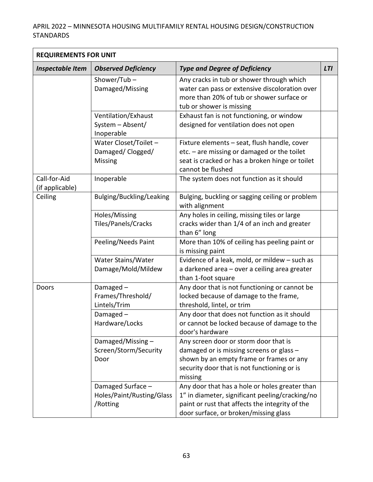| <b>REQUIREMENTS FOR UNIT</b>    |                                                            |                                                                                                                                                                                               |            |
|---------------------------------|------------------------------------------------------------|-----------------------------------------------------------------------------------------------------------------------------------------------------------------------------------------------|------------|
| <b>Inspectable Item</b>         | <b>Observed Deficiency</b>                                 | <b>Type and Degree of Deficiency</b>                                                                                                                                                          | <b>LTI</b> |
|                                 | Shower/Tub-<br>Damaged/Missing                             | Any cracks in tub or shower through which<br>water can pass or extensive discoloration over<br>more than 20% of tub or shower surface or<br>tub or shower is missing                          |            |
|                                 | Ventilation/Exhaust<br>System - Absent/<br>Inoperable      | Exhaust fan is not functioning, or window<br>designed for ventilation does not open                                                                                                           |            |
|                                 | Water Closet/Toilet -<br>Damaged/Clogged/<br>Missing       | Fixture elements - seat, flush handle, cover<br>$etc. - are missing or damaged or the toilet$<br>seat is cracked or has a broken hinge or toilet<br>cannot be flushed                         |            |
| Call-for-Aid<br>(if applicable) | Inoperable                                                 | The system does not function as it should                                                                                                                                                     |            |
| Ceiling                         | Bulging/Buckling/Leaking                                   | Bulging, buckling or sagging ceiling or problem<br>with alignment                                                                                                                             |            |
|                                 | Holes/Missing<br>Tiles/Panels/Cracks                       | Any holes in ceiling, missing tiles or large<br>cracks wider than 1/4 of an inch and greater<br>than 6" long                                                                                  |            |
|                                 | Peeling/Needs Paint                                        | More than 10% of ceiling has peeling paint or<br>is missing paint                                                                                                                             |            |
|                                 | Water Stains/Water<br>Damage/Mold/Mildew                   | Evidence of a leak, mold, or mildew - such as<br>a darkened area - over a ceiling area greater<br>than 1-foot square                                                                          |            |
| Doors                           | Damaged-<br>Frames/Threshold/<br>Lintels/Trim              | Any door that is not functioning or cannot be<br>locked because of damage to the frame,<br>threshold, lintel, or trim                                                                         |            |
|                                 | Damaged-<br>Hardware/Locks                                 | Any door that does not function as it should<br>or cannot be locked because of damage to the<br>door's hardware                                                                               |            |
|                                 | Damaged/Missing-<br>Screen/Storm/Security<br>Door          | Any screen door or storm door that is<br>damaged or is missing screens or glass -<br>shown by an empty frame or frames or any<br>security door that is not functioning or is<br>missing       |            |
|                                 | Damaged Surface -<br>Holes/Paint/Rusting/Glass<br>/Rotting | Any door that has a hole or holes greater than<br>1" in diameter, significant peeling/cracking/no<br>paint or rust that affects the integrity of the<br>door surface, or broken/missing glass |            |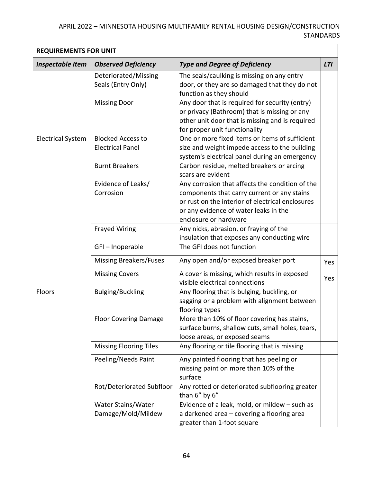| <b>REQUIREMENTS FOR UNIT</b> |                                                     |                                                                                                                                                                                                                      |            |
|------------------------------|-----------------------------------------------------|----------------------------------------------------------------------------------------------------------------------------------------------------------------------------------------------------------------------|------------|
| <b>Inspectable Item</b>      | <b>Observed Deficiency</b>                          | <b>Type and Degree of Deficiency</b>                                                                                                                                                                                 | <b>LTI</b> |
|                              | Deteriorated/Missing<br>Seals (Entry Only)          | The seals/caulking is missing on any entry<br>door, or they are so damaged that they do not<br>function as they should                                                                                               |            |
|                              | <b>Missing Door</b>                                 | Any door that is required for security (entry)<br>or privacy (Bathroom) that is missing or any<br>other unit door that is missing and is required<br>for proper unit functionality                                   |            |
| <b>Electrical System</b>     | <b>Blocked Access to</b><br><b>Electrical Panel</b> | One or more fixed items or items of sufficient<br>size and weight impede access to the building<br>system's electrical panel during an emergency                                                                     |            |
|                              | <b>Burnt Breakers</b>                               | Carbon residue, melted breakers or arcing<br>scars are evident                                                                                                                                                       |            |
|                              | Evidence of Leaks/<br>Corrosion                     | Any corrosion that affects the condition of the<br>components that carry current or any stains<br>or rust on the interior of electrical enclosures<br>or any evidence of water leaks in the<br>enclosure or hardware |            |
|                              | <b>Frayed Wiring</b>                                | Any nicks, abrasion, or fraying of the<br>insulation that exposes any conducting wire                                                                                                                                |            |
|                              | GFI-Inoperable                                      | The GFI does not function                                                                                                                                                                                            |            |
|                              | <b>Missing Breakers/Fuses</b>                       | Any open and/or exposed breaker port                                                                                                                                                                                 | Yes        |
|                              | <b>Missing Covers</b>                               | A cover is missing, which results in exposed<br>visible electrical connections                                                                                                                                       | Yes        |
| Floors                       | <b>Bulging/Buckling</b>                             | Any flooring that is bulging, buckling, or<br>sagging or a problem with alignment between<br>flooring types                                                                                                          |            |
|                              | <b>Floor Covering Damage</b>                        | More than 10% of floor covering has stains,<br>surface burns, shallow cuts, small holes, tears,<br>loose areas, or exposed seams                                                                                     |            |
|                              | <b>Missing Flooring Tiles</b>                       | Any flooring or tile flooring that is missing                                                                                                                                                                        |            |
|                              | Peeling/Needs Paint                                 | Any painted flooring that has peeling or<br>missing paint on more than 10% of the<br>surface                                                                                                                         |            |
|                              | Rot/Deteriorated Subfloor                           | Any rotted or deteriorated subflooring greater<br>than 6" by 6"                                                                                                                                                      |            |
|                              | Water Stains/Water<br>Damage/Mold/Mildew            | Evidence of a leak, mold, or mildew - such as<br>a darkened area - covering a flooring area<br>greater than 1-foot square                                                                                            |            |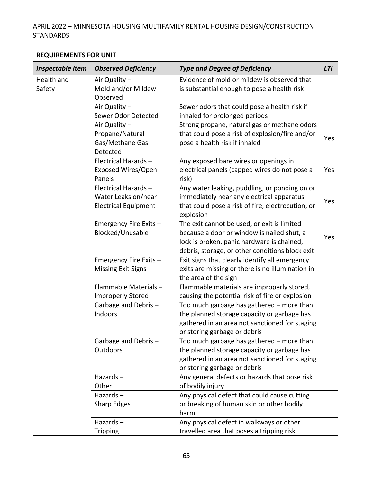| <b>REQUIREMENTS FOR UNIT</b> |                                                                           |                                                                                                                                                                                            |            |
|------------------------------|---------------------------------------------------------------------------|--------------------------------------------------------------------------------------------------------------------------------------------------------------------------------------------|------------|
| <b>Inspectable Item</b>      | <b>Observed Deficiency</b>                                                | <b>Type and Degree of Deficiency</b>                                                                                                                                                       | <b>LTI</b> |
| Health and<br>Safety         | Air Quality -<br>Mold and/or Mildew<br>Observed                           | Evidence of mold or mildew is observed that<br>is substantial enough to pose a health risk                                                                                                 |            |
|                              | Air Quality -<br>Sewer Odor Detected                                      | Sewer odors that could pose a health risk if<br>inhaled for prolonged periods                                                                                                              |            |
|                              | Air Quality -<br>Propane/Natural<br>Gas/Methane Gas<br>Detected           | Strong propane, natural gas or methane odors<br>that could pose a risk of explosion/fire and/or<br>pose a health risk if inhaled                                                           | Yes        |
|                              | Electrical Hazards-<br>Exposed Wires/Open<br>Panels                       | Any exposed bare wires or openings in<br>electrical panels (capped wires do not pose a<br>risk)                                                                                            | Yes        |
|                              | Electrical Hazards-<br>Water Leaks on/near<br><b>Electrical Equipment</b> | Any water leaking, puddling, or ponding on or<br>immediately near any electrical apparatus<br>that could pose a risk of fire, electrocution, or<br>explosion                               | Yes        |
|                              | Emergency Fire Exits-<br>Blocked/Unusable                                 | The exit cannot be used, or exit is limited<br>because a door or window is nailed shut, a<br>lock is broken, panic hardware is chained,<br>debris, storage, or other conditions block exit | Yes        |
|                              | Emergency Fire Exits -<br><b>Missing Exit Signs</b>                       | Exit signs that clearly identify all emergency<br>exits are missing or there is no illumination in<br>the area of the sign                                                                 |            |
|                              | Flammable Materials-<br><b>Improperly Stored</b>                          | Flammable materials are improperly stored,<br>causing the potential risk of fire or explosion                                                                                              |            |
|                              | Garbage and Debris-<br>Indoors                                            | Too much garbage has gathered - more than<br>the planned storage capacity or garbage has<br>gathered in an area not sanctioned for staging<br>or storing garbage or debris                 |            |
|                              | Garbage and Debris-<br>Outdoors                                           | Too much garbage has gathered - more than<br>the planned storage capacity or garbage has<br>gathered in an area not sanctioned for staging<br>or storing garbage or debris                 |            |
|                              | Hazards $-$<br>Other                                                      | Any general defects or hazards that pose risk<br>of bodily injury                                                                                                                          |            |
|                              | Hazards $-$<br>Sharp Edges                                                | Any physical defect that could cause cutting<br>or breaking of human skin or other bodily<br>harm                                                                                          |            |
|                              | Hazards $-$<br><b>Tripping</b>                                            | Any physical defect in walkways or other<br>travelled area that poses a tripping risk                                                                                                      |            |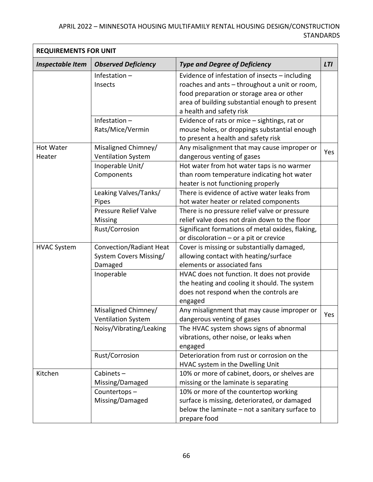| <b>REQUIREMENTS FOR UNIT</b> |                                |                                                  |            |
|------------------------------|--------------------------------|--------------------------------------------------|------------|
| <b>Inspectable Item</b>      | <b>Observed Deficiency</b>     | <b>Type and Degree of Deficiency</b>             | <b>LTI</b> |
|                              | Infestation $-$                | Evidence of infestation of insects - including   |            |
|                              | Insects                        | roaches and ants - throughout a unit or room,    |            |
|                              |                                | food preparation or storage area or other        |            |
|                              |                                | area of building substantial enough to present   |            |
|                              |                                | a health and safety risk                         |            |
|                              | Infestation $-$                | Evidence of rats or mice - sightings, rat or     |            |
|                              | Rats/Mice/Vermin               | mouse holes, or droppings substantial enough     |            |
|                              |                                | to present a health and safety risk              |            |
| Hot Water                    | Misaligned Chimney/            | Any misalignment that may cause improper or      | Yes        |
| Heater                       | <b>Ventilation System</b>      | dangerous venting of gases                       |            |
|                              | Inoperable Unit/               | Hot water from hot water taps is no warmer       |            |
|                              | Components                     | than room temperature indicating hot water       |            |
|                              |                                | heater is not functioning properly               |            |
|                              | Leaking Valves/Tanks/          | There is evidence of active water leaks from     |            |
|                              | Pipes                          | hot water heater or related components           |            |
|                              | Pressure Relief Valve          | There is no pressure relief valve or pressure    |            |
|                              | Missing                        | relief valve does not drain down to the floor    |            |
|                              | Rust/Corrosion                 | Significant formations of metal oxides, flaking, |            |
|                              |                                | or discoloration - or a pit or crevice           |            |
| <b>HVAC System</b>           | <b>Convection/Radiant Heat</b> | Cover is missing or substantially damaged,       |            |
|                              | System Covers Missing/         | allowing contact with heating/surface            |            |
|                              | Damaged                        | elements or associated fans                      |            |
|                              | Inoperable                     | HVAC does not function. It does not provide      |            |
|                              |                                | the heating and cooling it should. The system    |            |
|                              |                                | does not respond when the controls are           |            |
|                              |                                | engaged                                          |            |
|                              | Misaligned Chimney/            | Any misalignment that may cause improper or      | Yes        |
|                              | <b>Ventilation System</b>      | dangerous venting of gases                       |            |
|                              | Noisy/Vibrating/Leaking        | The HVAC system shows signs of abnormal          |            |
|                              |                                | vibrations, other noise, or leaks when           |            |
|                              |                                | engaged                                          |            |
|                              | Rust/Corrosion                 | Deterioration from rust or corrosion on the      |            |
|                              |                                | HVAC system in the Dwelling Unit                 |            |
| Kitchen                      | Cabinets-                      | 10% or more of cabinet, doors, or shelves are    |            |
|                              | Missing/Damaged                | missing or the laminate is separating            |            |
|                              | Countertops-                   | 10% or more of the countertop working            |            |
|                              | Missing/Damaged                | surface is missing, deteriorated, or damaged     |            |
|                              |                                | below the laminate - not a sanitary surface to   |            |
|                              |                                | prepare food                                     |            |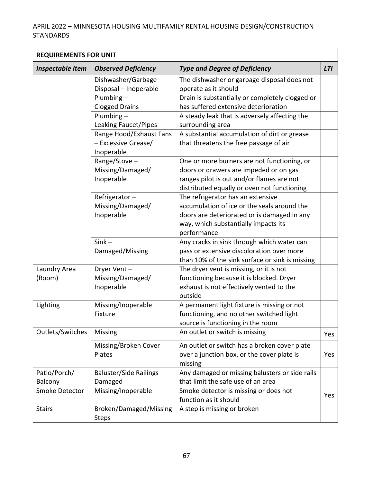| <b>REQUIREMENTS FOR UNIT</b> |                                                              |                                                                                                                                                                                        |            |
|------------------------------|--------------------------------------------------------------|----------------------------------------------------------------------------------------------------------------------------------------------------------------------------------------|------------|
| <b>Inspectable Item</b>      | <b>Observed Deficiency</b>                                   | <b>Type and Degree of Deficiency</b>                                                                                                                                                   | <b>LTI</b> |
|                              | Dishwasher/Garbage<br>Disposal - Inoperable                  | The dishwasher or garbage disposal does not<br>operate as it should                                                                                                                    |            |
|                              | Plumbing $-$<br><b>Clogged Drains</b>                        | Drain is substantially or completely clogged or<br>has suffered extensive deterioration                                                                                                |            |
|                              | Plumbing-<br><b>Leaking Faucet/Pipes</b>                     | A steady leak that is adversely affecting the<br>surrounding area                                                                                                                      |            |
|                              | Range Hood/Exhaust Fans<br>- Excessive Grease/<br>Inoperable | A substantial accumulation of dirt or grease<br>that threatens the free passage of air                                                                                                 |            |
|                              | Range/Stove-<br>Missing/Damaged/<br>Inoperable               | One or more burners are not functioning, or<br>doors or drawers are impeded or on gas<br>ranges pilot is out and/or flames are not<br>distributed equally or oven not functioning      |            |
|                              | Refrigerator-<br>Missing/Damaged/<br>Inoperable              | The refrigerator has an extensive<br>accumulation of ice or the seals around the<br>doors are deteriorated or is damaged in any<br>way, which substantially impacts its<br>performance |            |
|                              | $Sink -$<br>Damaged/Missing                                  | Any cracks in sink through which water can<br>pass or extensive discoloration over more<br>than 10% of the sink surface or sink is missing                                             |            |
| Laundry Area<br>(Room)       | Dryer Vent-<br>Missing/Damaged/<br>Inoperable                | The dryer vent is missing, or it is not<br>functioning because it is blocked. Dryer<br>exhaust is not effectively vented to the<br>outside                                             |            |
| Lighting                     | Missing/Inoperable<br>Fixture                                | A permanent light fixture is missing or not<br>functioning, and no other switched light<br>source is functioning in the room                                                           |            |
| Outlets/Switches             | Missing                                                      | An outlet or switch is missing                                                                                                                                                         | Yes        |
|                              | Missing/Broken Cover<br>Plates                               | An outlet or switch has a broken cover plate<br>over a junction box, or the cover plate is<br>missing                                                                                  | Yes        |
| Patio/Porch/<br>Balcony      | <b>Baluster/Side Railings</b><br>Damaged                     | Any damaged or missing balusters or side rails<br>that limit the safe use of an area                                                                                                   |            |
| Smoke Detector               | Missing/Inoperable                                           | Smoke detector is missing or does not<br>function as it should                                                                                                                         | Yes        |
| <b>Stairs</b>                | Broken/Damaged/Missing<br><b>Steps</b>                       | A step is missing or broken                                                                                                                                                            |            |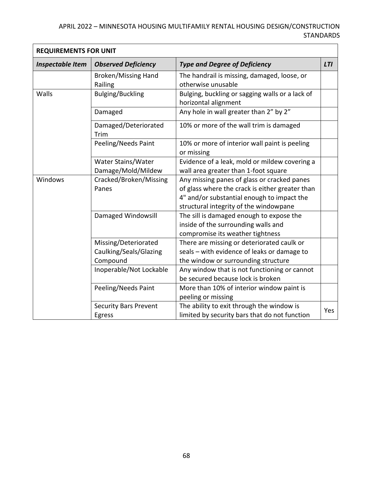| <b>REQUIREMENTS FOR UNIT</b> |                                                            |                                                                                                                                                                                        |            |  |  |
|------------------------------|------------------------------------------------------------|----------------------------------------------------------------------------------------------------------------------------------------------------------------------------------------|------------|--|--|
| <b>Inspectable Item</b>      | <b>Observed Deficiency</b>                                 | <b>Type and Degree of Deficiency</b>                                                                                                                                                   | <b>LTI</b> |  |  |
|                              | <b>Broken/Missing Hand</b><br>Railing                      | The handrail is missing, damaged, loose, or<br>otherwise unusable                                                                                                                      |            |  |  |
| Walls                        | <b>Bulging/Buckling</b>                                    | Bulging, buckling or sagging walls or a lack of<br>horizontal alignment                                                                                                                |            |  |  |
|                              | Damaged                                                    | Any hole in wall greater than 2" by 2"                                                                                                                                                 |            |  |  |
|                              | Damaged/Deteriorated<br>Trim                               | 10% or more of the wall trim is damaged                                                                                                                                                |            |  |  |
|                              | Peeling/Needs Paint                                        | 10% or more of interior wall paint is peeling<br>or missing                                                                                                                            |            |  |  |
|                              | Water Stains/Water<br>Damage/Mold/Mildew                   | Evidence of a leak, mold or mildew covering a<br>wall area greater than 1-foot square                                                                                                  |            |  |  |
| Windows                      | Cracked/Broken/Missing<br>Panes                            | Any missing panes of glass or cracked panes<br>of glass where the crack is either greater than<br>4" and/or substantial enough to impact the<br>structural integrity of the windowpane |            |  |  |
|                              | Damaged Windowsill                                         | The sill is damaged enough to expose the<br>inside of the surrounding walls and<br>compromise its weather tightness                                                                    |            |  |  |
|                              | Missing/Deteriorated<br>Caulking/Seals/Glazing<br>Compound | There are missing or deteriorated caulk or<br>seals - with evidence of leaks or damage to<br>the window or surrounding structure                                                       |            |  |  |
|                              | Inoperable/Not Lockable                                    | Any window that is not functioning or cannot<br>be secured because lock is broken                                                                                                      |            |  |  |
|                              | Peeling/Needs Paint                                        | More than 10% of interior window paint is<br>peeling or missing                                                                                                                        |            |  |  |
|                              | <b>Security Bars Prevent</b><br>Egress                     | The ability to exit through the window is<br>limited by security bars that do not function                                                                                             | Yes        |  |  |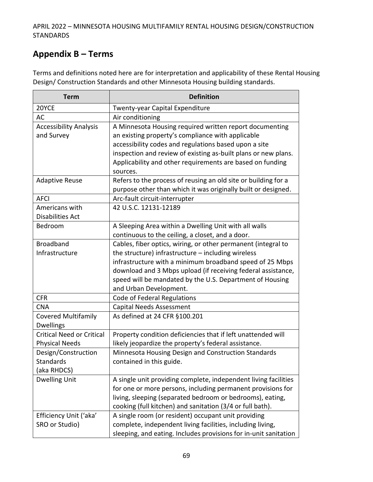# **Appendix B – Terms**

Terms and definitions noted here are for interpretation and applicability of these Rental Housing Design/ Construction Standards and other Minnesota Housing building standards.

| <b>Term</b>                                               | <b>Definition</b>                                                                                                                                                                                                                                                                                                                     |
|-----------------------------------------------------------|---------------------------------------------------------------------------------------------------------------------------------------------------------------------------------------------------------------------------------------------------------------------------------------------------------------------------------------|
| 20YCE                                                     | Twenty-year Capital Expenditure                                                                                                                                                                                                                                                                                                       |
| AC                                                        | Air conditioning                                                                                                                                                                                                                                                                                                                      |
| <b>Accessibility Analysis</b><br>and Survey               | A Minnesota Housing required written report documenting<br>an existing property's compliance with applicable<br>accessibility codes and regulations based upon a site<br>inspection and review of existing as-built plans or new plans.<br>Applicability and other requirements are based on funding<br>sources.                      |
| <b>Adaptive Reuse</b>                                     | Refers to the process of reusing an old site or building for a<br>purpose other than which it was originally built or designed.                                                                                                                                                                                                       |
| <b>AFCI</b>                                               | Arc-fault circuit-interrupter                                                                                                                                                                                                                                                                                                         |
| Americans with<br><b>Disabilities Act</b>                 | 42 U.S.C. 12131-12189                                                                                                                                                                                                                                                                                                                 |
| Bedroom                                                   | A Sleeping Area within a Dwelling Unit with all walls<br>continuous to the ceiling, a closet, and a door.                                                                                                                                                                                                                             |
| <b>Broadband</b><br>Infrastructure                        | Cables, fiber optics, wiring, or other permanent (integral to<br>the structure) infrastructure - including wireless<br>infrastructure with a minimum broadband speed of 25 Mbps<br>download and 3 Mbps upload (if receiving federal assistance,<br>speed will be mandated by the U.S. Department of Housing<br>and Urban Development. |
| <b>CFR</b>                                                | Code of Federal Regulations                                                                                                                                                                                                                                                                                                           |
| <b>CNA</b>                                                | <b>Capital Needs Assessment</b>                                                                                                                                                                                                                                                                                                       |
| <b>Covered Multifamily</b><br><b>Dwellings</b>            | As defined at 24 CFR §100.201                                                                                                                                                                                                                                                                                                         |
| <b>Critical Need or Critical</b><br><b>Physical Needs</b> | Property condition deficiencies that if left unattended will<br>likely jeopardize the property's federal assistance.                                                                                                                                                                                                                  |
| Design/Construction<br><b>Standards</b><br>(aka RHDCS)    | Minnesota Housing Design and Construction Standards<br>contained in this guide.                                                                                                                                                                                                                                                       |
| <b>Dwelling Unit</b>                                      | A single unit providing complete, independent living facilities<br>for one or more persons, including permanent provisions for<br>living, sleeping (separated bedroom or bedrooms), eating,<br>cooking (full kitchen) and sanitation (3/4 or full bath).                                                                              |
| Efficiency Unit ('aka'<br>SRO or Studio)                  | A single room (or resident) occupant unit providing<br>complete, independent living facilities, including living,<br>sleeping, and eating. Includes provisions for in-unit sanitation                                                                                                                                                 |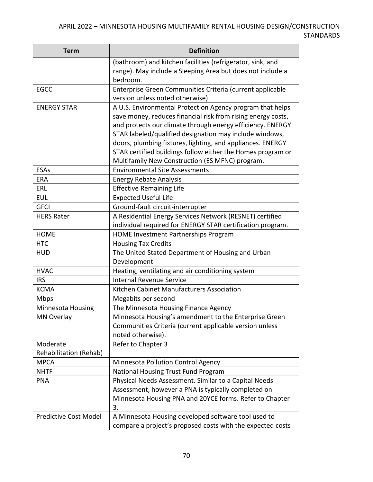| <b>Term</b>                  | <b>Definition</b>                                                         |
|------------------------------|---------------------------------------------------------------------------|
|                              | (bathroom) and kitchen facilities (refrigerator, sink, and                |
|                              | range). May include a Sleeping Area but does not include a                |
|                              | bedroom.                                                                  |
| <b>EGCC</b>                  | Enterprise Green Communities Criteria (current applicable                 |
|                              | version unless noted otherwise)                                           |
| <b>ENERGY STAR</b>           | A U.S. Environmental Protection Agency program that helps                 |
|                              | save money, reduces financial risk from rising energy costs,              |
|                              | and protects our climate through energy efficiency. ENERGY                |
|                              | STAR labeled/qualified designation may include windows,                   |
|                              | doors, plumbing fixtures, lighting, and appliances. ENERGY                |
|                              | STAR certified buildings follow either the Homes program or               |
|                              | Multifamily New Construction (ES MFNC) program.                           |
| <b>ESAs</b>                  | <b>Environmental Site Assessments</b>                                     |
| <b>ERA</b>                   | <b>Energy Rebate Analysis</b>                                             |
| ERL                          | <b>Effective Remaining Life</b>                                           |
| <b>EUL</b>                   | <b>Expected Useful Life</b>                                               |
| <b>GFCI</b>                  | Ground-fault circuit-interrupter                                          |
| <b>HERS Rater</b>            | A Residential Energy Services Network (RESNET) certified                  |
| <b>HOME</b>                  | individual required for ENERGY STAR certification program.                |
| <b>HTC</b>                   | <b>HOME Investment Partnerships Program</b><br><b>Housing Tax Credits</b> |
| <b>HUD</b>                   | The United Stated Department of Housing and Urban                         |
|                              | Development                                                               |
| <b>HVAC</b>                  | Heating, ventilating and air conditioning system                          |
| <b>IRS</b>                   | <b>Internal Revenue Service</b>                                           |
| <b>KCMA</b>                  | Kitchen Cabinet Manufacturers Association                                 |
| Mbps                         | Megabits per second                                                       |
| Minnesota Housing            | The Minnesota Housing Finance Agency                                      |
| MN Overlay                   | Minnesota Housing's amendment to the Enterprise Green                     |
|                              | Communities Criteria (current applicable version unless                   |
|                              | noted otherwise).                                                         |
| Moderate                     | Refer to Chapter 3                                                        |
| Rehabilitation (Rehab)       |                                                                           |
| <b>MPCA</b>                  | Minnesota Pollution Control Agency                                        |
| <b>NHTF</b>                  | National Housing Trust Fund Program                                       |
| <b>PNA</b>                   | Physical Needs Assessment. Similar to a Capital Needs                     |
|                              | Assessment, however a PNA is typically completed on                       |
|                              | Minnesota Housing PNA and 20YCE forms. Refer to Chapter                   |
|                              | 3.                                                                        |
| <b>Predictive Cost Model</b> | A Minnesota Housing developed software tool used to                       |
|                              | compare a project's proposed costs with the expected costs                |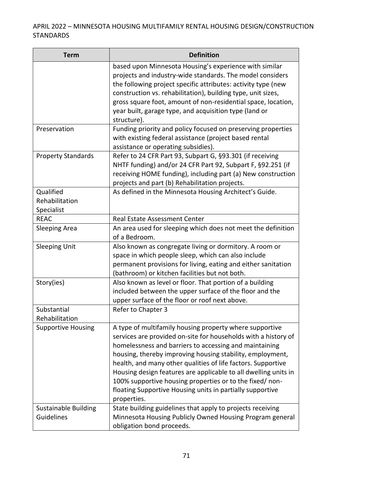| <b>Term</b>                               | <b>Definition</b>                                                                                                                                                                                                                                                                                                                                                                                                                                                                                                          |
|-------------------------------------------|----------------------------------------------------------------------------------------------------------------------------------------------------------------------------------------------------------------------------------------------------------------------------------------------------------------------------------------------------------------------------------------------------------------------------------------------------------------------------------------------------------------------------|
|                                           | based upon Minnesota Housing's experience with similar<br>projects and industry-wide standards. The model considers<br>the following project specific attributes: activity type (new<br>construction vs. rehabilitation), building type, unit sizes,<br>gross square foot, amount of non-residential space, location,<br>year built, garage type, and acquisition type (land or<br>structure).                                                                                                                             |
| Preservation                              | Funding priority and policy focused on preserving properties<br>with existing federal assistance (project based rental<br>assistance or operating subsidies).                                                                                                                                                                                                                                                                                                                                                              |
| <b>Property Standards</b>                 | Refer to 24 CFR Part 93, Subpart G, §93.301 (if receiving<br>NHTF funding) and/or 24 CFR Part 92, Subpart F, §92.251 (if<br>receiving HOME funding), including part (a) New construction<br>projects and part (b) Rehabilitation projects.                                                                                                                                                                                                                                                                                 |
| Qualified<br>Rehabilitation<br>Specialist | As defined in the Minnesota Housing Architect's Guide.                                                                                                                                                                                                                                                                                                                                                                                                                                                                     |
| <b>REAC</b>                               | <b>Real Estate Assessment Center</b>                                                                                                                                                                                                                                                                                                                                                                                                                                                                                       |
| <b>Sleeping Area</b>                      | An area used for sleeping which does not meet the definition<br>of a Bedroom.                                                                                                                                                                                                                                                                                                                                                                                                                                              |
| <b>Sleeping Unit</b>                      | Also known as congregate living or dormitory. A room or<br>space in which people sleep, which can also include<br>permanent provisions for living, eating and either sanitation<br>(bathroom) or kitchen facilities but not both.                                                                                                                                                                                                                                                                                          |
| Story(ies)                                | Also known as level or floor. That portion of a building<br>included between the upper surface of the floor and the<br>upper surface of the floor or roof next above.                                                                                                                                                                                                                                                                                                                                                      |
| Substantial<br>Rehabilitation             | Refer to Chapter 3                                                                                                                                                                                                                                                                                                                                                                                                                                                                                                         |
| <b>Supportive Housing</b>                 | A type of multifamily housing property where supportive<br>services are provided on-site for households with a history of<br>homelessness and barriers to accessing and maintaining<br>housing, thereby improving housing stability, employment,<br>health, and many other qualities of life factors. Supportive<br>Housing design features are applicable to all dwelling units in<br>100% supportive housing properties or to the fixed/non-<br>floating Supportive Housing units in partially supportive<br>properties. |
| <b>Sustainable Building</b><br>Guidelines | State building guidelines that apply to projects receiving<br>Minnesota Housing Publicly Owned Housing Program general<br>obligation bond proceeds.                                                                                                                                                                                                                                                                                                                                                                        |